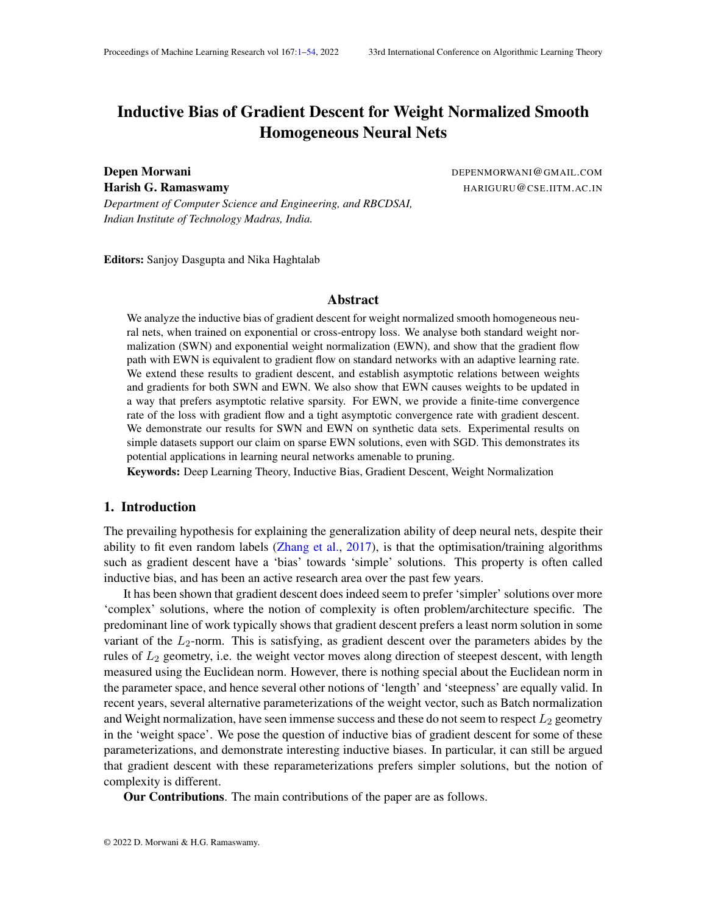# <span id="page-0-0"></span>Inductive Bias of Gradient Descent for Weight Normalized Smooth Homogeneous Neural Nets

**Depen Morwani** DEPENMORWANI@GMAIL.COM Harish G. Ramaswamy **HARIGURU@CSE.IITM.AC.IN** 

*Department of Computer Science and Engineering, and RBCDSAI, Indian Institute of Technology Madras, India.*

Editors: Sanjoy Dasgupta and Nika Haghtalab

#### Abstract

We analyze the inductive bias of gradient descent for weight normalized smooth homogeneous neural nets, when trained on exponential or cross-entropy loss. We analyse both standard weight normalization (SWN) and exponential weight normalization (EWN), and show that the gradient flow path with EWN is equivalent to gradient flow on standard networks with an adaptive learning rate. We extend these results to gradient descent, and establish asymptotic relations between weights and gradients for both SWN and EWN. We also show that EWN causes weights to be updated in a way that prefers asymptotic relative sparsity. For EWN, we provide a finite-time convergence rate of the loss with gradient flow and a tight asymptotic convergence rate with gradient descent. We demonstrate our results for SWN and EWN on synthetic data sets. Experimental results on simple datasets support our claim on sparse EWN solutions, even with SGD. This demonstrates its potential applications in learning neural networks amenable to pruning.

Keywords: Deep Learning Theory, Inductive Bias, Gradient Descent, Weight Normalization

#### 1. Introduction

The prevailing hypothesis for explaining the generalization ability of deep neural nets, despite their ability to fit even random labels (Zhang et al., 2017), is that the optimisation/training algorithms such as gradient descent have a 'bias' towards 'simple' solutions. This property is often called inductive bias, and has been an active research area over the past few years.

It has been shown that gradient descent does indeed seem to prefer 'simpler' solutions over more 'complex' solutions, where the notion of complexity is often problem/architecture specific. The predominant line of work typically shows that gradient descent prefers a least norm solution in some variant of the  $L_2$ -norm. This is satisfying, as gradient descent over the parameters abides by the rules of  $L_2$  geometry, i.e. the weight vector moves along direction of steepest descent, with length measured using the Euclidean norm. However, there is nothing special about the Euclidean norm in the parameter space, and hence several other notions of 'length' and 'steepness' are equally valid. In recent years, several alternative parameterizations of the weight vector, such as Batch normalization and Weight normalization, have seen immense success and these do not seem to respect  $L_2$  geometry in the 'weight space'. We pose the question of inductive bias of gradient descent for some of these parameterizations, and demonstrate interesting inductive biases. In particular, it can still be argued that gradient descent with these reparameterizations prefers simpler solutions, but the notion of complexity is different.

Our Contributions. The main contributions of the paper are as follows.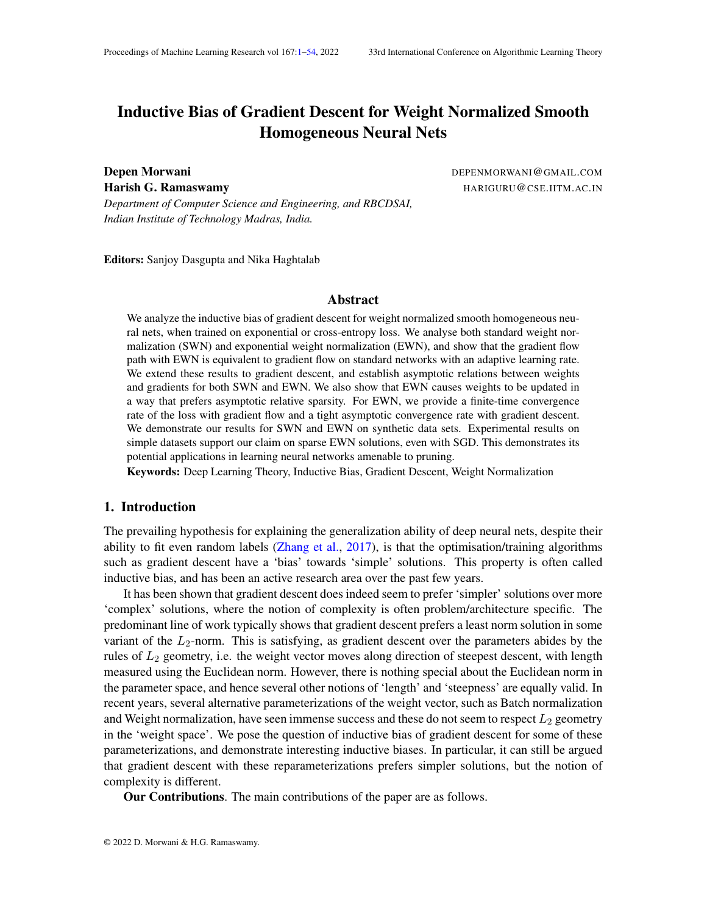- We establish that the gradient flow path with exponential weight normalization is equal to the gradient flow path of an unnormalized network using an adaptive neuron dependent learning rate. This provides a crisp description of the difference between exponential weight normalized networks and unnormalized networks.
- While most of the previous works on the inductive bias of non-linear deep learning architectures work under the assumption of directional convergence of weights and gradients, we show that gradient convergence implies weight convergence, even for gradient descent, for both standard and exponentially weight normalized network (which is not homogeneous in its parameters)<sup>[1](#page-1-0)</sup>.
- We establish the asymptotic relations between weights and gradients for gradient descent on standard weight normalized and exponentially weight normalized networks and show that exponential weight normalization is likely to lead to asymptotic sparsity in weights. We demonstrate the relative sparsity of exponential weight normalization on MNIST dataset, by showing that it leads to networks with better pruning efficacy.
- We establish finite-time convergence rates for gradient flow and tight asymptotic convergence rates for gradient descent on exponentially weight normalized networks.

#### 2. Related Work

The literature most closely related to this paper can be broadly classified into two categories the inductive biases established for neural networks, and the theoretical studies of normalization methods in deep learning.

#### 2.1. Inductive Bias

Soudry et al. (2018) showed that gradient descent(GD) on the logistic loss with linearly separable data converges to the  $L_2$  maximum margin solution for almost all datasets. These results were extended to loss functions with super-polynomial tails in Nacson et al. (2019b). Nacson et al. (2019c) extended these results to hold for stochastic gradient descent(SGD) and Gunasekar et al. (2018a) extended the results for other optimization geometries. Ji and Telgarsky (2019b) provided tight convergence bounds in terms of dataset size as well as training time. Ji and Telgarsky (2019a) provide similar results when the data is not linearly separable.

Ji and Telgarsky (2019c) showed that for deep linear nets, under certain conditions on the initialization, for almost all linearly separable datasets, the network, in function space, converges to the maximum margin solution. Gunasekar et al. (2018b) established that for linear convolutional nets, under certain assumptions regarding convergence of gradients etc, the function converges to a KKT point of the maximum margin problem in fourier space. Nacson et al. (2019a) shows that for smooth homogeneous nets, the network converges to a KKT point of the maximum margin problem in parameter space. Lyu and Li (2020) established these results with weaker assumptions and also provide asymptotic convergence rates for the loss. Chizat and Bach (2020) explore the inductive bias for a 2-layer infinitely wide ReLU neural net in function space and show that the function learnt is a

<span id="page-1-0"></span><sup>1.</sup> The assumptions about weights and gradients converging in direction have been recently shown to hold for gradient flow on homogeneous neural nets without normalization under some regularity conditions related to o-minimality of the architecture(Ji and Telgarsky, 2020)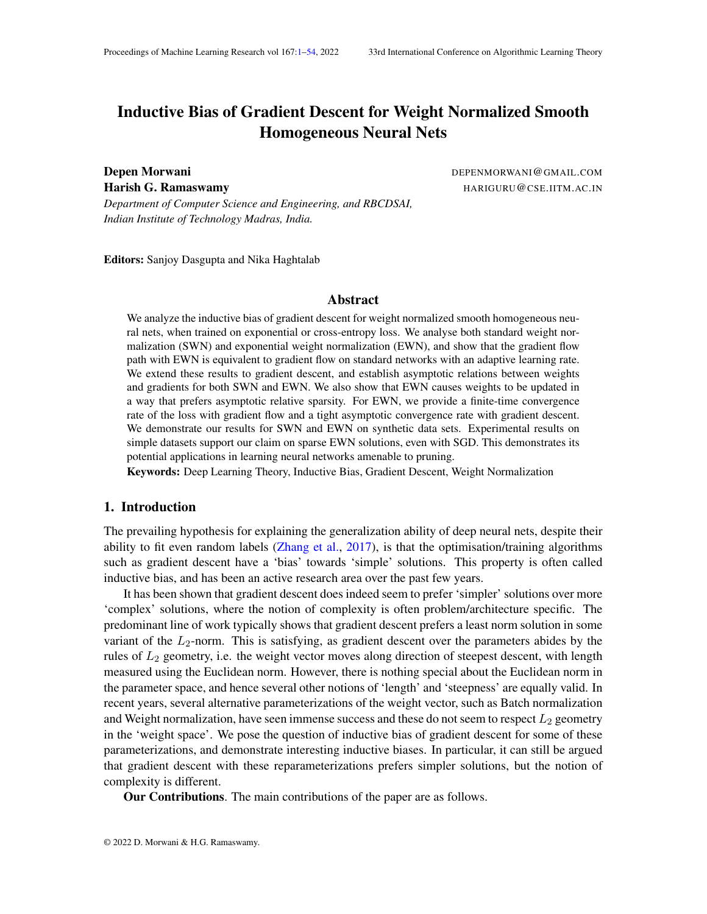max-margin classi er for variation norm. Moroshko et al. (2020) established the inductive bias for linear diagonal networks and showed that the network transitions between ma**kimum** and  $L_1$ -norm margin, depending on the relation between the initialization scale and training accuracy.

## 2.2. Normalization

Salimans and Kingma (2016) introduced weight normalization and demonstrated that it replicates the convergence speedup of BatchNorm. Similarly, other normalization techniques have been proposed as well(Ba et al., 2016)(Qiao et al., 2020)(Li et al., 2019), but only a few have been theoretically explored. Santurkar et al. (2018) demonstrated that batch normalization makes the loss surface smoother and, normalization in batchnorm can even be replaced by and L<sub>1</sub> normalizations. Kohler et al. (2019) showed that for GD, batchnorm speeds up convergence in the case of GLM by splitting the optimization problem into learning the direction and the norm. Cai et al. (2019) analyzed GD on BN for squared loss and showed that it converges for a wide range of lr. Bjorck et al. (2018) showed that the primary reason BN allows networks to achieve higher accuracy is by enabling higher learning rates. Arora et al. (2019) showed that in case of GD or SGD with batchnorm, lr for scale-invariant parameters does not affect the convergence rate towards stationary points. Du et al. (2018) showed that for GD over one-hidden-layer weight normalized CNN, with a constant probability over initialization, iterates converge to global minima. Qiao et al. (2019) compared different normalization techniques from the perspective of whether they lead to points, where neurons are consistently deactivated. Wu et al. (2020) established the inductive bias of gradient ow with weight normalization for overparameterized least squares and showed that for a wider range of initializations as compared to normal parameterization, it converges to the minimum morm solution. Dukler et al. (2020) analyzed weight normalization for multilayer ReLU net in the in nite width regime and showed that it may speedup convergence. Some other papers(Luo et al., 2019; Roburin et al., 2020) also provide other perspectives to think about normalization techniques.

# 3. Problem Setup

We use a standard view of neural networks as a collection of nodes/neurons grouped by layers. Each nodeu is associated with a weight vector $_{\text{u}}$ , that represents the incoming weight vector for that node. In case of CNNs, weights can be shared across different noder presents all the parameters of the network arranged in form of a vector (In general, for any vectosociated with the entire networky<sub>u</sub> represent its components corresponding to the noded the training dataset consis $(x_i; y_i)$  pairs with a total ofn points in the dataset. The function represented by the neural network is denoted bý w; :). The loss for a single data point is given by`(y<sub>i</sub> ; ( w ; x<sub>i</sub> )) and the **loss vector is represented by The overall loss is represented by** w) and is given by<br>L(w) =  $\frac{m}{2}$  m  $\frac{m}{2}(w; (w; x))$ . We sepatimes abbreviately (t)) as upper the context is clear  $L(w) =$  $_{i=1}^{m}$  `(y<sub>i</sub>; ( w;x<sub>i</sub>)). We sometimes abbrevialte(w(t)) asL when the context is clear.

In standard weight normalisation (SWN), each weight vectoris reparameterized as  $\frac{v_u}{kv_u}$  $\frac{v_u}{kv_u k}$ . This was proposed by Salimans and Kingma (2016), as a substitute for Batch Normalization and has been practically used in multiple papers such as Sokolic et al. (2017), Dauphin et al. (2017), Kim et al. (2018) and Hieber et al. (2018). The corresponding update equations for gradient descent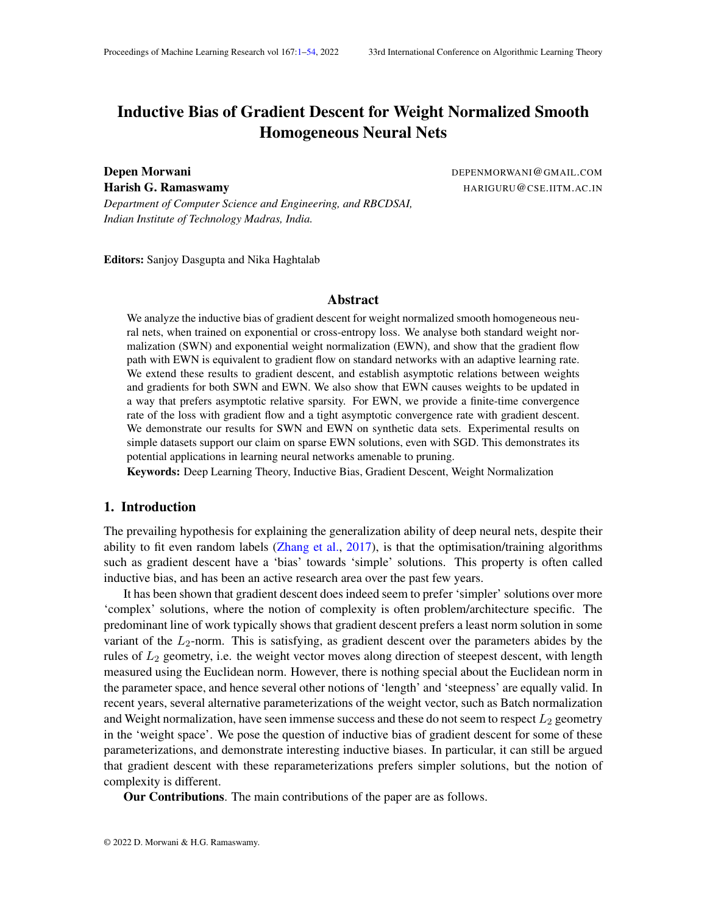are given by

$$
u(t + 1) = u(t) \qquad (t) \frac{v_u(t)^2 r_{w_u} L}{kv_u(t)k} \tag{1}
$$

$$
v_{u}(t+1) = v_{u}(t) \t (t) \frac{u(t)}{kv_{u}(t)k} \t l \frac{v_{u}(t)v_{u}(t)^{2}}{kv_{u}(t)k^{2}} \t r_{w_{u}}L \t (2)
$$

In exponential weight normalisation (EWN), each weight veutoris reparameterized as  $\frac{v_u}{kv_u k}$ . This was mentioned in Salimans and Kingma (2016), but to the best of our knowledge, has not been widely used. The corresponding update equations for gradient descent with learning rate given by

$$
u(t + 1) = u(t) \qquad (t) e^{u(t)} \frac{v_u(t)^r r_{w_u} L}{kv_u(t)k} \tag{3}
$$

$$
v_{u}(t+1) = v_{u}(t) \t (t) \frac{e^{u(t)}}{kv_{u}(t)k} \t l \frac{v_{u}(t)v_{u}(t)^{2}}{kv_{u}(t)k^{2}} \t r_{w_{u}}L \t (4)
$$

The update equations for gradient ow are the continuous counterparts for the same. In gradient ow, for both SWN and EWN, we set  $v_{\rm u}(0)$  k = 1, to simplify the update equations.

#### 4. Inductive Bias of Weight Normalization

In this section, we state our main results for weight normalized smooth homogeneous models on exponential loss $(y_i; (w; x_i)) = e^{-y_i(w; x_i)}$ . The results for cross-entropy loss and proofs have been deferred to the appendix due to space constraints. First, we state the main proposition that helps in establishing these results for EWN.

Theorem 1 The gradient ow path with learning rate(t) for EWN and SWN are given as follows:

$$
EWN: \frac{dw_{u}(t)}{dt} = (t)kw_{u}(t)k^{2}r_{w_{u}}L + \frac{1}{2}k w_{u}(t)k^{2}r_{w_{u}}L + \frac{1}{2}k w_{u}(t)k^{2}}{(w_{u}(t)^{2}r_{w_{u}}L)w_{u}(t)} \tag{5}
$$
\n
$$
SWN: \frac{dw_{u}(t)}{dt} = (t) \quad kw_{u}(t)k^{2}r_{w_{u}}L + \frac{1}{2}k w_{u}(t)k^{2}}{(w_{u}(t)^{2}r_{w_{u}}L)w_{u}(t)} \tag{6}
$$

Thus, the gradient ow path of EWN can be replicated by an adaptive (neuron dependent) learning rate given by $(\mathfrak{t})$ kw $_{\mathsf{u}}(\mathfrak{t})$ k $^2$  on the unnormalized network(Unnorm).

#### 4.1. Assumptions

The assumptions in the paper can be broadly divided into loss function/architecture based assumptions and trajectory based assumptions. The loss functions/architecture based assumptions are shared across both gradient ow and gradient descent.

Loss function/Architecture based assumptions

$$
1^{\circ}(y_i; (w; x_i)) = e^{y_i(w; x_i)}
$$

2 ( $::; x$ ) is aC<sup>1</sup> function (i.e. continuously differentiable), for any xed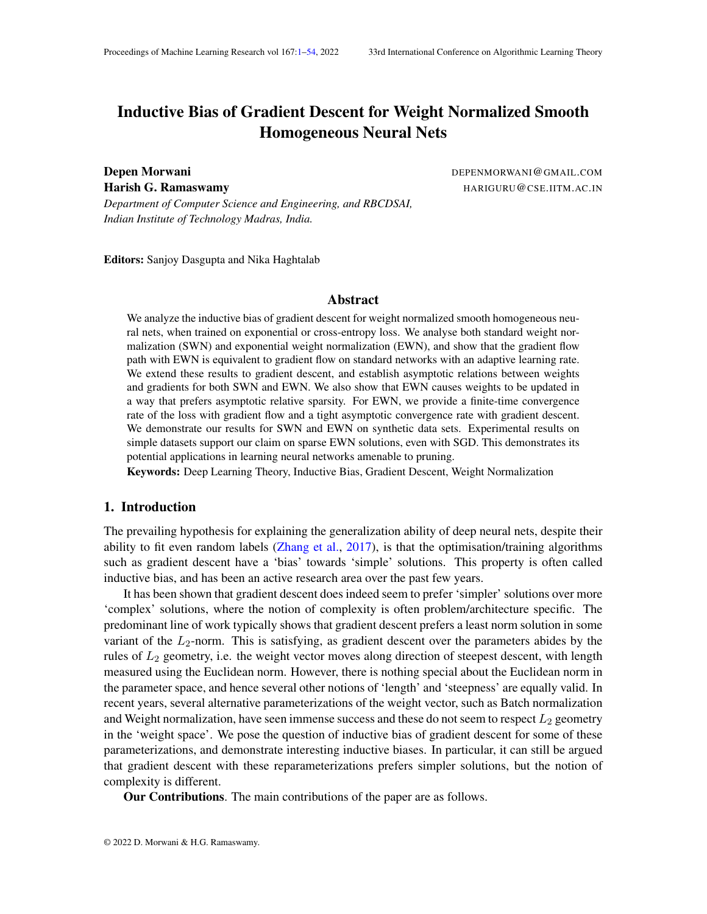3 (  $w; x = \perp (w; x)$ , for some  $> 0$  and  $L > 0$ 

Gradient ow . For gradient ow, we make the following trajectory based assumptions

(A1) There exists a time such that  $(w(t_0)) < 1$ .

 $(A2)$   $\lim_{t \downarrow 1}$ r  $_w L(w(t))$  $\frac{r}{kr} \frac{w L (W(t))}{w L (w(t))k} := g.$ 

The rst trajectory assumption is simply a separability assumption and means that the network is able to correctly classify the dataset at some point during the training process. This is not a completely unreasonable assumption, given recent papers demonstrating neural networks with suf cient overparameterization can t even random labels (Zhang et al., 2017; Jacot et al., 2018). The second assumption has been used in multiple previous works (Gunasekar et al., 2018b; Chizat and Bach, 2020; Nacson et al., 2019a), and is standard in the literature related to the inductive bias of non-linear deep learning architectures. Moreover, we remove one of the assumptions related to directional convergence of weights used in these works, and instead show that it is implied by the directional convergence of gradients.

Gradient Descent For gradient descent, we require the learning rate to not grow too fast, and a slightly stronger assumption on loss.

(B1)  $\lim_{t \to 1} L(w(t)) = 0$ r  $w L (w(t))$  $\frac{r_{w}L(w(t))}{kr_{w}L(w(t))k} := 9$ 

(B3)  $\lim_{t \downarrow 1}$  (t)kw<sub>u</sub>(t)kr <sub>w<sub>u</sub> L(w(t))k = 0 for all u in the network.</sub>

The assumption (B3) is mild, as the norm of the gradient of the exponential loss goes down exponentially fast as compared to norm of the weights. We demonstrate that these assumptions hold for multiple datasets including MNIST in Appendix P.

# 4.2. Asymptotic relations between weights and gradients

This section contains the main theorems that establish asymptotic relations between weights and gradients for SWN and EWN. First, we will state a common proposition for both SWN and EWN.

Proposition 2 Under assumption (A1) for gradient ow, for both SWN and  $EVM_{h11}$  L(w(t)) = 0.

Although the above proposition was established for homogeneous nets by Lyu and L $\hat{r}(2020)$ extend it for the non-homogeneous parameterization of EWN. Now, we provide one of our main theorem that establishes gradient convergence implies weight convergence.

Theorem 3 Consider a nodeu in the network with  $R_{\text{u}}(k > 0)$  and  $\lim_{t \to 1}$  kw<sub>u</sub>(t)k = 1. Under assumptions (A1), (A2) for gradient ow and (B1)-(B3) for gradient descent, for both SWN and EWN

(i) 
$$
\lim_{t \to 1} \frac{w_u(t)}{kw_u(t)k} = \mathbf{w}_u
$$
 exists. (ii)  $\mathbf{w}_u = \mathbf{g}_u$  for some > 0.

The above theorem relaxes one of the assumptions regarding weight convergence used in many of the previous works, by showing that even for non-homogeneous parameterization under gradient descent, gradient convergence implies weight convergence. Moreover, it also shows, that weights and gradients eventually get aligned opposite to each other.

<sup>2.</sup> Homogeneous networks in the space are also homogeneous in the space. Therefore results regarding convergence rates and monotonic margin hold from Lyu and Li (2020). However, the results for convergence to a KKT point of the max margin problem do not hold. For details, refer Appendix L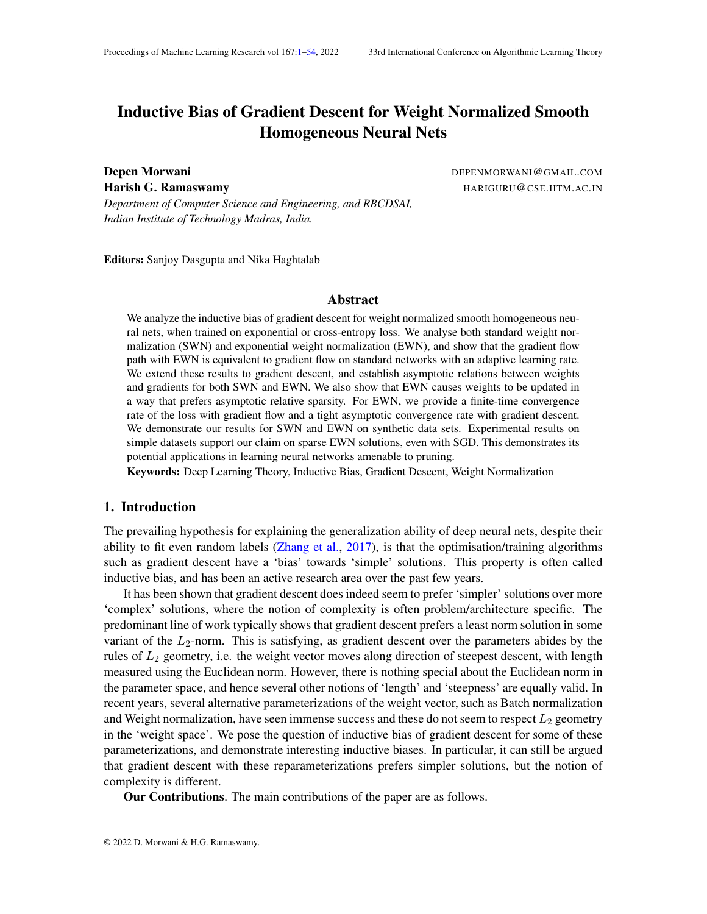(a)  $(b)$  (c)

Figure 1: Demonstration of Results for EWN in Lin-Sep experiment: (a) Evolution of kw<sub>u</sub>k - norm of the incoming weights for neuron(b) Cosine between weights and gradients for neurons 5, 7 and 8. (c) Weight and gradient norms for weights 5, 7 and 8.

Now, we provide the main theorem that distinguishes SWN and EWN.

Theorem 4 Consider two nodes andv in the network with  $g_{u}k$  k  $g_{v}k$  > 0; lim<sub>t!1</sub> kw<sub>u</sub>(t)k = 1 and lim<sub>t!1</sub> kw<sub>v</sub>(t)k = 1. Let  $\frac{kg_u k}{kg_v k}$  be denoted by. Under assumptions (A1), (A2) for gradient ow and (B1)-(B3) for gradient descent,

- (i) for SWN,  $\lim_{t \uparrow 1} \frac{\text{kw}_{u}(t) \text{k}}{\text{kw}_{v}(t) \text{k}}$  $\frac{Kw_u(t)K}{kw_v(t)k} = C$
- (ii) for EWN,  $\lim_{t \downarrow 1} \frac{\text{kw}_{u}(t) \text{k}}{\text{kw}_{v}(t) \text{k}}$  $\frac{\mathsf{kw}_\mathsf{u}(\mathsf{t}) \mathsf{k}}{\mathsf{kw}_\mathsf{v}(\mathsf{t}) \mathsf{k}}$  is either0; 1  $\,$  or  $\frac{1}{\mathsf{c}}$

Thus, if  $\frac{kw_u(t)k}{kw_v(t)k}$  converges to a -nite non-zero value for EWN, then  $_u(t)$ kkr  $\frac{w_u}{w_u} L(w(t))$ k = kw<sub>v</sub>(t)kkr <sub>wv</sub>L(w(t))k = k<sub>1</sub>(t) asymptotically. While, for SWN<sub>kr wu</sub>(t)k = kr w<sub>v</sub>L(w(t)k  $\frac{Kw_v(t)K}{kr_{w_v}L(w(t))K}$  =  $k_2(t)$  asymptotically, wher $\mathbf{R}_1(t)$  and $k_2(t)$  are independent of andv. The exact conditions under which  $\frac{kw_u(t)k}{kw_v(t)k}$  tends to 0 or1 for EWN are provided in Proposition 5.

We demonstrate Theorem 3 and Theorem 4 for EWN on a linearly separable dataset ( in Figure 1. In this experiment, a 2-layered neural network, with 8 neurons in the hidden layer and a ReLU-squared activation function, is trained on a linearly separable dataset. The learning rate schedule used wa $\frac{1}{100}$  $\frac{1}{\lfloor 0.97 \rfloor}$  and the network was trained till a loss **e**f<sup>300</sup>. As can be seen in Figure 1, for weights 5, 7 and 8, whose norms keep on growing, weights and gradients eventually become oppositely aligned, and their norms are inversely proportional to each other. The results for SWN, along with results on other datasets including MNIST have been deferred to Appendix N.

#### 4.3. Sparsity Inductive Bias for Exponential Weight Normalisation

The inverse relation between  $w_u(t)$ k and kr  $w_u L(w(t))$ k in the EWN trajectory results in an interesting inductive bias that favours movement along sparse directions.

Proposition 5 Consider two nodes and v in the network such that  $g_v$ k k  $g_u$ k > 0 and kw $_{\sf u}$ (t)k; kw $_{\sf v}$ (t)k ! 1  $\;$  . Let  $\frac{\sf kg_{\sf u} \sf k}{\sf kg_{\sf v} \sf k}$  be denoted b ${\sf g}$  (note that ${\sf g}$  andc will be different for SWN and EWN trajectory). Consider any such that0 <  $\,$  < c  $\,$  and0 <  $\,$  <  $\,$   $_{\rm 2}$ . Then, the following holds: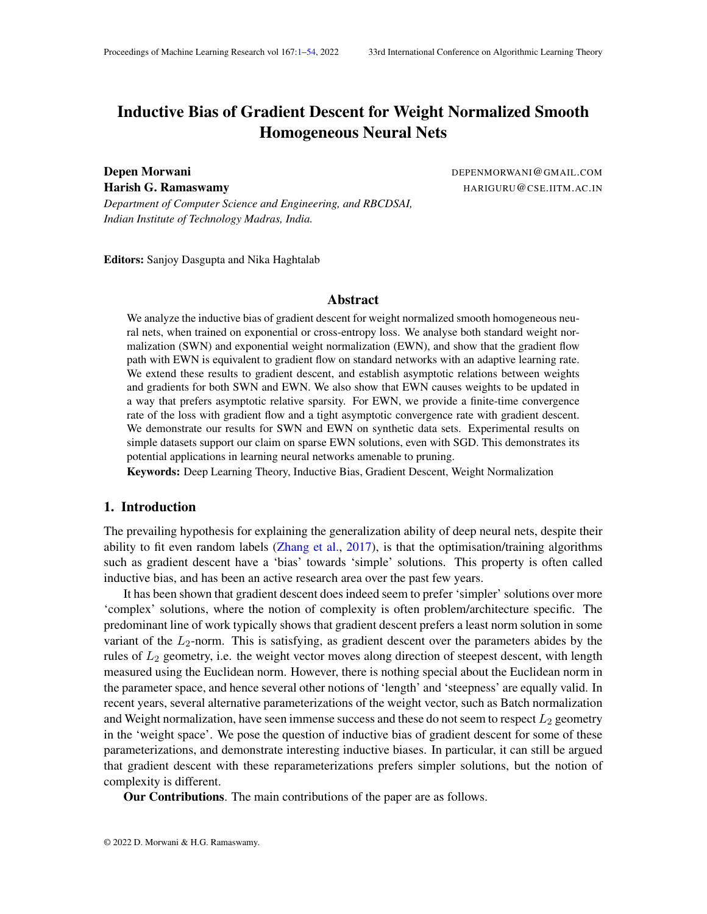(a) Network Architecture (b) Weight trajectories

- Figure 2: (a) Network architecture for the Sumple-Traj experiment . (b) Trajectories of the two weights for EWN and Unnorm, starting from 5 different initialization points.
	- (i) There exists a time<sub>1</sub>, such that for allt  $> t<sub>1</sub>$  both SWN and EWN trajectories have the following properties:
		- (a)  $\frac{k r}{kr w_u L(w(t))k}$  2 [c ; c + ] (b)  $\frac{w_u(t)}{kw_u(t)k}$  $\frac{1}{r}$   $\frac{1}{w}$  L(w(t))  $\overline{\mathsf{k}\mathsf{r}}\,\,$   $_{\mathsf{w}\,\mathsf{u}}$  L (w (t))  $\mathsf{k}$ cos( ) (c)  $\frac{W_V(t)}{k_W (t) k}$   $\frac{r_{W_V} L(W(t))}{k_{W_V} L(W(t)) k}$

(c) 
$$
\frac{W_V(t)}{kw_V(t)k} \qquad \frac{1}{kr} \frac{W_V L(W(t))}{w_V L(W(t))k} \qquad \text{cos( ).}
$$

- (ii) for SWN,  $\lim_{t \to 1} \frac{k w_u(t) k}{k w_u(t) k}$  $\frac{KW_u(t)K}{kw_v(t)k} = C$
- (iii) for EWN, if at some tim $\phi_2 > t_1$ ,

(a) 
$$
\frac{\text{kw}_{u}(t_2)k}{\text{kw}_{v}(t_2)k} > \frac{1}{(c - \cos(\theta))} = 1
$$
  $\lim_{t \to 1} \frac{\text{kw}_{u}(t)k}{\text{kw}_{v}(t)k} = 1$   
(b)  $\frac{\text{kw}_{u}(t_2)k}{\text{kw}_{v}(t_2)k} < \frac{\cos(\theta)}{c+1} = 1$   $\lim_{t \to 1} \frac{\text{kw}_{u}(t)k}{\text{kw}_{v}(t)k} = 0$ 

The above proposition shows that the limit property of the weights in Theorem 4, makes non-sparse w an unstable convergent direction for EWN. But that is not the case for SWN. We demonstrate the relative sparsity between EWN, SWN and Unnorm through two toy experimetition-Traj andXOR.

In theSimple-Traj experiment, we illustrate the notion of asymptotic relative sparsity occuring in the EWN parameterization. In this dataset, we have a single data  $p(\mathbf{\hat{x}})$ , that is labelled positive and train a network with linear activations. The architecture is shown in Figure 2, where weights in blue and red are frozen to values of respectively. Thus, there are effectively only two scalar parameters $\nu_1$  and  $w_2$ . The network is trained till a loss value of  $^{50}$  starting from 5 different initialization points. The weight trajectories in Figure 2 shows that EWN prefers to converge either along the x or y axis, and hence has an asymptotic relative sparsity property. We provide a theoretical proof for the same in the general d-dimensional case.

Proposition 6 Consider a linear model oveR<sup>d</sup> given byf  $(x) = w^x x$ , where each is further reparameterized as i. Consider a dataset consisting of a single data paint 0, that is labelled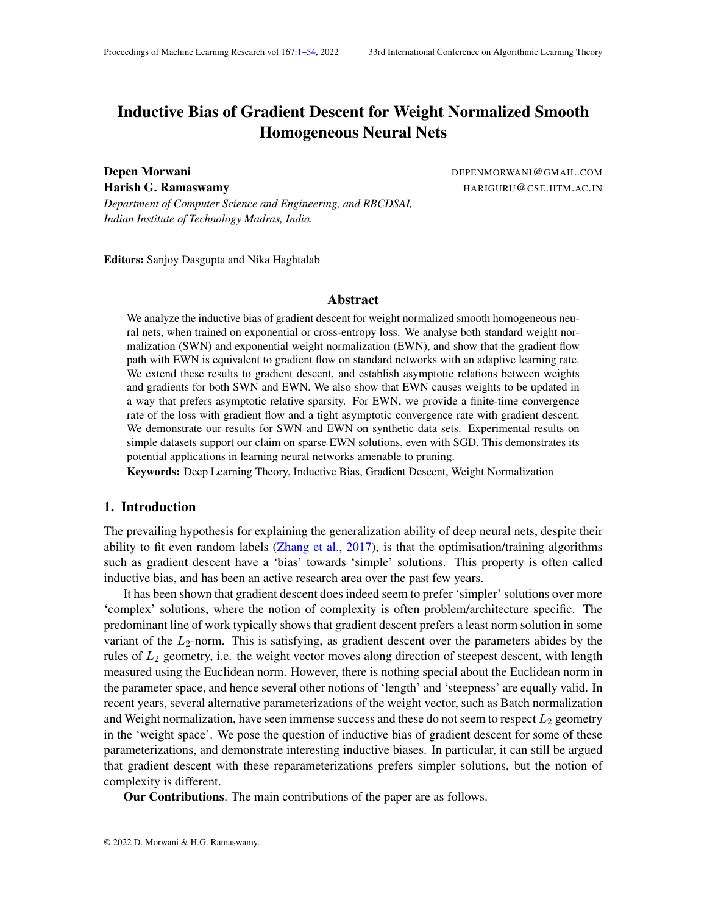(a) EWN (b) SWN (c) Unnorm

Figure 3: (a), (b) and (c) demonstrate the evolution of weight norms for each neuron  $X^{\odot}$  Re experiment. EWN weights grow sparsely when compared to Unnorm and SWN

(a) EWN (b) SWN (c) Unnorm

Figure 4: Variation of convergence rate of train loss with number of layers for multilayer linear nets on a linearly separable dataset

as +1. According to the initialization of, de ne a relationR on f 1;:::; dg, given byi jif  $w_i(0)z_i = w_j(0)z_j$  . Then, R is an equivalence relation  $\mathsf{f} \mathsf{m}$ ; :::; dg. Let these equivalent sets be denoted by  $_1; I_2; ...; I_k$ . De ne a total order on these sets given by> I <sub>b</sub> if 9i 2 I<sub>a</sub>; j 2 I<sub>b</sub> such that w<sub>i</sub> (0) $z_i > w_j$  (0) $z_j$  . Let the maximum set according to this order be denoted byThen, for gradient ow on exponential loss, the following holds

- (i) For any i 2 I ,  $\lim_{t \downarrow 1} w_i(t) = 1$
- (ii) For i; j 2 I,  $\frac{W_i(t)}{W_i(t)}$  $\frac{w_i(t)}{w_j(t)} = \frac{x_j}{x_j}$ <u>x<sub>j</sub></u>.

(iii) For any i  $2 \, 1$ ,  $\lim_{t \downarrow 1}$   $w_i(t) = \frac{1}{w_i(0)}$ xi  $w_j\left(0\right)x_j$ <sup>1</sup>, wherej is any element in .

Thus, if w is initialized from a continuous distribution, then with probability 1, the cardinality of is 1 and hence  $(t)$ =kw $(t)$ k will approach a sparse vector.

In the XORexperiment, we train a 2-layer ReLU network with 20 hidden neurons on XOR dataset, till a loss value of <sup>50</sup>. The second layer is xed to the values 1 or -1 randomly. For attaining 100% accuracy on this dataset with this architecture, at least 4 hidden units are needed. As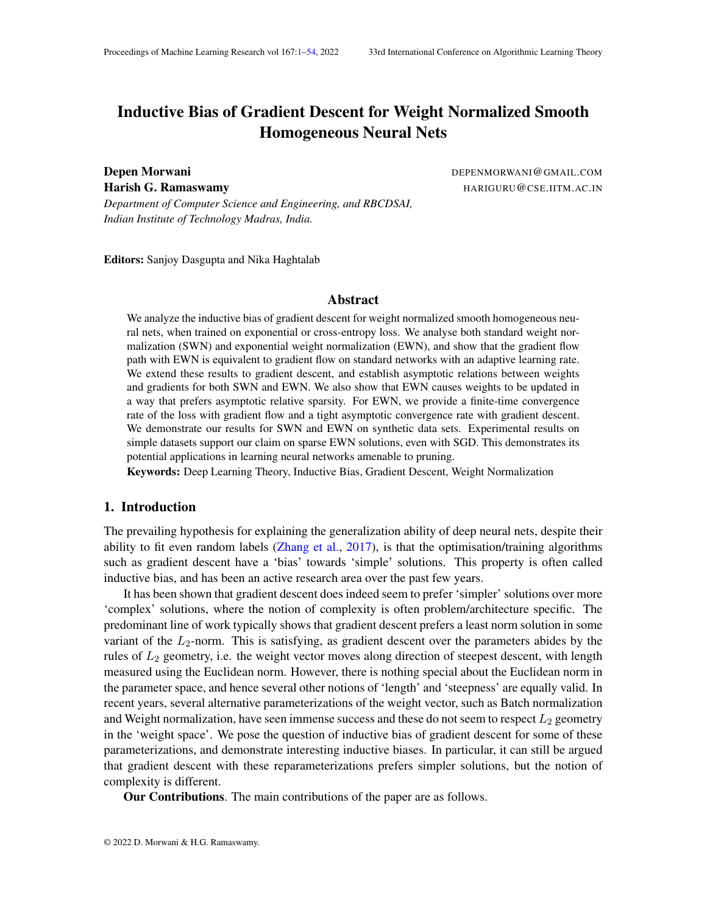can be seen in Figure 3, EWN asymptotically uses exactly 4 neurons out of 20, while Unnorm and SWN use almost all the 20 neurons.

## 5. Convergence Rates

In this section, we provide convergence rate of loss for EWN.

Gradient Flow: We provide a nite-time convergence rate of loss for gradient ow in case of EWN.

Theorem 7 For Exponential Weight Normalization, under assumption (A1), the following hold for  $t > t_0$  in case of gradient ow

(i) kw(t)k grows witht aso((log t) $\frac{1}{L}$ ) (ii) L(t) goes down with asO  $\frac{1}{t}$ t

Gradient Descent: For establishing convergence rates for gradient descent, we are going to make an additional assumption that the overall weight vector converges in direction,  $a_i$ , w (t) kw (t)k exists  $\beta$ 4). Although we have already shown this is indeed true for nodes weith  $\epsilon > 0$ , we need this assumption to take into account the nodes  $\text{weight} = 0$ . Under this assumptiony can be represented  $\mathbf{a} s = g(t) \mathbf{w} + r(t)$ , wherelim<sub>t!1</sub>  $\frac{k r(t) k}{g(t)}$  $\frac{f(t)K}{g(t)} = 0$ . Let d : N ! R, given by  $d(t) = \begin{bmatrix} P_{t} & 1 \\ 1 & -1 \\ -1 & 1 \end{bmatrix}$  $\epsilon_{=0}^{-1}$  () denote total step size. Let = min i y<sub>i</sub> (  $\mathbf{w}$ ; x<sub>i</sub>) be the normalized margin at convergence.

The asymptotic convergence rate of loss for SWN and Unnorm have already been established

in Lyu and Li (2020) as  $\frac{1}{\mathsf{d}(\mathsf{t})(\log \mathsf{d}(\mathsf{t}))^2}$  . For EWN, the corresponding theorem is provided below

Theorem 8 For Exponential Weight Normalization, under Assumptions  $(B1)-(BA)$ , 0, (t) = O  $log \frac{1}{L}$ <sup>c</sup> for c < 1 and  $\lim_{t \downarrow 1} \frac{k r (t+1) - r(t) k}{q(t+1) - q(t)}$  $\frac{f(t+1)-f(t)\kappa}{g(t+1)-g(t)}=0$ , the following hold

- (i) kw(t)k asymptotically grows with as  $(\log d(t))^{\frac{1}{L}}$
- (ii)  $L(w(t))$  asymptotically goes down withas  $\frac{1}{d(t)(\log d(t))^2}$  .

Although the additional assumptidim  $\frac{k r(t+1) - r(t)k}{q(t+1) - q(t)}$  $\frac{f(t+1)-f(t)\kappa}{g(t+1)-g(t)}$  = 0 is not standard, we empirically demonstrate that, for EWN, the convergence rate is almost independent of the number of layers. Moreover, the learning rate assumption used still covers the constraint ase, that is generally used in practice.

For multilayer linear nets, the variation of convergence rate with number of layers for a linearly separable dataset is illustrated in Figure 4. All of these networks were explicitly initialized to represent the same point in function space. It can be seen that EWN, SWN and unnormalized networks all converge faster with more layers, but the effect is much less pronounced for EWN.

# 6. Pruning Experiments

As EWN leads to asymptotically sparse solutions, it is likely that a suf ciently trained EWN network would be comparatively robust to pruning. In this section, we compare the pruning ef cacy of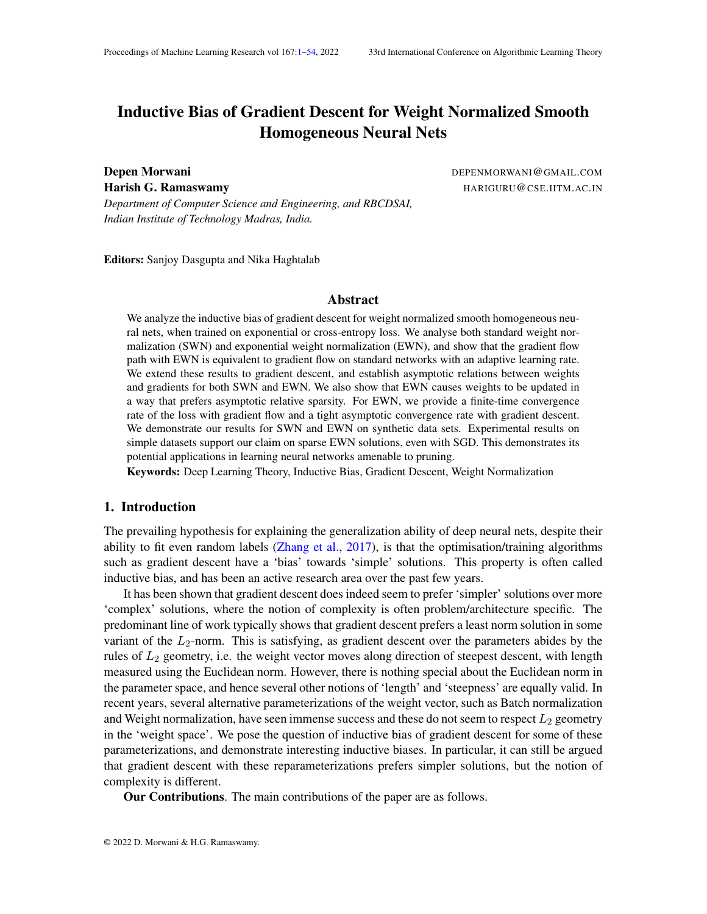(a) L = e <sup>10</sup> (b) L = e <sup>100</sup> (c) L = e 300

Figure 5: Variation of test accuracy vs percentage of neurons pruned in rst layer at different loss values for MNIST experiment

EWN, SWN and Unnorm on MNIST (LeCun et al., 2010) dataset. We use a 2-layer ReLU network with 1024 neurons in the hidden layer. In case of EWN and SWN, only the rst layer is weight normalized as only this layer needs to be pruned.

Pruning Strategy: The natural pruning strategy of removing neuron with leastkw<sub>u</sub>k gives inordinate importance to the initialisation and the initial optimization epochs. In order to minimize the effect of initialization and initial movement of weights, we prune according to the weight norm increase from a reference point. For example, when pruning at a loss value<sup>00</sup>b we consider 4 reference points0, weight at initialization, weight wheb =  $e^{-10}$  andL =  $e^{-100}$ . We then choose the pruning strategy that gives maximum testing accuracy for a given level of pruning. Similarly, for pruning at a loss value of <sup>100</sup>, we consider three reference point**s**, weight at initialization and weight wherL =  $e^{-10}$ , and for pruning at a loss value of  $^{10}$ , we consider0, weight at initialization and weight when  $=$  e  $^5$ . More detailed description of the pruning strategy is provided in Appendix Q.

The pruning graphs for MNIST at different loss values averaged across multiple seeds are shown in Figure 5. It can be seen that when the loss levels are suf ciently low, the EWN network becomes better adapted for pruning, signi-cantly outperforming SWN and the unnormalized network in terms of test accuracy for a given level of pruning. Further details along with convergence rate plots are provided in Appendix O.

#### 6.1. Combining EWN with other sparsity regularizers

EWN by itself has a sparsifying effect, and in addition it can be combined with other sparsity regularizers. e.g. the neural net can be trained using any existing sparsity regularizer with standard parameterization for the initial few epochs, and use EWN (without the regularizer) for the later phase.

We conducted experiment on MNIST dataset, by initially training the network till convergence with `<sub>2;1</sub> group sparsity regularizer (<sub>u2nodes of network</sub>kwuk), and later on using EWN till a loss value ofe  $30$ . In this case, the pruning strategy is based on the nal norms of the weights as the sparsity regularizer already induces an asymmetry among different neurons. The pruning results are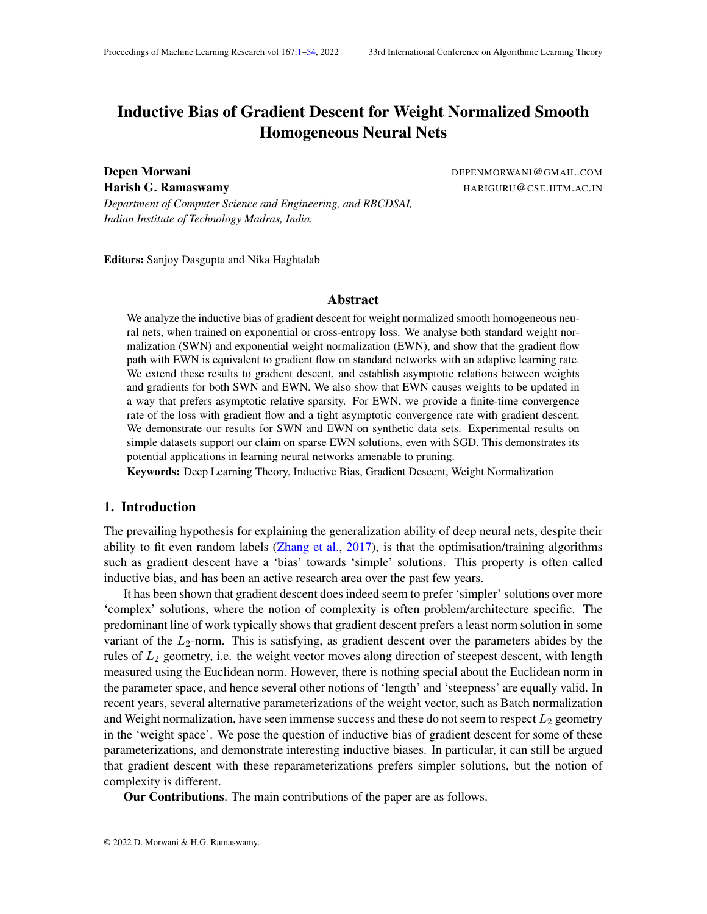$(a)$  (b)

Figure 6: (a) Variation of test accuracy vs percentage of neurons pruned on MNIST dataset after training the network initially with  $_{2:1}$  regularizer and later on continuing training with either EWN, SWN or unnormalized net  $tIII = e^{-30}$  (b) Zoomed in view on EWN

shown in Figure 6. As can be seen, training further with EWN improves the pruning ef cacy of the network.

# 7. Proof Sketch

In this section, we provide the proof for part (iii)a of Proposition 5 for gradient ow, i.e, for EWN, kw <sub>u</sub> (t<sub>2</sub>)k  $\frac{\mathsf{kw}_\mathsf{u}(\mathsf{t}_2)\mathsf{k}}{\mathsf{kw}_\mathsf{v}(\mathsf{t}_2)\mathsf{k}} > \frac{1}{(\mathsf{c})\mathsf{c}}$  $\frac{1}{(c) \cos(\theta)}$  =)  $\lim_{t \downarrow 1} \frac{k w_u(t) k}{k w_v(t) k}$  $\frac{kw_u(t)K}{kw_v(t)k}$  = 1. Remaining proofs are given in appendix. The update equations for $_{\sf u}$  andv $_{\sf u}$  in case of gradient  $\,$  ow for EWN are given by

$$
\frac{d_u(t)}{dt} = (t)e^{u(t)}\frac{v_u(t)^r r_{w_u}L}{kv_u(t)k}
$$
 (7)

$$
\frac{dv_{u}(t)}{dt} = (t)\frac{e^{u(t)}}{kv_{u}(t)k} \quad I \quad \frac{v_{u}(t)v_{u}(t)^{2}}{kv_{u}(t)k^{2}} \quad r_{w_{u}}L
$$
 (8)

Using Equation (7) (along with the fact that  $u(t)$ k does not change with time and  $u(0)k =$ 1),

$$
\frac{dkw_u(t)k}{dt} = \frac{de^{u(t)}}{dt} = (t)kw_u(t)k^2(v_u(t))^r r_{w_u}L(w(t))
$$
\n(9)

Using Equation (9) and part 1 of Proposition 5, we can say for  $_1$ ,

$$
\frac{d_{\frac{kW_u(t)k}{kW_v(t)k}}^{kW_u(t)k}}{dt} = \frac{kw_v(t)k \frac{dkw_u(t)k}{dt} - kw_u(t)k \frac{dkw_v(t)k}{dt}}{kw_v(t)k} (t)w_u(t)kkr_{w_u}L(w(t))k\cos() + w_v(t)kkr_{w_v}L(w(t))k)
$$
\n
$$
(t)kw_u(t)kkr_{w_u}L(w(t))k - \frac{kw_u(t)k}{kw_v(t)k}\cos() - \frac{1}{c}
$$
\n
$$
(10)
$$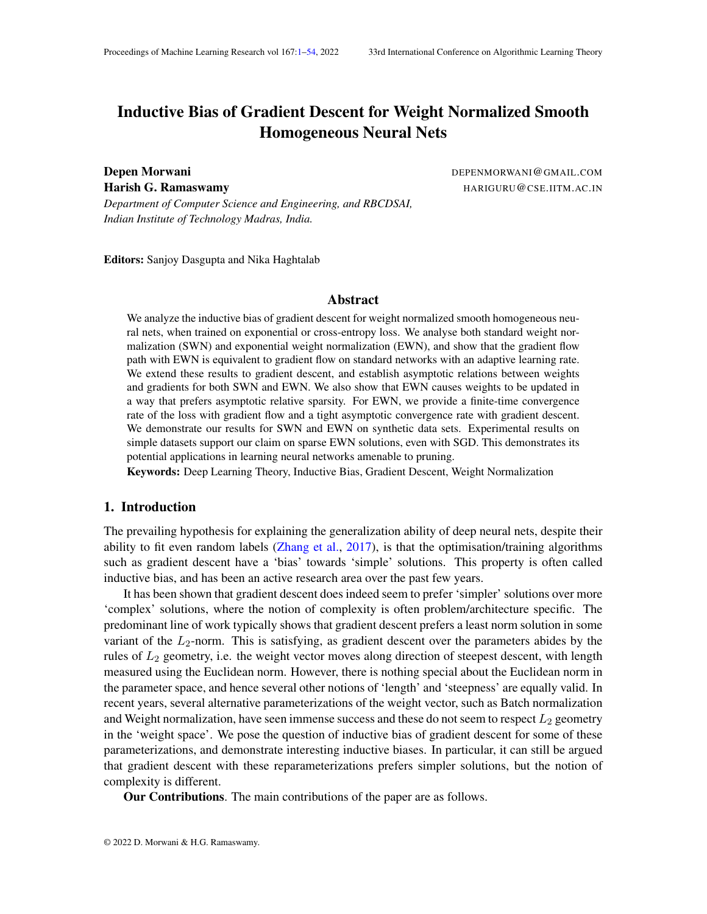In this case, using Equation (10), we can  $\frac{d_{k\mathbf{w}_u(t)k}^{k\mathbf{w}_u(t)k}}{dt} > 0$  at t<sub>2</sub>. Thus, $\frac{k\mathbf{w}_u(t)k}{k\mathbf{w}_v(t)k}$  always remains greater than $\frac{1}{(c_-)\cos(-)}$  and keeps on increasing. Let's den $\frac{\aleph \aleph e^{\sqrt{(t_2)}k}}{\aleph \aleph \sqrt{(t_2)}k}$  by  $-$ . Then, fort > t  $_2,$ 

$$
\frac{d_{\frac{kw_u(t)k}{kw_v(t)k}}^{kw_u(t)k}}{dt} \qquad \cos( ) \quad \frac{1}{c} \qquad (t) kw_u(t)kkr_{w_u}L(w(t))k
$$

As  $_{\sf u}$  ! 1 ,  $_{\sf t_2}^{\sf R_1}$  $t_2^{\dagger}$  (t)kw<sub>u</sub>(t)kkr <sub>wu</sub> L(w(t))kdt = 1 using Equation (7). Thus, integrating both the sides of the equation above fromto 1, we get

$$
\begin{matrix} Z_{1} & d\frac{k w_u(t)k}{k w_v(t)k} \\ & t_{2} & dt \end{matrix} \quad \text{at} \quad 1
$$

Thuslim $_{\mathsf{t}}$ !1  $\frac{\mathsf{kw}_\mathsf{u}(\mathsf{t})\mathsf{k}}{\mathsf{kw}_\mathsf{u}(\mathsf{t})\mathsf{k}}$  $\frac{kw_u(t)K}{kw_v(t)k}$  = 1. A similar proof works for the part (iii)b of Proposition 5 as well.

#### 8. Conclusion

In this paper, we analyze the inductive bias of weight normalization for smooth homogeneous neural nets and show that exponential weight normalization is likely to lead to asymptotically sparse solutions and has a faster convergence rate than unnormalized or standard weight normalized networks.

The smooth homogeneity assumptions made in the paper are satis ed by any positive power of ReLU greater than 1. The primary issue with ReLU is that the assumption of gradients converging in direction does not make sense for the non-smooth case. However, as our experiments demonstrate, the implication of relative sparsity holds for ReLU activation as well. Therefore, extending the results in the paper for the non-smooth case is a promising research direction.

Although the trajectory based assumptions have been shown to hold for gradient ow on unnormalized nets under certain regularity conditions, establishing similar conditions for weight normalized networks remains an open question. Moreover, extending the directional convergence results from gradient ow to gradient descent is also an interesting research direction.

### References

Sanjeev Arora, Zhiyuan Li, and Kaifeng Lyu. Theoretical analysis of auto rate-tuning by batch normalization. InInternational Conference on Learning Representations 9. URLhttps: //openreview.net/forum?id=rkxQ-nA9FX .

Jimmy Lei Ba, Jamie Ryan Kiros, and Geoffrey E Hinton. Layer normalization with preprint arXiv:1607.064502016.

Nils Bjorck, Carla P Gomes, Bart Selman, and Kilian Q Weinberger. Understanding batch normalization. In S. Bengio, H. Wallach, H. Larochelle, K. Grauman, N. Cesa-Bianchi, and R. Garnett, editorsAdvances in Neural Information Processing Systems padges 7694–7705. Curran Associates, Inc., 2018. URttp://papers.nips.cc/paper/ 7996-understanding-batch-normalization.pdf .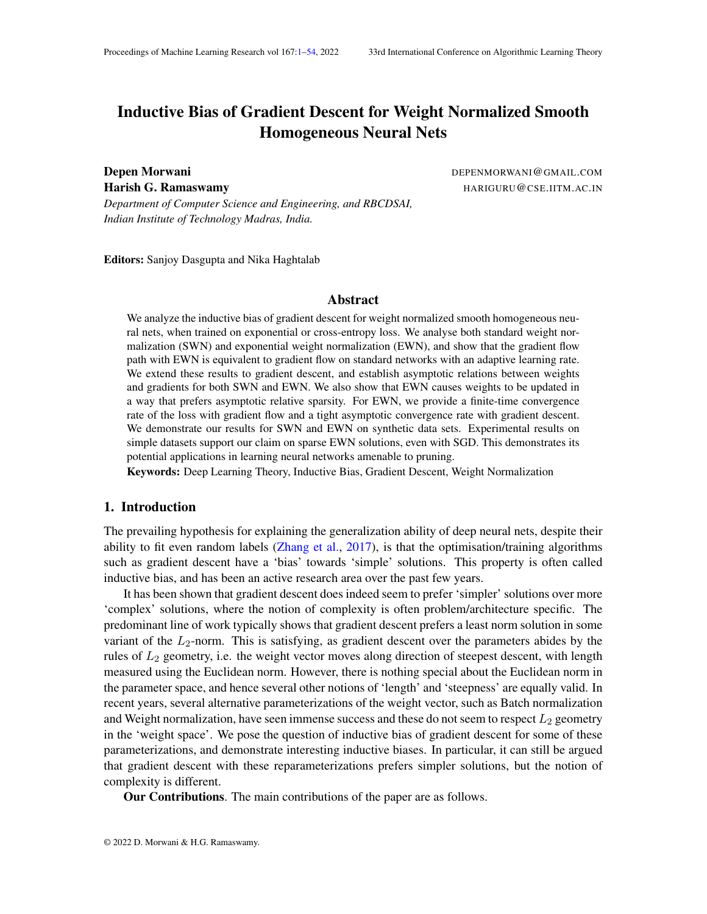Yongqiang Cai, Qianxiao Li, and Zuowei Shen. A quantitative analysis of the effect of batch normalization on gradient descent. volume 97 Pootceedings of Machine Learning Research pages 882–890, Long Beach, California, USA, 09–15 Jun 2019. PMLR. blktl:// proceedings.mlr.press/v97/cai19a.html .

- Lénac Chizat and Francis Bach. Implicit bias of gradient descent for wide two-layer neural networks trained with the logistic loss. volume 125 Portoceedings of Machine Learning Research pages 1305–1338. PMLR, 09–12 Jul 2020. URttp://proceedings.mlr.press/ v125/chizat20a.html .
- Yann N. Dauphin, Angela Fan, Michael Auli, and David Grangier. Language modeling with gated convolutional networks. volume 70 Mroceedings of Machine Learning Researchages 933– 941, International Convention Centre, Sydney, Australia, 06-11 Aug 2017. PMLR. htt RL //proceedings.mlr.press/v70/dauphin17a.html .
- Simon Du, Jason Lee, Yuandong Tian, Aarti Singh, and Barnabas Poczos. Gradient descent learns one-hidden-layer CNN: Don't be afraid of spurious local minima. volume 8D roceedings of Machine Learning Researchages 1339–1348, Stockholm stockholm Sweden, 10–15 Jul 2018. PMLR. URLhttp://proceedings.mlr.press/v80/du18b.html .
- Yonatan Dukler, Quanquan Gu, and Guido Motat. Optimization theory for relu neural networks trained with normalization layers. International Conference on Machine Learning 020.
- Suriya Gunasekar, Jason Lee, Daniel Soudry, and Nathan Srebro. Characterizing implicit bias in terms of optimization geometry. volume 80 Portoceedings of Machine Learning Research ages 1832–1841, Stockholmsänsan, Stockholm Sweden, 10–15 Jul 2018a. PMLR. URL: //proceedings.mlr.press/v80/gunasekar18a.html .
- Suriya Gunasekar, Jason D Lee, Daniel Soudry, and Nati Srebro. Implicit bias of gradient descent on linear convolutional networks. In S. Bengio, H. Wallach, H. Larochelle, K. Grauman, N. Cesa-Bianchi, and R. Garnett, editor&dvances in Neural Information Processing Systems 34 es 9461–9471. Curran Associates, Inc., 2018b. URtp://papers.nips.cc/paper/ 8156-implicit-bias-of-gradient-descent-on-linear-convolutional-networks. pdf .
- Felix Hieber, Tobias Domhan, Michael Denkowski, David Vilar, Artem Sokolov, Ann Clifton, and Matt Post. Sockeye: A toolkit for neural machine translation, 2018.
- Arthur Jacot, Franck Gabriel, and Clement Hongler. Neural tangent kernel: Convergence and generalization in neural networks. In S. Bengio, H. Wallach, H. Larochelle, K. Grauman, N. Cesa-Bianchi, and R. Garnett, editorial vances in Neural Information Processing Systems 31 pages 8571–8580. Curran Associates, Inc., 2018. bltp://papers.nips.cc/paper/ 8076-neural-tangent-kernel-convergence-and-generalization-in-neural-networks. pdf .
- Ziwei Ji and Matus Telgarsky. The implicit bias of gradient descent on nonseparable data. volume 99 of Proceedings of Machine Learning Researchages 1772–1798, Phoenix, USA, 25–28 Jun 2019a. PMLR. URLhttp://proceedings.mlr.press/v99/ji19a.html .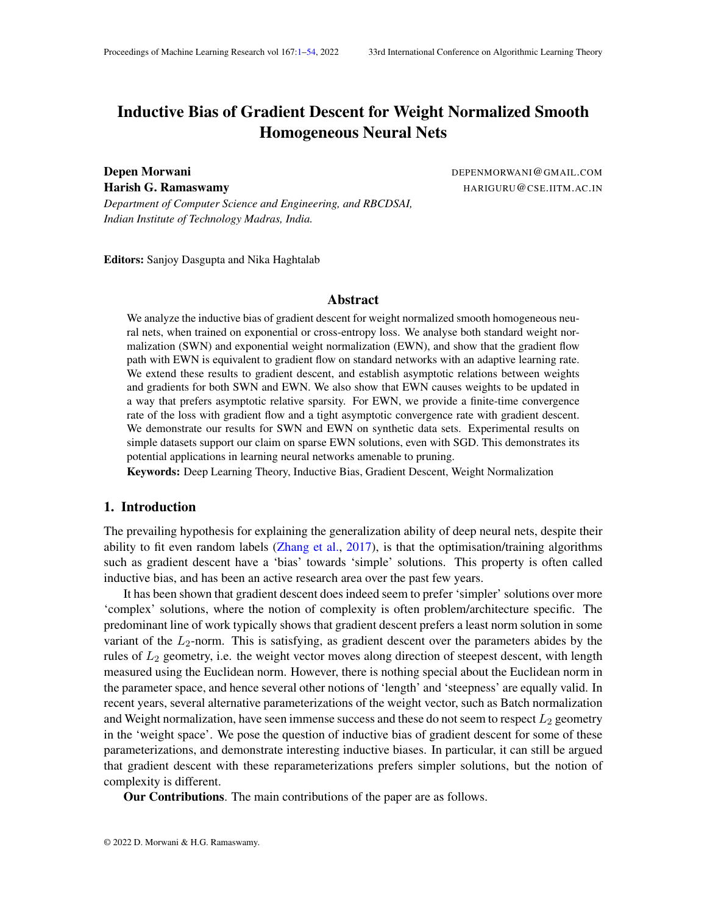Ziwei Ji and Matus Telgarsky. A re ned primal-dual analysis of the implicit bias, 2019b.

- Ziwei Ji and Matus Telgarsky. Gradient descent aligns the layers of deep linear networks. In ternational Conference on Learning Representations 9c. URLhttps://openreview. net/forum?id=HJflg30qKX .
- Ziwei Ji and Matus Telgarsky. Directional convergence and alignment in deep learaitXay preprint arXiv: 2006.0665,72020.
- Jin-Hwa Kim, Jaehyun Jun, and Byoung-Tak Zhang. Bilinear attention networks. In S. Bengio, H. Wallach, H. Larochelle, K. Grauman, N. Cesa-Bianchi, and R. Garnett, ed Ad-rs, vances in Neural Information Processing Systems ume 31, pages 1564–1574. Curran Associates, Inc., 2018. URIhttps://proceedings.neurips.cc/paper/2018/file/ 96ea64f3a1aa2fd00c72faacf0cb8ac9-Paper.pdf .
- Jonas Kohler, Hadi Daneshmand, Aurelien Lucchi, Thomas Hofmann, Ming Zhou, and Klaus Neymeyr. Exponential convergence rates for batch normalization: The power of length-direction decoupling in non-convex optimization. volume 89 Rotoceedings of Machine Learning Research, pages 806–815. PMLR, 16–18 Apr 2019. URIttp://proceedings.mlr. press/v89/kohler19a.html .
- Yann LeCun, Corinna Cortes, and CJ Burges. Mnist handwritten digit databased. [Online]. Available: http://yann.lecun.com/exdb/mnist 2010.
- Boyi Li, Felix Wu, Kilian Q Weinberger, and Serge Belongie. Positional normalization. In H. Wallach, H. Larochelle, A. Beygelzimer, F. d`A $\&c$ ch Buc, E. Fox, and R. Garnett, editorsAdvances in Neural Information Processing Systems 22 ages 1622–1634. Curran Associates, Inc., 2019. URttp://papers.nips.cc/paper/ 8440-positional-normalization.pdf .
- Ping Luo, Xinjiang Wang, Wenqi Shao, and Zhanglin Peng. Towards understanding regularization in batch normalization. Inhternational Conference on Learning Representations 9. URL https://openreview.net/forum?id=HJlLKjR9FQ .
- Kaifeng Lyu and Jian Li. Gradient descent maximizes the margin of homogeneous neural networks. In International Conference on Learning Representations 20. URL https:// openreview.net/forum?id=SJeLIgBKPS .
- Edward Moroshko, Suriya Gunasekar, Blake Woodworth, Jason D. Lee, Nathan Srebro, and Daniel Soudry. Implicit bias in deep linear classi cation: Initialization scale vs training accuracy, 2020.
- M. Muresan. A Concrete Approach to Classical AnalysigMS Books in Mathematics. Springer New York, 2015. ISBN 9780387789330. UR ttps://books.google.co.in/books? id=N8rBgtIu\_qgC
- Mor Shpigel Nacson, Suriya Gunasekar, Jason Lee, Nathan Srebro, and Daniel Soudry. Lexicographic and depth-sensitive margins in homogeneous and non-homogeneous deep models. volume 97 ofProceedings of Machine Learning Researplages 4683–4692, Long Beach, California, USA, 09-15 Jun 2019a. PMLR. URtttp://proceedings.mlr.press/v97/ nacson19a.html .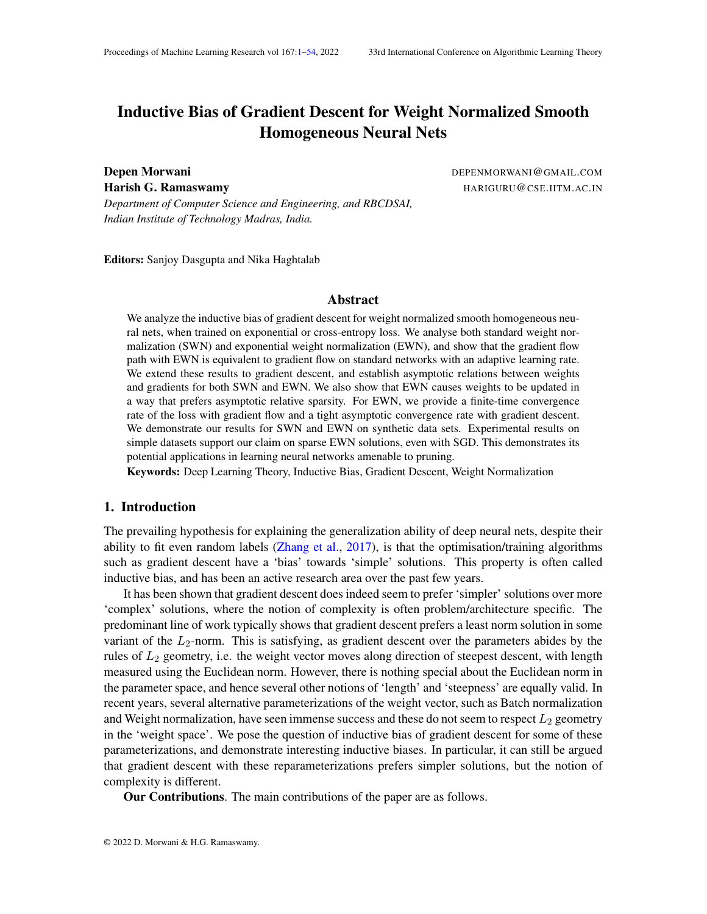- Mor Shpigel Nacson, Jason Lee, Suriya Gunasekar, Pedro Henrique Pamplona Savarese, Nathan Srebro, and Daniel Soudry. Convergence of gradient descent on separable data. volume 89 of Proceedings of Machine Learning Researchges 3420-3428. PMLR, 16-18 Apr 2019b. URL http://proceedings.mlr.press/v89/nacson19b.html
- Mor Shpigel Nacson, Nathan Srebro, and Daniel Soudry. Stochastic gradient descent on separable data: Exact convergence with a xed learning rate. volume 89 rofeedings of Machine Learning Researchpages 3051–3059. PMLR, 16–18 Apr 2019c. URtp://proceedings. mlr.press/v89/nacson19a.html .
- Siyuan Qiao, Huiyu Wang, Chenxi Liu, Wei Shen, and Alan Yuille. Rethinking normalization and elimination singularity in neural networkarXiv preprint arXiv:1911.097382019.
- Siyuan Qiao, Huiyu Wang, Chenxi Liu, Wei Shen, and Alan Yuille. Micro-batch training with batch-channel normalization and weight standardization, 2020.
- Simon Roburin, Yann de Mont-Marin, Andrei Bursuc, Renaud Marlet, Patretred, and Mathieu Aubry. Spherical perspective on learning with batch normalixiv preprint arXiv:2006.13382 2020.
- Tim Salimans and Durk P Kingma. Weight normalization: A simple reparameterization to accelerate training of deep neural networks. In D. D. Lee, M. Sugiyama, U. V. Luxburg, I. Guyon, and R. Garnett, editors,dvances in Neural Information Processing Systems 29 pages 901–909. Curran Associates, Inc., 2016. *URp://papers.nips.cc/paper/* 6114-weight-normalization-a-simple-reparameterization-to-accelerate-training-of-deep-neural-networks. pdf .
- Shibani Santurkar, Dimitris Tsipras, Andrew Ilyas, and Aleksander Madry. How does batch normalization help optimization? In S. Bengio, H. Wallach, H. Larochelle, K. Grauman, N. Cesa-Bianchi, and R. Garnett, editoris, Announces in Neural Information Processing Systems 31 pages 2483–2493. Curran Associates, Inc., 2018. bltp://papers.nips.cc/paper/ 7515-how-does-batch-normalization-help-optimization.pdf .
- Jure Sokolic, Raja Giryes, Guillermo Sapiro, and Miguel R. D. Rodrigues. Robust large margin deep neural networksEEE Transactions on Signal Processing 5(16):4265-4280, Aug 2017. ISSN 1941-0476. doi: 10.1109/tsp.2017.2708039. URb://dx.doi.org/10.1109/ TSP.2017.2708039 .
- Daniel Soudry, Elad Hoffer, and Nathan Srebro. The implicit bias of gradient descent on separable data. In International Conference on Learning Representations 8. URLhttps: //openreview.net/forum?id=r1q7n9gAb .
- Xiaoxia Wu, Edgar Dobriban, Tongzheng Ren, Shanshan Wu, Zhiyuan Li, Suriya Gunasekar, Rachel Ward, and Qiang Liu. Implicit regularization and convergence for weight normalization. In H. Larochelle, M. Ranzato, R. Hadsell, M. F. Balcan, and H. Lin, editors, vances in Neural Information Processing Systems amery 33, pages 2835–2847. Curran Associates, Inc., 2020. URIhttps://proceedings.neurips.cc/paper/2020/file/ 1de7d2b90d554be9f0db1c338e80197d-Paper.pdf .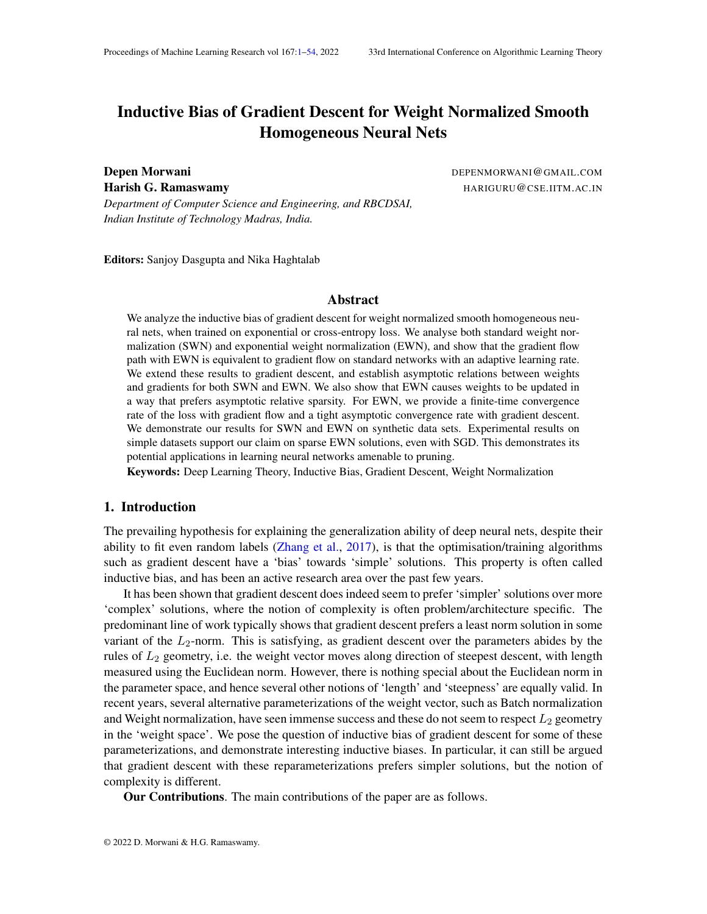Chiyuan Zhang, Samy Bengio, Moritz Hardt, Benjamin Recht, and Oriol Vinyals. Understanding deep learning requires rethinking generalization. In the mational Conference on Learning Representation 2017. URL https://openreview.net/forum?id=Sy8gdB9xx

#### Appendix A. Proof of Theorem 1

Theorem The gradient ow path with learning rate(t) for EWN and SWN are given as follows:

$$
EWN: \frac{dw_u(t)}{dt} = (t)kw_u(t)k^2r_{w_u}L
$$
  
\n
$$
SWN: \frac{dw_u(t)}{dt} = (t) \quad kw_u(t)k^2r_{w_u}L + \frac{1}{kw_u(t)k^2} \quad (w_u(t)^r r_{w_u}L)w_u(t)
$$

The proof for the two parts will be provided in different subsections, where the corresponding part will be restated for ease of the reader.

#### A.1. Exponential Weight Normalization

Theorem The gradient ow path with learning rate(t) for EWN is given by:

$$
\frac{dw_{u}(t)}{dt} = (t)kw_{u}(t)k^{2}r_{w_{u}}L
$$

Proof In case of EWN, weights are reparameterized  $a$ s e  $\frac{v_u}{kv_u k}$ . Then

$$
r_{u}L = e^{u} \frac{v_{u}^{2} r_{w_{u}}L}{kv_{u}k}
$$

$$
r_{v_{u}}L = \frac{e^{u}}{kv_{u}k} \quad I \quad \frac{v_{u}v_{u}^{2}}{kv_{u}k^{2}} \quad r_{w_{u}}L
$$

Now, in case of gradient ow with learning rate  $(t)$ , we can say

$$
\frac{d_u(t)}{dt} = (t)r_u L = (t)e^{u(t)} \frac{v_u(t)^s r_{w_u}L}{kv_u(t)k}
$$
\n
$$
\frac{dv_u(t)}{dt} = (t)r_{v_u}L = (t)\frac{e^{u(t)}}{kv_u(t)k} + \frac{v_u(t)v_u(t)^s}{kv_u(t)k^2}r_{w_u}L
$$

Now, using these equations, we can say

$$
\frac{dkv_{u}(t)k^{2}}{dt}=2v_{u}(t)^{2}-\frac{dv_{u}(t)}{dt}=0
$$

Thus,  $kv<sub>u</sub>(t)$ k does not change with time. As we assum to  $q(0)$ k to be 1, therefore for any t,  $kv_{u}(t)$ k = 1. Using this simpli cation, we can write

$$
\frac{dw_u(t)}{dt} = \frac{d(e^{-u(t)}v_u(t))}{dt}
$$
\n
$$
= e^{-u(t)}(t)e^{-u(t)}(1 - v_u(t)v_u(t)^)r w_uL) \qquad (t)e^{2-u(t)}(v_u(t)^)r w_uL)v_u(t)
$$
\n
$$
= (t)e^{2-u(t)}r w_uL
$$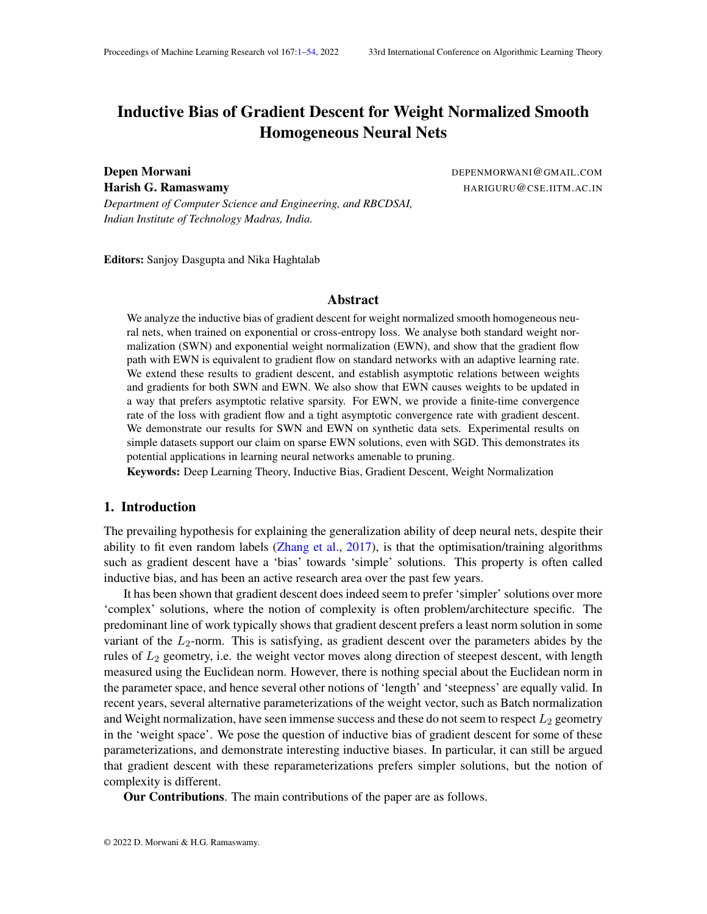Thus, the gradient ow path with exponential weight normalization can be replicated by an adaptive learning rate given by(t)kw<sub>u</sub>(t)k<sup>2</sup>.

#### A.2. Standard Weight Normalization

Theorem The gradient ow path with learning rate(t) for SWN is given by:

$$
\frac{dw_{u}(t)}{dt} = (t) \quad kw_{u}(t)k^{2}r_{w_{u}}L + \frac{1}{2} \frac{k w_{u}(t)k^{2}}{k w_{u}(t)k^{2}} \quad (w_{u}(t)^{2}r_{w_{u}}L)w_{u}(t)
$$

Proof In case of SWN, weights are reparameterized as  $v_{\text{av}}^{\text{v}}$  $\frac{{{\sf v}}_{\sf u}}{{{\sf kv}}_{\sf u}{\sf k}}$ . Then

$$
r_{u}L = \frac{v_{u}^{s}r_{w_{u}}L}{kv_{u}k}
$$

$$
r_{v_u}L = \frac{u}{kv_u k} \quad I \quad \frac{v_u v_u^2}{kv_u k^2} \quad r_{w_u}L
$$

Now, in case of gradient ow with learning rate  $(t)$ , we can say

$$
\frac{d_{u}(t)}{dt} = (t)r_{u}L = (t)\frac{v_{u}(t)^{2}r_{w_{u}}L}{kv_{u}(t)k}
$$
\n
$$
\frac{dv_{u}(t)}{dt} = (t)r_{vu}L = (t)\frac{u(t)}{kv_{u}(t)k} + \frac{v_{u}(t)v_{u}(t)^{2}}{kv_{u}(t)k^{2}} r_{w_{u}}L
$$

Now, similar to EWN, kv<sub>u</sub>(t) k does not change with time. Using the fact that  $(t)$  k = 1 for all t, we can say

$$
\frac{dw_{u}(t)}{dt} = \frac{d(u(t)v_{u}(t))}{dt}
$$
\n
$$
= u(t)((t) u(t)(1 - v_{u}(t)v_{u}(t))^{2})r w_{u}L \t (t)(v_{u}(t))^{2}r w_{u}L)v_{u}(t)
$$
\n
$$
= (t)(u(t)^{2}r w_{u}L + (1 - u(t)^{2})(v_{u}(t))^{2}r w_{u}L)v_{u}(t)
$$
\n
$$
= (t) u(t)^{2}r w_{u}L + \frac{1 - u(t)^{2}}{u(t)^{2}} (w_{u}(t))^{2}r w_{u}L)w_{u}(t)
$$

Replacing  $_{u}(t)$  by kw $_{u}(t)$ k gives the required expression.

# Appendix B. Proof of Proposition 2

Proposition Under assumption (A1) for gradient ow, for both SWN and  $EWM_{\text{h1}}$  L(w(t)) = 0.

The proof for SWN, as it is homogeneous in its parameters, was provided by Lyu and Li (2020). We provide the proof for EWN.

 $\blacksquare$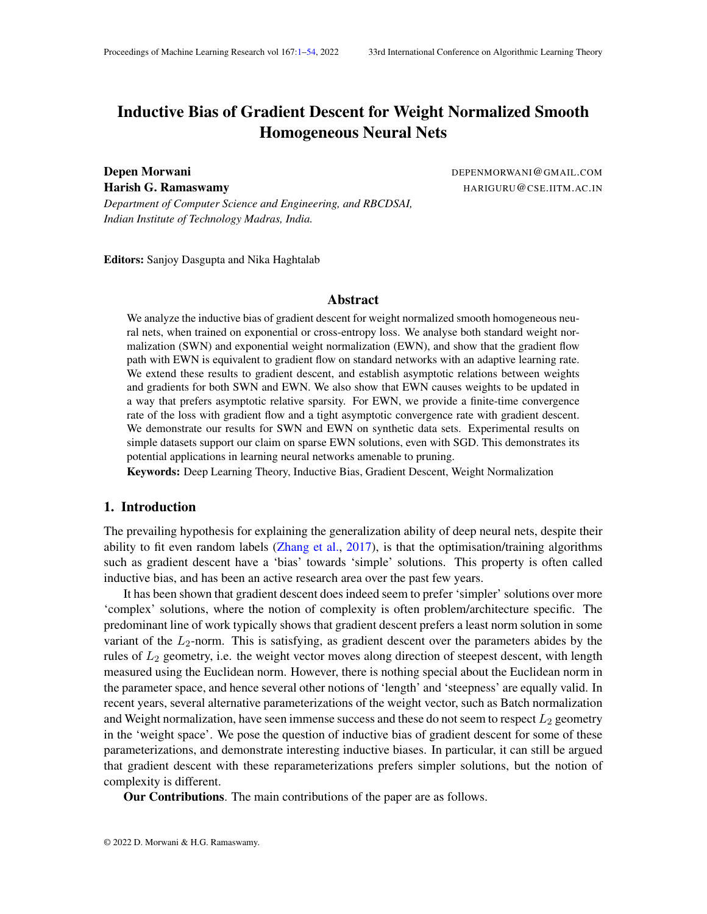First of all, for exponential loss

$$
\frac{dL(t)}{dw} = \sum_{i}^{X} e^{-y_i + (w(t);x_i)} y_i r_w + (w(t);x_i)
$$
 (11)

Now, using Theorem 1,

$$
\frac{dL(t)}{dt} = \frac{dL(t)}{dw} > \frac{dw(t)}{dt} = \frac{X}{u} \quad kw_u(t)k^2 \frac{dL(t)}{dw_u}^2
$$

P<br>Let k be the total number of neurons in the network. Then using the elementary inequa<u>lity,</u>  $\frac{d}{dx}$ y, a<sub>i</sub>)<sup>2</sup> ⊾קש<br>⊓ ¦¦  $_{i=1}^{n}$  a<sup>2</sup>, we get  $\mathbf{I}$ 

Again using the fact that 
$$
(t) > \frac{dL(t)}{dt}
$$
  $\frac{1}{k} \int_{u}^{x} kw_u(t)k \frac{dL(t)}{dw_u}$ , we get  
\n
$$
\frac{dL(t)}{dw} = \int_{u}^{u} kw_u(t)k \frac{dL(t)}{dw_u}
$$
, we get  
\n
$$
\frac{dL(t)}{dt} = \frac{1}{k} w(t)^{3} \frac{dL(t)}{dw} = \frac{2}{k} (12)
$$

Taking the dot product with on both sides of Equation (11) and using r<sub>w</sub> (w;x<sub>i</sub>) = L ( $w; x_i$ ) (Euler's homogeneity theorem), we get

$$
w(t)^{\geq} \frac{dL(t)}{dw} = L^{\times} e^{-y_i(w(t);x_i)} y_i(w(t);x_i)
$$

Now, using the fact, that at timte, L(t<sub>0</sub>) < 1, which mean $\bm{\mathsf{s}}$ nin<sub>i</sub> y<sub>i</sub> ( w(t<sub>0</sub>); x<sub>i</sub>) =  $\,$  > 0. Also, as we know, for gradient ow, the loss cannot go up, therefore, for any time  $_0$ , min<sub>i</sub> y<sub>i</sub> ( w(t); x<sub>i</sub>) >  $> 0$ . Using this, we can say, for any t  $_0$ ,

$$
w(t)^{>}\frac{dL(t)}{dw} \qquad L \ L(t)
$$

Substituting this in Equation (12), we get

$$
\frac{dL(t)}{dt} \qquad \frac{L^2}{k}^2 L(t)^2
$$

Integrating this equation from to t, we get

$$
\frac{1}{L(t)} \quad \frac{1}{L(t_0)} + \frac{L^2}{k} (t \quad t_0) \tag{13}
$$

Clearly as t tends to  $\bullet$ , RHS tends to  $\bullet$  and thusL tends to  $0$ .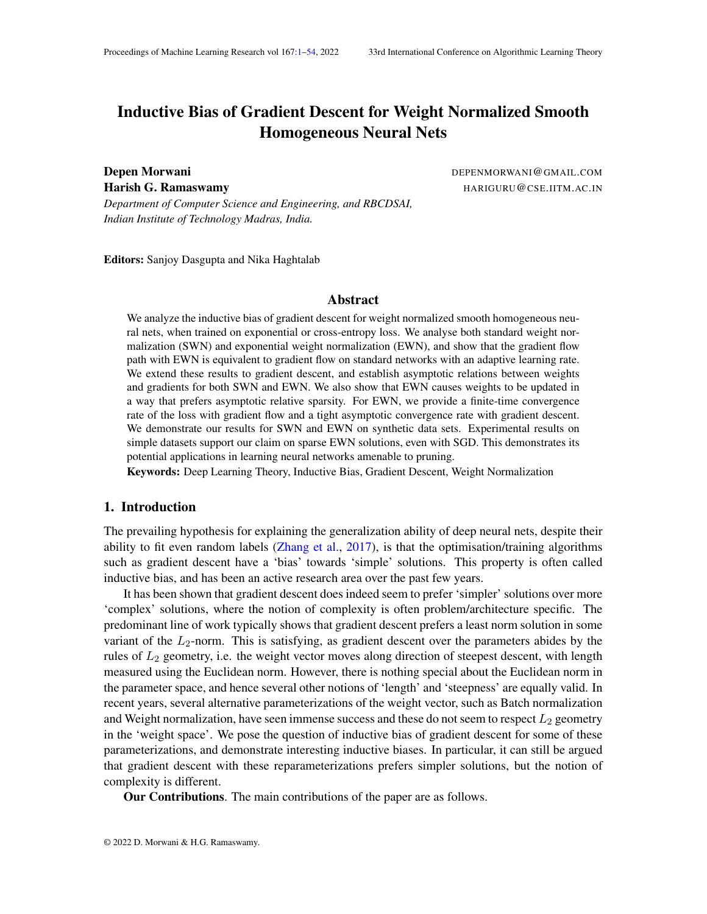# Appendix C. Proof of Theorem 3

Theorem Consider a nodeu in the network with  $q_{u}$  k > 0 and  $\lim_{t \downarrow 1}$  kw<sub>u</sub>(t) k = 1. Under assumptions (A1), (A2) for gradient ow and (B1)-(B3) for gradient descent, for both SWN and EWN

(i) 
$$
\lim_{t \to 1} \frac{w_u(t)}{kw_u(t)k} := \mathbf{W}_u
$$
 exists. (ii)  $\mathbf{W}_u = \mathbf{g}_u$  for some > 0.

The proof for different cases will be split into different subsections and corresponding theorem will be stated there for ease of the reader. The proof will depend on the Stolz Cesaro theorem(stated in Appendix K), Integral Form of Stolz-Cesaro Theorem (stated and proved in Appendix K) and following lemmas that have been proved in Appendix J.

Lemma 9 Consider sequence a satisfying the following properties

1. 
$$
a_k > 0
$$
  
\n2.  $P_{1 \atop k=0}^{1} a_k = 1$   
\n3.  $\lim_{k \to 0} a_k = 0$   
\nThen  $P_{1 \atop k=0}^{1} a_{\overline{p}} a_k = 1$ 

Lemma 10 Consider two sequences a and b satisfying the following properties

1. 
$$
a_k > 0
$$
;  $\begin{bmatrix} P_{1} & 0 \ 1 & k=0 \end{bmatrix}$  and  $\lim_{k \to 1} a_k = 0$   
2.  $b_0 > 0$ , *b* is increasing and  $\frac{a_k}{k+1}$  and  $b_k^2 + \frac{a_k}{b_k} = 1$ .  
Then  $\begin{bmatrix} P_{1} & 0 \ 1 & k=0 \end{bmatrix} \begin{bmatrix} \frac{a_k}{b_k} = 1 \end{bmatrix}$ .

### C.1. Exponential Weight Normalization

In this section, we will use  $u(t)$  and kw<sub>u</sub>(t)k interchangeably.

#### C.1.1. GRADIENT FLOW

Theorem Consider a nodeu in the network with  $g_{u}$ k > 0 and  $\lim_{t \downarrow 1}$  kw<sub>u</sub>(t)k = 1. Under assumptions (A1), (A2) for gradient ow, for EWN

(i)  $\lim_{t \downarrow 1} \frac{w_u(t)}{kw_u(t)}$ kw <sub>u</sub> (t) k (ii)  $w_u = g_u$  for some  $> 0$ .

Update Equations:

$$
\frac{d_{u}(t)}{dt} = (t)e^{u(t)}(v_{u}(t)^{2}r_{w_{u}}L(w(t)))
$$
\n(14)

$$
\frac{dv_u(t)}{dt} = (t)e^{-u(t)}(1 - v_u(t)v_u(t))^> )r_{w_u}L(w(t))
$$
\n(15)

Proof As kg<sub>u</sub>k > 0, therefore  $w_u L(w(t))$  converges in direction. Therefore, for every at isfying  $0 < 2$ , there exists a time ( ), such that for  $> t_{1}$ ,  $\frac{r_{w,u} L(w(t))}{kr_{w,u} L(w(t))}$ kr <sub>w u</sub> L (w (t)) k > g<sub>u</sub>  $k$ g $_{\rm u}$  k  $cos()$ .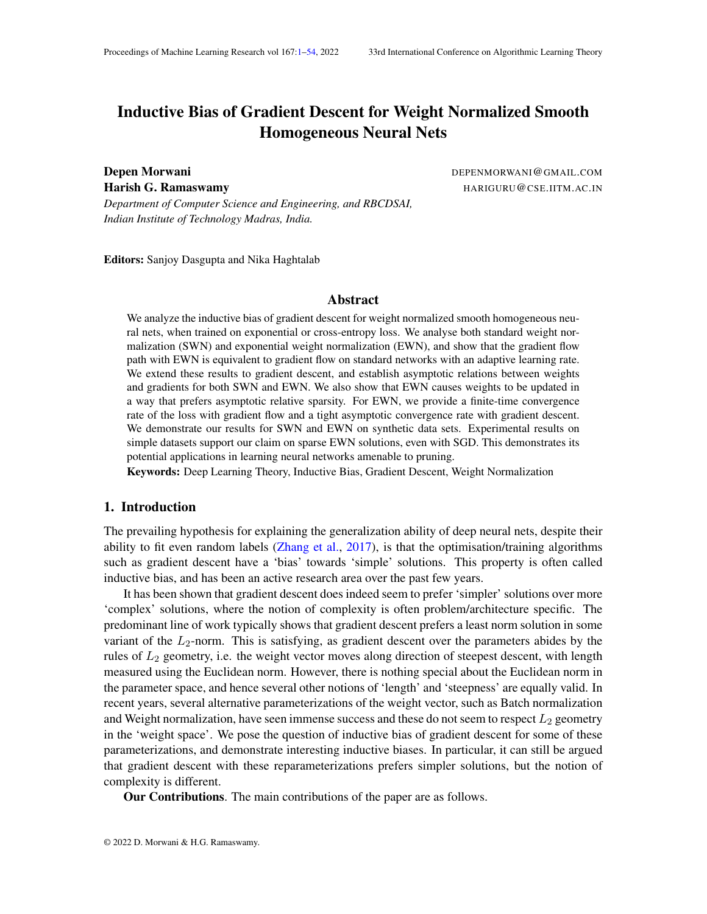Now, Let's assume that  $u_1(t)$  does not converge in the direction  $g_i$ . Then, there must exist a satisfying 0 <  $\lt$  2, such that for this, there exists a time  $_2$  > t<sub>1</sub>() satisfying  $v_u(t_2)$ <sup>></sup>  $\frac{g_u}{k e_u}$  $\frac{g_u}{\text{kg}_u \text{k}}$  = cos( ) , where  $>$  .

Now, we are going to show that for any satisfying  $\lt$   $\lt$  , there exists a time<sub>3</sub>  $>$  t<sub>2</sub> such that  $u(t_3)$ <sup>></sup>  $\frac{e^u}{k e^u}$  $\frac{g_{\mathsf{u}}}{\mathsf{k} g_{\mathsf{u}} \mathsf{k}}$   $\,$  >  $\,$  cos( ). Let's say for a given , no sucht $_3$  exists. Then, taking dot product with $\frac{ {\bf g}_u}{{\bf k} {\bf g}_u {\bf k}}$  on both sides of Equation (15), we can say

$$
\frac{g_u}{k g_u k} \quad \frac{\partial v_u(t)}{\partial t} = \quad (t) e^{-u(t)} k r_{w_u} L(w(t)) k \quad \frac{g_u}{k g_u k} \quad (I - v_u(t) v_u(t)^>) \quad \frac{r_{w_u} L(w(t))}{k r_{w_u} L(w(t)) k}
$$

Now, as  $\frac{g_u}{kg_u k}$  $\frac{r w_u L(w(t))}{r w_u}$  $\frac{\mathsf{r}-\mathsf{w}_\mathsf{u} \mathsf{L}(\mathsf{w}(\mathsf{t}))}{\mathsf{kr}_{-\mathsf{w}_\mathsf{u} \mathsf{L}(\mathsf{w}(\mathsf{t})) \mathsf{k}}$  cos() and  $\frac{\mathsf{g}_\mathsf{u}}{\mathsf{k} \mathsf{g}_\mathsf{u} \mathsf{k}}$ ><br> v<sub>u</sub> cos( ), we can say

$$
\frac{g_u}{kg_u k} \times \frac{d v_u(t)}{dt} \qquad (t) e^{u(t)} k r_{w_u} L(w(t)) k(\cos(\theta) - \cos(\theta)) \tag{16}
$$

Now, using the fact that  $\frac{1}{4}$  1 and using Equation (14), we can say  $\mathsf{Z}_{1}$ 

$$
t = t_2
$$
 (t) e<sup>u(t)</sup>kr w<sub>u</sub>L(w(t))kdt = 1

Using this fact and integrating the Equation  $(16)$  on both the sides for  $\frac{1}{2}$  we get a contradiction as vectors on LHS have a nite norm while RHS tends to Thus, for every between and , there must exist  $t_8$ , such that  $u(t_3)$ <sup>></sup>  $\frac{g_u}{k_1}$  $\frac{g_u}{kg_u k}$  > cos( ).

Now, we are going to show for atl  $t_3$ ,  $v_u(t)$ <sup>></sup>  $\frac{g_u}{k \epsilon_u}$  $\frac{g_u}{\text{kg}_u \text{k}}$  > cos( ). Now, consider any such that  $\langle$   $\langle$  . Using similar argument as in Equation (16), we can say, if fortary t<sub>3</sub>,  $v_u(t_4)$ <sup>></sup>  $\frac{g_u}{k e_u}$  $\frac{ \mathsf{g}_\mathsf{u} }{ \mathsf{k} \mathsf{g}_\mathsf{u} \mathsf{k} }$  < cos( ), then

$$
\frac{\mathbf{g}_u}{\mathbf{k}\mathbf{g}_u\mathbf{k}} \quad \frac{\partial \mathbf{v}_u(t_4)}{\partial t} \qquad (t_4) e^{-u(t_4)} \mathbf{k} \mathbf{r}_{w_u} L(w(t_4)) \mathbf{k}(\cos(\theta) - \cos(\theta)) \tag{17}
$$

This means that the dot product betwe $\theta^{{\bf g}_u}_{\theta_u k}$   $\;$  and $\mathsf{v}_u(\mathsf{t})$  goes up, whenever $\frac{{\bf g}_u}{\mathsf{k} {\bf g}_u \mathsf{k}}$  $>$   $v<sub>u</sub>(t)$  < cos(). Therefore, its not possible that  $y(t)$ <sup>></sup>  $\frac{g_u}{k \epsilon_u}$  $\frac{g_u}{\text{kg}_u \text{k}}$  cos( ) for any t > t  $_3$ . As can be arbitrarily chosen betweenand, w<sub>u</sub>(t) converges in the direction  $\mathbf{g}_{u}^{f}$ .

#### C.1.2. GRADIENT DESCENT

Theorem Consider a nodeu in the network with  $kg_{\rm u}$  is  $> 0$  and  $\lim_{t \downarrow 1}$  kw<sub>u</sub>(t)k = 1. Under assumptions (B1)-(B3) for gradient descent, for EWN

(i)  $\lim_{t \downarrow 1} \frac{w_u(t)}{kw_u(t)}$  $\overline{\mathsf{kw}_\mathsf{u}(\mathsf{t})\mathsf{k}}$ (ii)  $\mathbf{w}_u = \mathbf{g}_u$  for some  $> 0$ .

Update Equations:

$$
u(t + 1) = u(t) \qquad (t) e^{u(t)} \frac{v_u(t)^r r_{w_u} L(w(t))}{kv_u(t)k}
$$
 (18)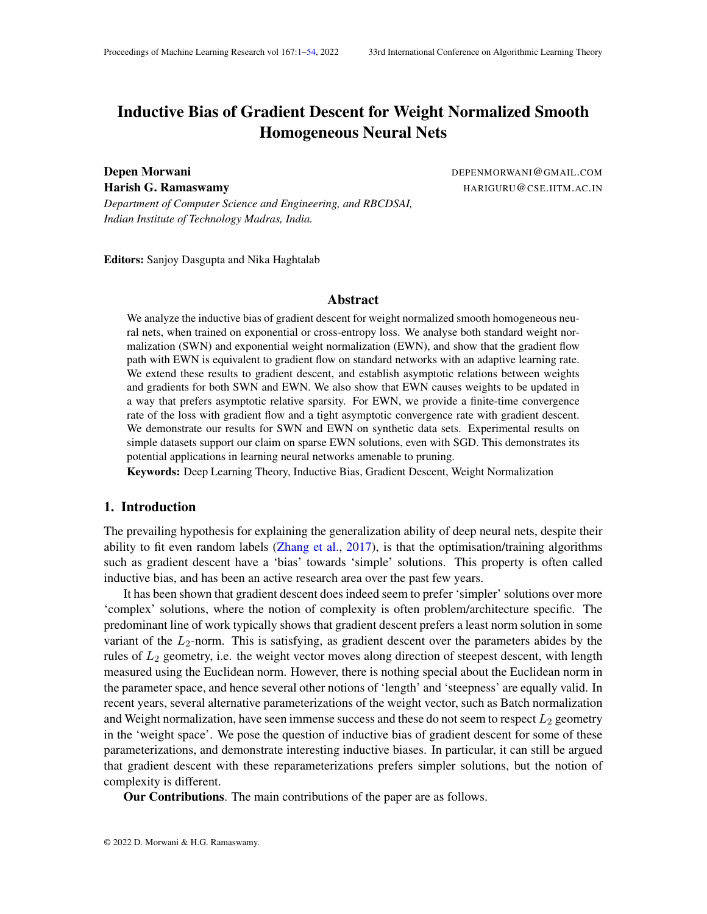$$
v_{u}(t+1) = v_{u}(t) \t (t) \frac{e^{u(t)}}{kv_{u}(t)k} \t l \frac{v_{u}(t)v_{u}(t)^{2}}{kv_{u}(t)k^{2}} \t r_{w_{u}}L(w(t)) \t (19)
$$

Proof

As kg<sub>u</sub>k > 0, thereforer  $w_u L(w(t))$  converges in direction. Therefore, for every at is fying 0 < < 2, there exists a time<sub>1</sub>( ), such that fort > t<sub>1</sub>( ),  $\frac{r}{kr}$  will  $(w(t))$  $\overline{\mathsf{k}\mathsf{r}}\,\,$   $_{\mathsf{w}\,\mathsf{u}}$  L (w (t))  $\mathsf{k}$ > geu  $k$ g $_{\rm u}$  k  $cos($ ). Now, Let's assume that  $u(t)$  does not converge in the direction of Fig. Then, there must exist a satisfying0 < < 2, such that for this, there exists a time<sub>2</sub> > t<sub>1</sub>() satisfying  $v_u(t_2)$ <sup>></sup>  $\frac{g_u}{k}$  $\frac{g_u}{\text{kg}_u \text{k}}$  = cos( ) , where  $>$  .

Now, we are going to show that for any satisfying  $\lt$   $\lt$  , there exists a time<sub>3</sub>  $>$  t<sub>2</sub> such that  $\frac{{\sf v}_{{\sf u}}({\sf t}_3)}{{\sf kv}_{{\sf u}}({\sf t}_3){\sf k}}$ > gu  $\frac{g_{\rm u}}{\log_{\rm u} \rm k}$   $\,$  >  $\,$  cos( ). Let's say for a given , no sucht $_3$  exists. Then, taking dot product with $\frac{ {\bf g}_u}{\mathsf{kg}_\mathtt{u} \mathsf{k}}$  on both sides of Equation (19), we can say

$$
\frac{v_{u}(t+1)^{3}g_{u}}{kg_{u}k} = \frac{v_{u}(t)^{3}g_{u}}{kg_{u}k} +
$$
\n
$$
(t) \frac{e^{u(t)}}{kv_{u}(t)k}kr_{w_{u}}L(w(t))k \frac{g_{u}}{kg_{u}k}^{3} \qquad I \qquad \frac{v_{u}(t)v_{u}(t)^{3}}{kv_{u}(t)k^{2}} \qquad \frac{r_{w_{u}}L(w(t))}{kr_{w_{u}}L(w(t))k}
$$
\nNow, as  $\frac{g_{u}}{kg_{u}k}^{3} \qquad \frac{r_{w_{u}}L(w(t))}{kr_{w_{u}}L(w(t))k}$  cos( ) and  $\frac{g_{u}}{kg_{u}k}^{3} \qquad \frac{v_{u}(t)}{kv_{u}(t)k}$  cos( ), we can say\n
$$
\frac{v_{u}(t+1)^{3}g_{u}}{kg_{u}k} = \frac{v_{u}(t)^{3}g_{u}}{kg_{u}k} + (\cos( ) \quad \cos( ) ) \qquad (t) \frac{e^{u(t)}}{kv_{u}(t)k}kr_{w_{u}}L(w(t))k \qquad (20)
$$

However, in this case,  $v_u(t)$ k doesn't stay constant and thus increase in dot product doesn't directly correspond to an increase in angle. Now, using Equation (19), we can say

$$
kv_{u}(t+1) k^{2} k v_{u}(t) k^{2} + (t) \frac{e^{u(t)}}{kv_{u}(t)k}kr w_{u}L(w(t))k
$$
<sup>1</sup>2 (21)

Using the above two equations, we can say, for time  $t_2$ ,

$$
\frac{v_u(t+1)^>g_u}{kv_u(t+1) \, \text{kg}_u k} \quad \frac{\frac{v_u(t)^>g_u}{kg_u k} + (\cos(\phantom{v} ) \quad \cos(\phantom{v} )) \quad (t) \frac{e^{-u(t)}}{kv_u(t) k} k r_{w_u} L(w(t)) k}{kv_u(t) k^2 + \quad (t) \frac{e^{-u(t)}}{kv_u(t) k} k r_{w_u} L(w(t)) k}^2
$$

Unrolling the equation above, we get

$$
\frac{v_{u}(t+1)^{>}\mathbf{g}_{u}}{kv_{u}(t+1) \, \text{kg}_{u}k} \quad \frac{\frac{v_{u}(t_{2})^{>}\mathbf{g}_{u}}{kg_{u}k} + \frac{P}{k=t_{2}}(\cos(\ ) - \cos(\ )) - (k)\frac{e^{-u(k)}}{kv_{u}(k)k}kr_{w_{u}}L(w(k))k}{kv_{u}(t_{2})k^{2} + \frac{P}{k=t_{2}} - (k)\frac{e^{-u(k)}}{kv_{u}(k)k}kr_{w_{u}}L(w(k))k} \quad (22)
$$

Now, as  $u(t)$  ! 1, therefore, using Equation (18), we can say

$$
\mathbb{R}^{1} \quad (k) e^{-u(k)} k r_{w_u} L(w(k)) k = 1
$$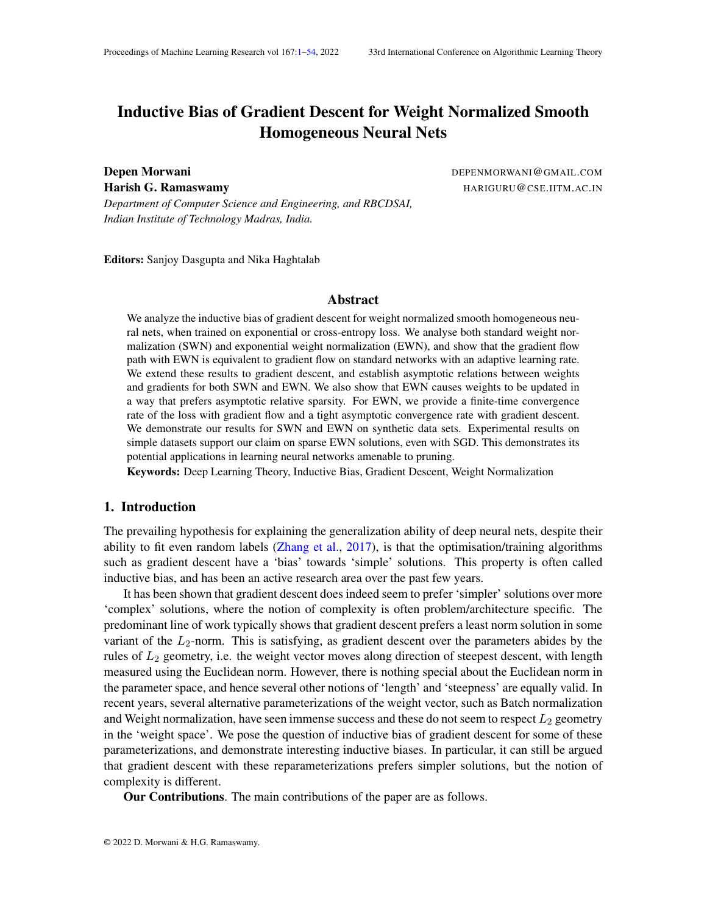Now, using this identity, along with the Assumption (A5), Equation (21) and Lemma 10, we can say

$$
\begin{array}{ll}\nX & (k) \frac{e^{u(k)}}{kv_u(k)k}kr_{w_u}L(w(k))k = 1 \\
\end{array}
$$

Using this along with Equation  $(22)$  and Lemma  $9$ , we can say

$$
\lim_{t\uparrow 1}\ \frac{v_u(t+1)^>\,g_u}{kv_u(t+1)\,kkg_u k}\quad 1
$$

However, this is not possible as the vectors on LHS have bounded norm. This contradicts. Thus there must exist  $\mathbf{t}_3$  such that  $\frac{{\sf v}_{{\sf u}}({\sf t}_3)}{{\sf k}{\sf v}_{{\sf u}}({\sf t}_3){\sf k}}$ ><br>Gu  $\frac{q_u}{kg_u k}$  >  $cos()$ .

Now, we are going to show that there exists  $\phi$  t  $_3$ , such that for alt > t  $_4$ ,  $\frac{v_u(t)}{kv_u(t)}$  $\overline{\mathsf{k}\mathsf{v}_\mathsf{u}}\left(\mathsf{t}\right)$ k ><br>gu <mark>gu</mark> ><br>kguk cos(). Consider a such that  $\lt$   $\lt$  . Now, if at any time t,  $\frac{v_u(t)}{kv_u(t)k}$ ><br>gu  $\frac{g_u}{kg_u k}$  < cos( ), then, similar to Equation  $(20)$ , we can say

$$
\frac{v_{u}(t+1)^{\delta}g_{u}}{kg_{u}k} \quad \frac{v_{u}(t)^{\delta}g_{u}}{kg_{u}k} + (\cos( ) \quad \cos( )) \quad (t) \frac{e^{u(t)}}{kv_{u}(t)k}kr_{w_{u}}L(w(t))k
$$

Using the upper bound  $dw_{\mu}(t + 1)$  k from Equation (21), we can say

$$
\frac{v_{u}(t+1)^{2} g_{u}}{kv_{u}(t+1) kkg_{u}k} \frac{\frac{v_{u}(t)^{2} g_{u}}{kg_{u}k} + (cos( ) ) cos( )) (t) \frac{e^{u(t)}}{kv_{u}(t)k}kr_{w_{u}}L(w(t))k}{kv_{u}(t)k^{2} + (t) \frac{e^{u(t)}}{kv_{u}(t)k}kr_{w_{u}}L(w(t))k^{2}}
$$
(23)

Let  $(t)$   $\frac{e^{u(t)}}{kV_u(t)}$  $\frac{e^{-u(t)}}{kv_u(t)k}$ kr wu L(w(t))k be denoted by (t). Then, the above equation can be rewritten as

$$
\frac{v_{u}(t+1)^{3} g_{u}}{kv_{u}(t+1) \, \text{kk} g_{u} k} \quad \frac{v_{u}(t)^{3} g_{u}}{kv_{u}(t) \text{kk} g_{u} k} \, p \, \frac{k v_{u}(t) k}{kv_{u}(t) k^{2} + (t)^{2}} + (\cos(\ ) \quad \cos(\ )) \, p \, \frac{(t)}{kv_{u}(t) k^{2} + (t)^{2}}
$$

Now, we are going to show that for a small enoug(t), RHS is greater tha $\frac{N_U(t)^5 g_U}{N_U(t) k k_B}$ Rvu(t)′<del>g</del>u<br>Rv<sub>u</sub>(t)kk**g**uk∙

$$
\frac{v_{u}(t)^{3} g_{u}}{kv_{u}(t) k k g_{u}k} P \frac{k v_{u}(t) k}{kv_{u}(t) k^{2} + (t)^{2}} + (\cos( ) ) \cos( ) ) \rho \frac{(t)}{kv_{u}(t) k^{2} + (t)^{2}} > \frac{v_{u}(t)^{3} g_{u}}{kv_{u}(t) k k g_{u}k}
$$
  
\n
$$
= ) \quad (\cos( ) \quad \cos( ) ) \rho \frac{(t)}{kv_{u}(t) k^{2} + (t)^{2}} > \frac{v_{u}(t)^{3} g_{u}}{kv_{u}(t) k k g_{u}k} \quad 1 \quad \rho \frac{k v_{u}(t) k}{kv_{u}(t) k^{2} + (t)^{2}}
$$
  
\n
$$
= ) \quad (\cos( ) \quad \cos( ) ) > \frac{v_{u}(t)^{3} g_{u}}{kv_{u}(t) k k g_{u}k} \quad \frac{p}{kv_{u}(t) k^{2} + (t)^{2}} \quad k \quad v_{u}(t) k}{(t)}
$$

Clearly as  $(t)$ ! 0, the RHS tends to 0, therefore the equation is satis ed. Thus for a small enough (t), RHS of Equation (23) is greater tha $\frac{\mu_{U}(t)^{2} g_{U}}{U(t)^{1+k} a}$ a<u>ł̃<sup>u (t)´ gu</u> . As kv <sub>u</sub>(t)k keeps on increasing and<br><sup>kv</sup>u(t)kkǥuk</u></sup>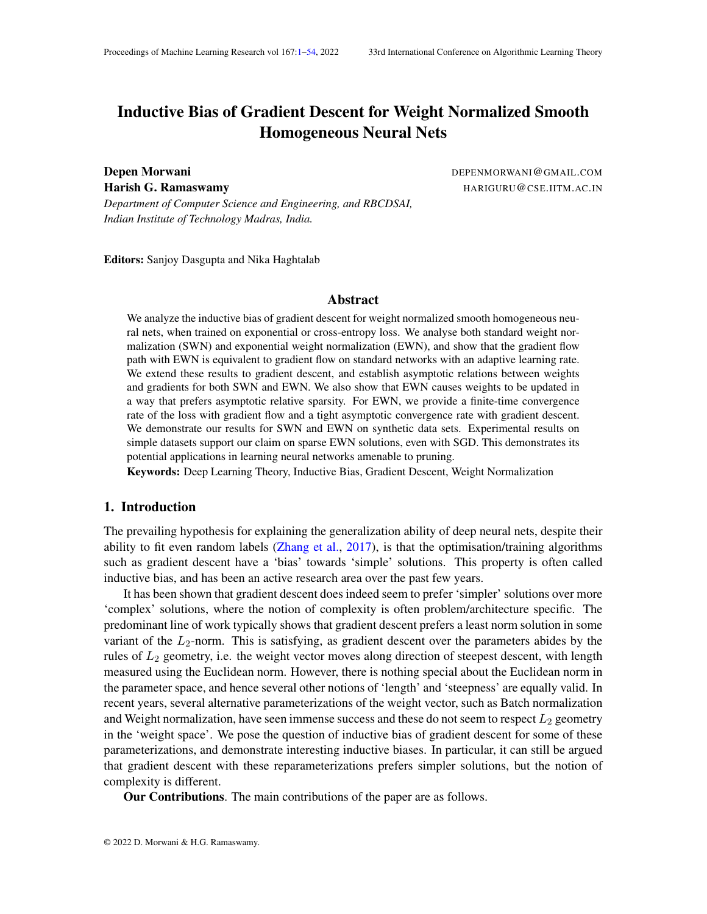by Assumption (B3),  $\lim_{t \downarrow 1}$  (t)kw<sub>u</sub>(t)kkr <sub>w<sub>u</sub> L(w(t))k = 0, we can say there exists a time</sub> such that for any  $>$  t  $_5$ ,  $\frac{v_u(t)^5 g_u}{kv_u(t)kkR}$  $\frac{{\sf v}_{{\sf u}}({\sf t})^>{\sf g}_{{\sf u}}}{\sf kv}_{{\sf u}}({\sf t})$ kk ${\sf g}_{{\sf u}}$ k goes up whenever $\frac{{\sf v}_{{\sf u}}({\sf t})^{{\sf u}}}{\sf kv}_{{\sf u}}({\sf t})$ k ><br>Gu  $\frac{g_u}{kg_u k}$  < cos( ).

Also, by using Equation (19) and Assumption (B3), we can say, that there exists  $a_6$ time such that fort  $>$  t  $_6$ ,  $\frac{v_u(t)}{kv_u(t)}$  $\overline{\mathsf{k}\mathsf{v}_\mathsf{u}(\mathsf{t})\mathsf{k}}$ ><br>Gu  $\frac{\mathsf{g}_{\mathsf{u}}}{\mathsf{k}\mathsf{g}_{\mathsf{u}}\mathsf{k}}$  > COS( ) =)  $\frac{v_{\mathsf{u}}(\mathsf{t}+1)}{\mathsf{k}v_{\mathsf{u}}(\mathsf{t}+1)}$ kv <sup>u</sup> (t+1) k ><br>Gu  $\frac{g_u}{kg_u k}$  >  $cos()$ , as the RHS of Equation (19) goes to 0 norm in limit. Now, detae> max ( $t_5$ ;  $t_6$ ) such that  $v_{\rm u}$  (t<sub>4</sub>)  $kv_{\rm u}$  (t<sub>4</sub>)k gu  $\frac{g_u}{k g_u k}$  > cos() (must exist from previous arguments). Then, as the dot product always goes up when betweens() andcos(), and can't go in a single step from being greater thancos() to less thancos(), therefore, for every > t <sub>4</sub>,  $\frac{v_u(t)}{kv_u(t)}$  $\overline{\mathsf{k}\mathsf{v}_\mathsf{u}}\left(\mathsf{t}\right)$ k ><br>gu  $\frac{g_u}{kg_u k}$  >  $cos()$ .

Now as the above argument holds for ant petween and , and for any  $> 0$ , we can say that  $w_{\mu}(t)$  converges in direction  $\bf{q}^i_{\mu}$ .

#### C.2. Standard Weight Normalization

#### C.2.1. GRADIENT FLOW

Theorem Consider a nodeu in the network with  $k = 0$  and  $\lim_{t \to 1} kw_{tt}(t) = 1$ . Under assumptions (A1), (A2) for gradient ow, for SWN

(i)  $\lim_{t \downarrow 1} \frac{w_u(t)}{kw_u(t)}$  $\overline{\mathsf{kw}_\mathsf{u}(\mathsf{t})\mathsf{k}}$ (ii)  $\mathbf{w}_u = \mathbf{g}_u$  for some > 0.

Update Equations:

$$
\frac{d_u(t)}{dt} = (t) \frac{v_u(t)^r r_{w_u} L(w(t))}{kv_u(t)k}
$$
 (24)

$$
\frac{dv_{u}(t)}{dt} = (t)\frac{u(t)}{kv_{u}(t)k} \quad 1 \quad \frac{v_{u}(t)v_{u}(t)^{2}}{kv_{u}(t)k^{2}} \quad r_{w_{u}}L(w(t)) \tag{25}
$$

Proof The proof will be given for  $_{\rm u}$  ! 1 . The one for  $_{\rm u}$  ! 1 can be handled similarly. As kg<sub>u</sub>k > 0, thereforer  $w_u L(w(t))$  converges in direction. Therefore, for every satisfying  $0 <$   $\lt$  2, there exists a time<sub>1</sub>( ), such that fort  $>$  t<sub>1</sub>( ),  $\frac{r}{kr}$  will (with) kr <sub>w u</sub> L (w (t)) k ><br>g<sub>u</sub>  $k$ g $u$  k cos(). Now, Let's assume that  $u<sub>u</sub>(t)$  does not converge in the direction of fear, there must exist a satisfying  $0 < 2$ , such that for this, there exists a time  $2 > t_1( )$  satisfying  $v_u(t_2)$ <sup>></sup>  $\frac{g_u}{k}$  $\frac{g_u}{\text{kg}_u \text{k}}$  = cos( ) , where  $>$  .

Now, we are going to show that for any satisfying  $\lt$   $\lt$  , there exists a time<sub>3</sub>  $>$  t<sub>2</sub> such that  $u(t_3)$ <sup>></sup>  $\frac{e^u}{k e^u}$  $\frac{g_{\shortparallel}}{\log_{\shortparallel} k}$   $\,$  >  $\,$  cos( ). Let's say for a given , no sucht $_3$  exists. Then, taking dot product with $\frac{ {\bf g}_u}{{\bf k} {\bf g}_u {\bf k}}$  on both sides of Equation (25), we can say

$$
\frac{\mathbf{g}_{u}}{kg_{u}k} > \frac{dv_{u}(t)}{dt} = (t)_{u}(t)kr_{w_{u}}L(w(t))k \frac{\mathbf{g}_{u}}{kg_{u}k} > (1 - v_{u}(t)v_{u}(t)^{2}) \frac{r_{w_{u}}L(w(t))}{kr_{w_{u}}L(w(t))k}
$$
  
\nNow, as  $\frac{\mathbf{g}_{u}}{kg_{u}k} > \frac{r_{w_{u}}L(w(t))}{kr_{w_{u}}L(w(t))k}$  cos( ) and  $\frac{\mathbf{g}_{u}}{kg_{u}k} > v_{u}$  cos( ), we can say  
\n
$$
\frac{\mathbf{g}_{u}}{kg_{u}k} > \frac{dv_{u}(t)}{dt}
$$
 (t)  $_{u}(t)kr_{w_{u}}L(w(t))k(cos()$  cos( )) (26)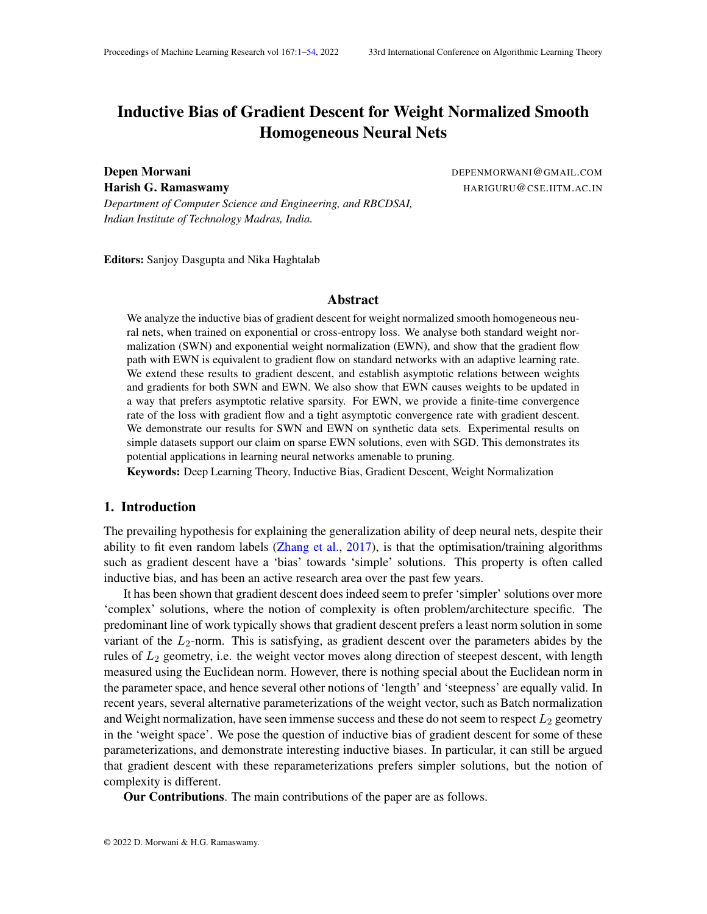Now, using the fact that<sub>u</sub> ! 1 and using Equation (24), we can say  $Z_{1}$  $t = t_2$  $(t)$ kr  $w_u L(w(t))$ kdt = 1

Using this fact and integrating the Equation (26) on both the sides for  $\frac{1}{2}$  , we get a contradiction as vectors on LHS have a nite norm while RHS tends to Thus, for every between and , there must exist  $t_8$ , such that  $u(t_3)$ <sup>></sup>  $\frac{g_u}{k_9}$  $\frac{g_u}{kg_u k}$  > cos( ).

Now, we are going to show for atl  $t_3$ ,  $v_u(t)$ <sup>></sup>  $\frac{g_u}{k \epsilon_u}$  $\frac{g_u}{\text{kg}_u \text{k}}$  > cos( ). Now, consider any such that  $\langle$   $\langle$  . Using similar argument as in Equation (26), we can say, if fortary t<sub>3</sub>,  $v_u(t_4)$ <sup>></sup>  $\frac{g_u}{k e_u}$  $\frac{ \mathsf{g}_\mathsf{u} }{ \mathsf{k} \mathsf{g}_\mathsf{u} \mathsf{k} }$  < cos( ), then

$$
\frac{\mathbf{g}_u}{\mathbf{k}\mathbf{g}_u\mathbf{k}} \quad \frac{\partial \mathbf{v}_u(t_4)}{\partial t} \qquad (t_4) \ \mathbf{u}(t_4) \mathbf{k}\mathbf{r} \ \mathbf{w}_u \mathbf{L}(\mathbf{w}(t_4)) \mathbf{k}(\cos(\cdot) \quad \cos(\cdot)) \tag{27}
$$

This means that the dot product betwe $\theta_{\tt M}^{{\boldsymbol g}_u}$  and $\mathsf{v}_u$ (t) goes up, whenever $\frac{{\boldsymbol g}_u}{\mathsf{k}\mathsf{g}_u\mathsf{k}}$  $>$   $v<sub>u</sub>(t)$  < cos(). Therefore, its not possible that<sub>u</sub>(t)<sup>></sup>  $\frac{g_u}{k \epsilon_u}$  $\frac{g_u}{\text{kg}_u \text{k}}$  cos( ) for any t > t  $_3$ . As can be arbitrarily chosen betweenand, w<sub>u</sub>(t) converges in the direction  $\mathbf{g}_u$ 

#### C.2.2. GRADIENT DESCENT

Theorem Consider a nodeu in the network with  $k = 0$  and  $\lim_{t \to 1} kw_u(t)$  kg = 1. Under assumptions (B1)-(B3) for gradient descent, for SWN

(i) 
$$
\lim_{t \to 1} \frac{w_u(t)}{kw_u(t)k} := \mathbf{w}_u
$$
 exists. (ii)  $\mathbf{w}_u = \mathbf{g}_u$  for some > 0.

Update Equations:

$$
u(t + 1) = u(t) \qquad (t) \frac{v_u(t)^r r_{w_u} L(w(t))}{kv_u(t)k} \tag{28}
$$

$$
v_{u}(t+1) = v_{u}(t) \t (t) \frac{u(t)}{kv_{u}(t)k} \t l \frac{v_{u}(t)v_{u}(t)^{2}}{kv_{u}(t)k^{2}} \t r_{w_{u}}L(w(t)) \t (29)
$$

Proof The proof will be given for  $_{\rm u}$  ! 1 . The one for  $_{\rm u}$  ! 1 can be handled similarly. As kg<sub>u</sub>k > 0, thereforer  $w_u L(w(t))$  converges in direction. Therefore, for every at is fying > g<sub>u</sub>

 $0 <$   $\lt$  2, there exists a time<sub>1</sub>( ), such that fort  $>$  t<sub>1</sub>( ),  $\frac{r}{kr}$  will (with) kr <sub>w u</sub> L (w (t)) k  $k$ g $u$  k cos(). Now, Let's assume that  $u_1(t)$  does not converge in the direction  $\mathbf{e}_1$ . Then, there must exist a satisfying  $0 < 2$ , such that for this, there exists a time  $2 > t_1$  satisfying  $v_u(t_2)$ <sup>></sup>  $\frac{g_u}{k}$  $\frac{g_u}{\text{kg}_u \text{k}}$  = cos( ) , where  $>$  .

Now, we are going to show that for any satisfying  $\lt$   $\lt$  , there exists a time<sub>3</sub>  $>$  t<sub>2</sub> such that  $\frac{{\sf v}_{{\sf u}}({\sf t}_3)}{{\sf kv}_{{\sf u}}({\sf t}_3){\sf k}}$ ><br>Gu  $\frac{\mathsf{g}_\mathsf{u}}{\mathsf{k}\mathsf{g}_\mathsf{u}\mathsf{k}}$   $\,$  >  $\,$  cos( ). Let's say for a given , no sucht $_3$  exists. Then, taking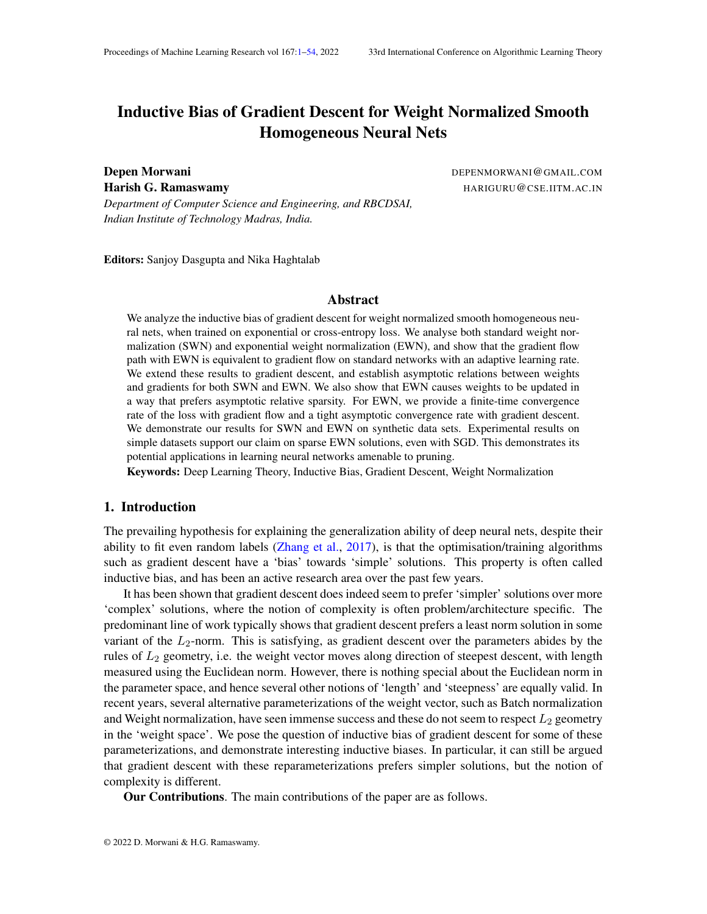dot product with $\frac{g_{\sf u}}{\mathsf{k} \mathsf{g}_{\sf u} \mathsf{k}}$  on both sides of Equation (29), we can say

$$
\frac{v_{u}(t+1)^{2} g_{u}}{kg_{u}k} = \frac{v_{u}(t)^{2} g_{u}}{kg_{u}k} +
$$
\n
$$
(t) \frac{u(t)}{kv_{u}(t)k}kr_{w_{u}}L(w(t))k \frac{g_{u}}{kg_{u}k} > 1 \frac{v_{u}(t)v_{u}(t)^{2}}{kv_{u}(t)k^{2}} \frac{r_{w_{u}}L(w(t))}{kr_{w_{u}}L(w(t))k}
$$

Now, as  $\frac{g_{\text{u}}}{\text{k}g_{\text{u}}\text{k}}$  $\frac{1}{r}$   $\frac{1}{w}$  L(w(t))  $\frac{\mathsf{r}-\mathsf{w}_\mathsf{u} \mathsf{L}(\mathsf{w}(\mathsf{t}))}{\mathsf{kr}_{-\mathsf{w}_\mathsf{u} \mathsf{L}(\mathsf{w}(\mathsf{t})) \mathsf{k}}$  cos() and  $\frac{\mathsf{g}_\mathsf{u}}{\mathsf{k} \mathsf{g}_\mathsf{u} \mathsf{k}}$  $\overline{v}_u(t)$  $\frac{v_u(t)}{kv_u(t)k}$  cos(), we can say

$$
\frac{v_{\upsilon}(t+1)^{\delta}g_{\upsilon}}{kg_{\upsilon}k} \quad \frac{v_{\upsilon}(t)^{\delta}g_{\upsilon}}{kg_{\upsilon}k} + (\cos( ) \quad \cos( ) ) \quad (t) \frac{\upsilon(t)}{kv_{\upsilon}(t)k}kr_{w_{\upsilon}}L(w(t))k \tag{30}
$$

However, in this cas  $x_{u}(t)$ k doesn't stay constant and thus increase in dot product doesn't directly correspond to an increase in angle. Now, using Equation (29), we can say

$$
kv_u(t + 1)k^2
$$
 k  $v_u(t)k^2$  + (t)  $\frac{u(t)}{kv_u(t)k}$ kr  $w_u L(w(t))k^2$  (31)

Using the above two equations, we can say, for time  $t_2$ ,

$$
\frac{v_{u}(t+1)^{>}\mathbf{g}_{u}}{kv_{u}(t+1) \, \text{kk}\mathbf{g}_{u}k} \quad r \frac{\frac{v_{u}(t)^{>}\mathbf{g}_{u}}{k\mathbf{g}_{u}k} + (t) \frac{u(t)}{kv_{u}(t)k}kr_{w_{u}}L(w(t))k}{kv_{u}(t)k^{2} + (t) \frac{u(t)}{kv_{u}(t)k}kr_{w_{u}}L(w(t))k^{2}}
$$

Unrolling the equation above, we get

$$
\frac{v_{u}(t+1)^{>}\mathbf{g}_{u}}{kv_{u}(t+1)kk\mathbf{g}_{u}k} \qquad r\frac{\frac{v_{u}(t_{2})^{>}\mathbf{g}_{u}}{kg_{u}k} + \frac{P}{k=t_{2}}}{kv_{u}(t_{2})k^{2} + \frac{P}{k=t_{2}}}\frac{(k)\frac{u(k)}{kv_{u}(k)k}kr_{w_{u}}L(w(k))k}{(k)\frac{u(k)}{kv_{u}(k)k}kr_{w_{u}}L(w(k))k^{2}}
$$
(32)

Now, as  $_{\mathsf{u}}(\mathsf{t})$  ! 1 , therefore, using Equation (29), we can say

$$
\mathbb{R}^{1} \quad (k) \text{kr}_{w_u} L(w(k))k = 1
$$

Now, using this identity, along with the assumption (A5), Equation (31) and Lemma 10, we can say

$$
\begin{array}{ll}\n\mathsf{X} & \text{(k)} \frac{\mathsf{u}(k)}{\mathsf{k} \mathsf{v}_{\mathsf{u}}(k) \mathsf{k}} \mathsf{k} \mathsf{r}_{\mathsf{w}_{\mathsf{u}}} \mathsf{L}(\mathsf{w}(k)) \mathsf{k} = 1 \\
\mathsf{k} = \mathsf{t}_2 & \mathsf{v}_{\mathsf{u}}(\mathsf{k}) \mathsf{k} = \mathsf{u}_{\mathsf{u}}\n\end{array}
$$

Using this along with Equation (32) and Lemma 9, we can say

$$
\lim_{t \uparrow 1} \frac{v_u(t+1)^> g_u}{kv_u(t+1) \, kkg_u k} \quad 1
$$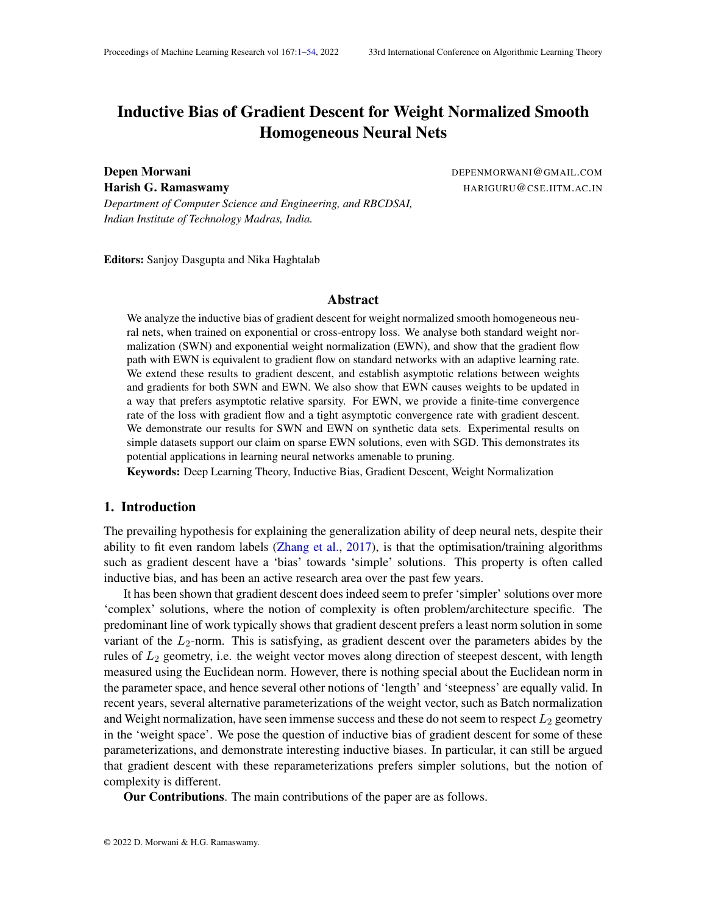However, this is not possible as the vectors on LHS have bounded norm. This contradicts. Thus there must exist  $\mathbf{t}_3$  such that  $\frac{{\sf v}_{{\sf u}}({\sf t}_3)}{{\sf k}{\sf v}_{{\sf u}}({\sf t}_3){\sf k}}$ ><br>Gu  $\frac{q_u}{kg_u k}$  >  $cos()$ .

Now, we are going to show that there exists  $\phi$  t  $_3$ , such that for alt > t  $_4$ ,  $\frac{v_u(t)}{kv_u(t)}$  $\overline{\mathsf{k}\mathsf{v}_\mathsf{u}}\left(\mathsf{t}\right)$ k ><br>gu <mark>gu</mark> ><br>kguk cos(). Consider a such that  $\lt$   $\lt$  . Now, if at any time t,  $\frac{v_u(t)}{kv_u(t)k}$ ><br>g<sub>u</sub>  $\frac{g_u}{kg_u k}$  < cos( ), then, similar to Equation  $(30)$ , we can say

$$
\frac{v_u(t+1)^>g_u}{kg_u k} \quad \frac{v_u(t)^>g_u}{kg_u k} + (\cos( \quad) \quad \cos( \quad)) \quad \text{ (t) } \frac{u(t)}{kv_u(t)k} k r_{w_u} L(w(t)) k
$$

Using the upper bound  $dv_u(t + 1)$  k from Equation (31), we can say

$$
\frac{v_{u}(t+1)^{2} g_{u}}{kv_{u}(t+1) kkg_{u}k} \frac{\frac{v_{u}(t)^{2} g_{u}}{kg_{u}k} + (cos( ) ) cos( )) (t) \frac{u(t)}{kv_{u}(t)k}kr_{w_{u}}L(w(t))k}{kv_{u}(t)k^{2} + (t) \frac{u(t)}{kv_{u}(t)k}kr_{w_{u}}L(w(t))k^{2}}
$$
(33)

Let  $(t)$   $\frac{u(t)}{kV_{av}(t)}$  $\frac{u(t)}{kv_u(t)k}$ kr wu L(w(t))k be denoted by (t). Then, the above equation can be rewritten as

$$
\frac{v_{u}(t+1)^{>}\mathbf{g}_{u}}{kv_{u}(t+1) \, \text{kk}\mathbf{g}_{u}k} \quad \frac{v_{u}(t)^{>}\mathbf{g}_{u}}{kv_{u}(t) \text{kk}\mathbf{g}_{u}k} \, \rho \, \frac{k v_{u}(t) k}{k v_{u}(t) k^{2} + (t)^{2}} + (\cos(\ ) \quad \cos(\ )) \, \rho \, \frac{(t)}{k v_{u}(t) k^{2} + (t)^{2}}
$$

Now, we are going to show that for a small enoug(t), RHS is greater tha $\mathsf{R}_{\mathcal{U}_\infty(t) \ltimes \mathsf{R}_\infty}^{\mathsf{V}_\mathsf{u}(t) > \mathsf{g}_\mathsf{u}}$ nvu (t)′<del>g</del>u<br>Rv<sub>u</sub> (t)kk**g**uk∙

$$
\frac{v_{u}(t)^{3} g_{u}}{kv_{u}(t)kkg_{u}k} P \frac{kv_{u}(t)k}{kv_{u}(t)k^{2} + (t)^{2}} + (cos( ) ) cos( ) ) P \frac{(t)}{kv_{u}(t)k^{2} + (t)^{2}} > \frac{v_{u}(t)^{3} g_{u}}{kv_{u}(t)kkg_{u}k}
$$
  
\n= 
$$
)(cos( ) cos( ) ) P \frac{(t)}{kv_{u}(t)k^{2} + (t)^{2}} > \frac{v_{u}(t)^{3} g_{u}}{kv_{u}(t)kkg_{u}k} 1 P \frac{kv_{u}(t)k}{kv_{u}(t)k^{2} + (t)^{2}}
$$
  
\n= 
$$
)(cos( ) cos( ) ) > \frac{v_{u}(t)^{3} g_{u}}{kv_{u}(t)kkg_{u}k} P \frac{p}{kv_{u}(t)k^{2} + (t)^{2}} k v_{u}(t)k}{(t)}
$$

Clearly as  $(t)$ ! 0, the RHS tends to 0, therefore the equation is satis ed. Thus for a small enough (t), RHS of Equation (33) is greater tha $\frac{\partial u(t) \cdot \partial u}{\partial t}$ الا<sup>س روس</sup> <sup>a</sup>t<sup>u (r)</sup> <sup>gu</sup> ks kv<sub>u</sub>(t)k keeps on increasing and by Assumption (A5)(im<sub>t!1</sub> (t) u(t)kr w<sub>u</sub> L(w(t))k = 0, we can say there exists a time such that for any  $>$  t  $_5$ ,  $\frac{v_u(t)^5 g_u}{kv_u(t)kkR}$  $\frac{{\sf v}_{{\sf u}}({\sf t})^>{\sf g}_{{\sf u}}}{\sf kv}_{{\sf u}}({\sf t})$ kk ${\sf g}_{{\sf u}}$ k goes up whenever $\frac{{\sf v}_{{\sf u}}({\sf t})^{{\sf u}}}{\sf kv}_{{\sf u}}({\sf t})$ k ><br>gu  $\frac{g_u}{kg_u k}$  < cos( ).

Also, by using Equation (29) and Assumption (A5), we can say, that there exists  $a<sub>6</sub>$ time such that fort > t  $_6$ ,  $\frac{v_u(t)}{kv_u(t)}$ kv <sub>u</sub> (t) k ><br>gu  $\frac{g_u}{k g_u k}$  >  $cos() =)$   $\frac{v_u(t+1)}{kv_u(t+1)}$ kv <sup>u</sup> (t+1) k ><br>gu  $\frac{g_u}{kg_u k}$  >  $cos()$ , as the RHS of Equation (29) goes to 0 norm in limit. Now, detne> max (t<sub>5</sub>; t<sub>6</sub>) such that  $v_u(t_4)$ kv <sub>u</sub> (t<sub>4</sub>)k ><br>gu  $\frac{g_u}{k g_u k}$  > cos() (must exist from previous arguments). Then, as the dot product always goes up when betweens() andcos(), and can't go in a single step from being greater thancos() to less thancos(), therefore, for every > t <sub>4</sub>,  $\frac{v_u(t)}{kv_u(t)}$ kv <sub>u</sub> (t)k ><br>g<sub>u</sub>  $\frac{g_u}{kg_u k}$  > cos( ).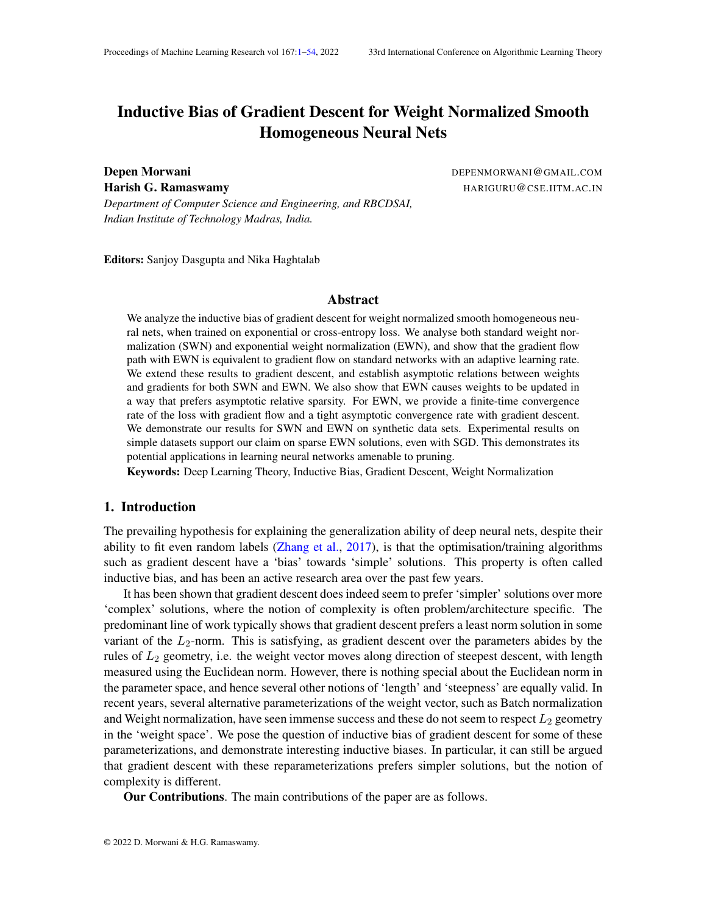Now as the above argument holds for ant petween and , and for any  $> 0$ , we can say that  $w_u(t)$  converges in direction  $\mathbf{g}_{u}$ .

#### Appendix D. Proof of Theorem 4

Theorem Consider two nodes and in the network with  $g_{\mu}k$  k  $g_{\nu}k > 0$ ; lim<sub>t!1</sub> kw<sub>u</sub>(t)k = 1 and  $\lim_{t\downarrow1}$  kw<sub>v</sub>(t)k = 1. Let  $\frac{\text{kg}_u k}{\text{kg}_v k}$  be denoted byc. Under assumptions (A1), (A2) for gradient ow and (B1)-(B3) for gradient descent,

- (i) for SWN,  $\lim_{t \downarrow 1} \frac{k w_u(t) k}{k w_u(t) k}$  $\frac{KW_u(t)K}{kw_v(t)k} = C$
- (ii) for EWN,  $\lim_{t \downarrow 1} \frac{\text{kw}_{u}(t)k}{\text{kw}_{v}(t)k}$  $\frac{\mathsf{kw}_\mathsf{u}\,(\mathsf{t})\mathsf{k}}{\mathsf{kw}_\mathsf{v}(\mathsf{t})\mathsf{k}}$  is either0; 1  $\,$  or  $\frac{1}{\mathrm{c}}$

Proof for different cases will be split into different subsections and the corresponding case will be restated there for ease of the reader.

#### D.1. Exponential Weight Normalization

dt <sup>=</sup>

#### D.1.1. GRADIENT FLOW

Theorem Consider two nodes and in the network with  $\mathbf{g}_{\mu}$  k  $\mathbf{g}_{\nu}$  k  $> 0$ ;  $\lim_{t\to 1}$  kw<sub>u</sub>(t)k = 1 and  $\lim_{t\downarrow1}$  kw<sub>v</sub>(t)k = 1. Let  $\frac{\text{kg}_u \text{kg}}{\text{kg}_v \text{kg}}$  be denoted byc. Under assumptions (A1), (A2) for gradient ow, for EWN, lim<sub>t!1</sub>  $\frac{\text{kw}_{u}(t)k}{\text{kw}_{u}(t)k}$  $\frac{\mathsf{kw}_\mathsf{u}\,(\mathsf{t})\mathsf{k}}{\mathsf{kw}_\mathsf{v}(\mathsf{t})\mathsf{k}}$  is either0; 1  $\,$  or  $\frac{1}{\mathsf{c}}$ 

Proof Using Theorem 3 and the fact the that  $\frac{kr}{kr} \frac{w_u L(w(t))k}{w(t)k}$  $\frac{k \cdot w_u L(w(t))k}{k \cdot w_v L(w(t))k} = c$ , for any  $0 < c$  and  $0 <$   $\lt$  2, there exists a time<sub>d</sub>, such that fort  $>$  t<sub>1</sub>, the following hold

(i)  $\frac{k r}{k r} \frac{v_u L (w(t))k}{v_v L (w(t))k}$  2 [c ; c + ] (ii)  $\frac{w_u(t)}{k w_u(t)k}$  $\frac{1}{r}$   $\frac{1}{w}$  L(w(t)) kr <sub>w u</sub> L (w (t)) k cos( ) (iii)  $\frac{w_v(t)}{kw_v(t)k}$  $\frac{r}{\sqrt{L(w(t))}}$  $\frac{r_{w_v}L(w(t))}{kr_{w_v}L(w(t))k}$  COS().

Now, we will provide the proof of part (iii) of Proposition 5, i.e, for EWN, if at some time  $t_2 > t_1$ ,

(a) 
$$
\frac{kw_u(t_2)k}{kw_v(t_2)k} > \frac{1}{(c \mod 0)} = 1
$$
  $\lim_{t \to 1} \frac{kw_u(t)k}{kw_v(t)k} = 1$   
\n(b)  $\frac{kw_u(t_2)k}{kw_v(t_2)k} < \frac{\cos(1)}{c+1} = 1$   $\lim_{t \to 1} \frac{kw_u(t)k}{kw_v(t)k} = 0$   
\n(a)  $\frac{kw_u(t_2)k}{kw_v(t_2)k} > \frac{1}{(c \mod 0)(\cos(1))} = 1$   $\lim_{t \to 1} \frac{kw_u(t)k}{kw_v(t)k} = 1$   
\nUsing Equation (14),  
\n $\frac{dkw_u(t)k}{dt} = \frac{de^{u(t)}}{dt} = (t)kw_u(t)k^2(v_u(t)^>r_{w_u}L(w(t)))$  (34)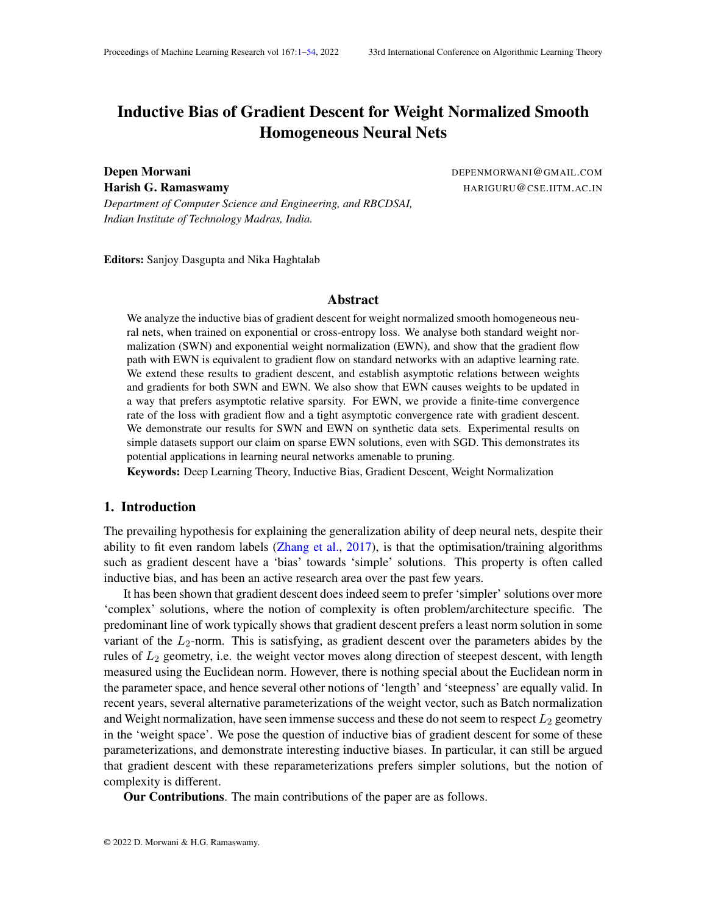Using the equation above, we can say floot  $_1$ ,

$$
\frac{d_{\frac{kW_u(t)k}{kW_v(t)k}}^{ \frac{kW_u(t)k}{kW_v(t)k}}}{dt} = \frac{kw_v(t)k\frac{dkw_u(t)k}{dt} - kw_v(t)k^2}{kw_v(t)k^2}
$$
\n
$$
(t)\frac{kw_u(t)k}{kw_v(t)k}(kw_u(t)kkr_{w_u}L(w(t))k\cos()k w_v(t)kkr_{w_v}L(w(t))k)
$$
\n
$$
(t)kw_u(t)kkr_{w_u}L(w(t))k - \frac{kw_u(t)k}{kw_v(t)k}\cos() - \frac{1}{c}
$$
\n(35)

In this case, using Equation (35), we can  $\frac{d_{k\mathbf{w}_u(t)k}^{k\mathbf{w}_u(t)k}}{dt} > 0$  at t $_2$ . Thus, $\frac{k\mathbf{w}_u(t)k}{k\mathbf{w}_v(t)k}$  always remains greater than $\frac{1}{(c_-)\cos(-)}$  and keeps on increasing. Let's den $\frac{kW}{W_V(t_2)k}$  by  $^-$  . Then, fort > t  $_2,$ 

$$
\frac{d_{\frac{kw_u(t)k}{kw_v(t)k}}^{kw_u(t)k}}{dt} \qquad \cos(\quad) \quad \frac{1}{c} \qquad (t)kw_u(t)kkr_{w_u}L(w(t))k
$$

R<br>As <sub>u</sub>!1 , therefore using Equation (14), we can say  $\frac{1}{2}$ y (t)kw $_{\textrm{u}}$ (t)kkr  $_{\textrm{w}_\textrm{u}}$ L(w(t))kdt!1 . Thus, integrating both the sides of the equation above trom 1, we get

$$
\begin{matrix} Z_{1} & \frac{d\frac{k w_u(t)k}{kw_v(t)k}}{dt}dt & 1 \end{matrix}
$$

Thuslim $_{t!1}$   $\frac{\text{kw}_u(t) \text{k}}{\text{kw}_u(t) \text{k}}$  $\frac{kw_u(t)k}{kw_v(t)k} = 1$ . (b)  $\frac{\text{kw}_{u}(t_2)k}{\text{kw}_{v}(t_2)k}$  <  $\frac{\cos( )}{c+ }$  $\frac{\cos(1)}{\cos(1)}$  =)  $\lim_{t \downarrow 1}$   $\frac{\text{kw}_{\text{u}}(t)\text{k}}{\text{kw}_{\text{v}}(t)\text{k}}$  $\frac{\kappa w_u(t) \kappa}{\kappa w_v(t) k} = 0$ . Using Equation (34), we can say for  $t_{1}$ ,  $k$ 

$$
\frac{d_{\frac{kw_u(t)k}{kw_v(t)k}}^{w_u(t)k}}{dt} = \frac{kw_v(t)k \frac{dw_u(t)k}{dt} - k w_u(t)k \frac{dw_v(t)k}{dt}}{kw_v(t)k}
$$
\n
$$
(t) \frac{kw_u(t)k}{kw_v(t)k} (kw_u(t)kkr_{w_u}L(w(t))k) - k w_v(t)kkr_{w_v}L(w(t))k \cos(\theta))
$$
\n
$$
= ( (t)kw_v(t)kkr_{w_v}L(w(t))k) \frac{kw_u(t)k}{kw_v(t)k} - \frac{kw_ukkr_{w_v}L(w(t))k}{kw_vkkr_{w_v}L(w(t))k} - \cos(\theta)
$$
\n
$$
( (t)kw_v(t)kkr_{w_v}L(w(t))k) \frac{kw_u(t)k}{kw_v(t)k} - \frac{kw_uk}{kw_vk}(c+) - \cos(\theta)
$$
\n(36)

In this case, using Equation (36), we can  $\frac{d^{k w_u(t)k}_{k w_d(t)k}}{dt} < 0$  at t $_2$ . Thus, $\frac{k w_u(t)k}{k w_v(t)k}$  always remains smaller than $\frac{\cos(\cdot)}{\cos(\cdot)}$  and keeps on decreasing. Now, lets  $\frac{\mathsf{kap}_{\mathsf{H1}}-\frac{\mathsf{kw}_{\mathsf{u}}(\mathsf{t})\mathsf{k}}{\mathsf{kw}_{\mathsf{v}}(\mathsf{t})\mathsf{k}}$  $\frac{kw_u(t)K}{kw_v(t)K} > 0$ . This means that kw<sub>u</sub> (t)k  ${\sf kw}_{\tt V}(\mathsf{t})$ k  $>$   $\,$  , for some  $\,$   $>$  0. Also, let's denot $\frac{\mathsf{kw}_\mathsf{w}(\mathsf{t}_2)\mathsf{k}}{\mathsf{kw}_\mathsf{v}(\mathsf{t}_2)\mathsf{k}}$  by  $\,$  . Then we can say

$$
\frac{d_{\overline{\text{kw}_{v}(t)k}}^{\text{kw}_{v}(t)k}}{dt} \qquad \text{(cos( ) \qquad (c+ ) ) (t)kw_{v}(t)kkr_{w_{v}}L(w(t))k}
$$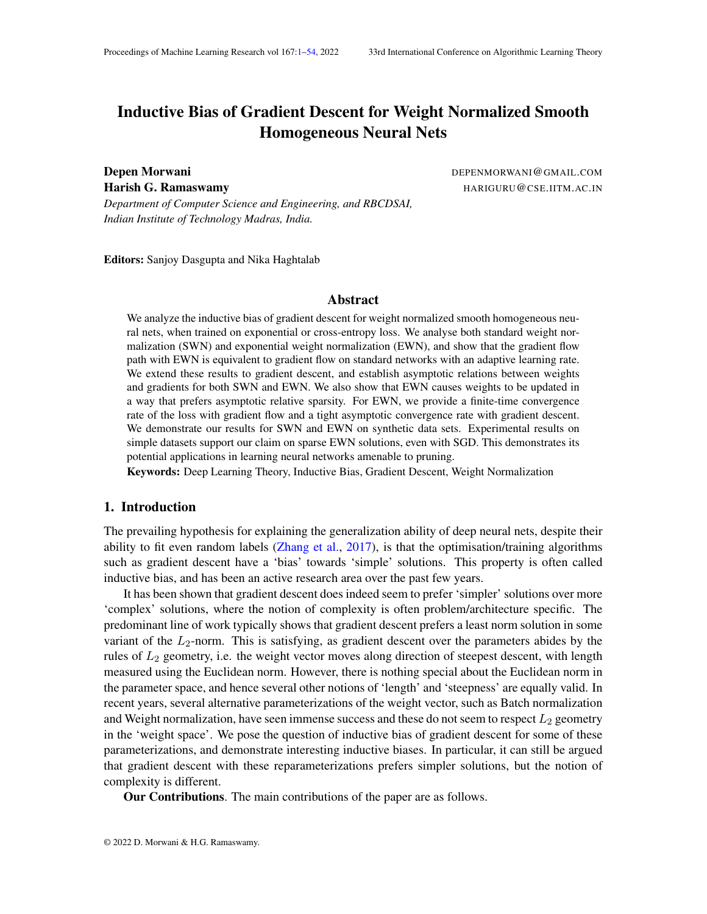R<sub>1</sub><br>As <sub>v</sub> ! 1 , therefore using Equation (14), we can say  $\frac{1}{2}$ y (t)kw $\mathrm{v(t)}$ kkr  $\mathrm{w_{v}}$ L(w(t))kdt = 1 . Thus, integrating both the sides of the equation above  $t$  to  $t\alpha$  1, we get

$$
\begin{matrix} Z_{1} & d\frac{k w_u(t)k}{k w_v(t)k} \\ & t_2 & dt \end{matrix} \quad \text{d}t \quad \ \ 1
$$

This is not possible  $\mathrm{a}_{\mathsf{R} \mathsf{w}_\mathsf{v}(t) k}^{\mathsf{kw}_\mathsf{u}(t) \mathsf{k}}$  is lower bounded by 0. Thu $\mathsf{im}_{\mathsf{t}!1}$   $\quad \frac{\mathsf{kw}_\mathsf{u}(t) \mathsf{k}}{\mathsf{kw}_\mathsf{v}(t) \mathsf{k}}$  $\frac{\kappa w_u(t)\kappa}{\kappa w_v(t)\kappa} = 0$ .

Now, as and tend to 0, the length of the interval of stabilition  $\frac{\mathsf{ps}(\ )}{\mathsf{c}^+};\frac{1}{(\mathsf{c}^-)\,\mathsf{c}}$  $\frac{1}{\left( \mathsf{c}\quad\right) \mathsf{cos}\left( \ \right) }$ ] shrinks to zero, around the point. Thus, either $\frac{k\mathsf{w}_\mathsf{u}(t)\mathsf{k}}{k\mathsf{w}_\mathsf{v}(t)\mathsf{k}}$  moves out of the interval of stability and converges to either0 or 1  $\,$  , or it always remains within the interval of stability and converge $\rm \dot{g}$ .to

#### D.1.2. GRADIENT DESCENT

Theorem Consider two nodes andv in the network with  $g_{u}k$  k  $g_{v}k$  > 0; lim<sub>t!1</sub> kw<sub>u</sub>(t)k = 1 andlim<sub>t!1</sub> kw<sub>v</sub>(t)k = 1 . Let $\frac{kg_u k}{kg_v k}$  be denoted by. Under assumptions (B1)-(B3) for gradient descent, for EWNim $_{\rm t!1}$   $\frac{\mathsf{kw}_{\mathsf{u}}(\mathsf{t})\mathsf{k}}{\mathsf{kw}_{\mathsf{w}}(\mathsf{t})\mathsf{k}}$  $\frac{\mathsf{kw}_\mathsf{u}\left(\mathsf{t}\right)\mathsf{k}}{\mathsf{kw}_\mathsf{v}\left(\mathsf{t}\right)\mathsf{k}}$  is either0; 1  $\,$  or  $\frac{1}{\mathrm{c}}$ 

Proof Using Theorem 3 and the fact the that  $\frac{kr_{w}L(w(t))k}{kr_{w-1}(w(t))k}$  $\frac{k \cdot w_u L(w(t))k}{k \cdot w_v L(w(t))k} = c$ , for any  $0 < c$  and  $0 <$   $\lt$  2, there exists a time<sub>d</sub>, such that fort  $>$  t<sub>1</sub>, the following hold

(i) 
$$
\frac{kr_{w_u}L(w(t))k}{kr_{w_v}L(w(t))k} \cdot 2[c \quad ;c+ \quad ]
$$
 (ii) 
$$
\frac{w_u(t)}{kw_u(t)k} \rightarrow \frac{r_{w_u}L(w(t))}{kr_{w_u}L(w(t))k} \quad \cos(\cdot)
$$

(iii) <sup>w</sup> <sup>v</sup> (t) kw <sup>v</sup> (t)k > r <sup>w</sup> <sup>v</sup> L (w (t)) kr <sup>w</sup> <sup>v</sup> L (w (t)) k cos( ).

Now, we will provide the proof of part (iii) of Proposition 5, i.e, for EWN, if at some time  $t_2 > t_1$ ,

- (a)  $\frac{\text{kw}_{u}(t_2) \text{k}}{\text{kw}_{v}(t_2) \text{k}} > \frac{1}{(c_2 + c_1)}$  $\frac{1}{(c_1) \cos(\theta)}$  =)  $\lim_{t \downarrow 1}$   $\frac{k w_u(t) k}{k w_v(t) k}$  $\frac{kw_u(t)k}{kw_v(t)k} = 1$
- (b)  $\frac{\text{kw}_{u}(t_2)k}{\text{kw}_{v}(t_2)k} < \frac{\cos($  )  $\frac{\cos(1)}{\cos(1)}$  =)  $\lim_{t \downarrow 1}$   $\frac{\text{kw}_{u}(t)k}{\text{kw}_{v}(t)k}$  $\frac{\kappa w_u(t) \kappa}{\kappa w_v(t) k} = 0$

(a)  $\frac{\text{kw}_{u}(t_2) \text{k}}{\text{kw}_{v}(t_2) \text{k}} > \frac{1}{(c_1 + c_2)}$  $\frac{1}{(c_1) \cos(\theta)}$  =)  $\lim_{t \downarrow 1}$   $\frac{k w_u(t) k}{k w_v(t) k}$  $\frac{kw_u(t)k}{kw_v(t)k} = 1$ Using Equation (18) and part 1 of the Proposition, we can say

$$
\frac{k w_u(t_2+1) k}{k w_v(t_2+1) k} = \frac{k w_u(t_2) k + (t_2) \cos( )k w_u(t_2) k^2 k r_{w_u} L(w(t_2)) k}{k w_v(t_2) k + (t_2) k w_v(t_2) k^2 k r_{w_v} L(w(t_2)) k}
$$
\n
$$
= \frac{k w_u(t_2) k}{k w_v(t_2) k} \frac{1 + \cos( ) (t_2) k w_u(t_2) k k r_{w_u} L(w(t_2)) k}{1 + (t_2) k w_v(t_2) k k r_{w_v} L(w(t_2)) k}
$$
\n
$$
\frac{k w_u(t_2) k}{k w_v(t_2) k}
$$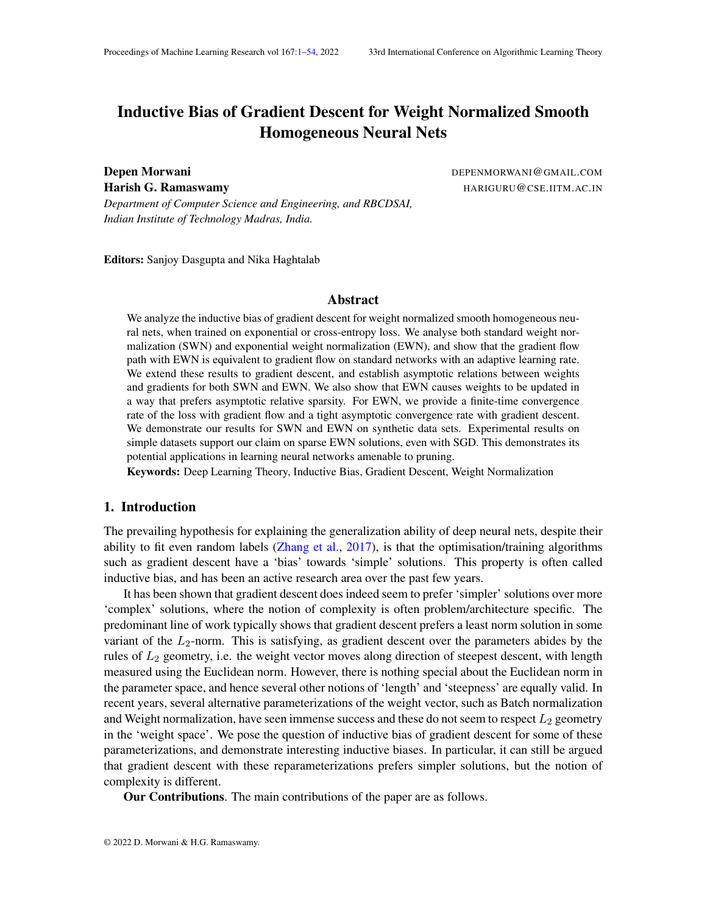Thus, $\frac{kw_u(t)k}{kw_v(t)k}$  keeps on increasing for>  $t$   $_2.$  It can either diverge to in nity or converge to a -nite value. If it converges to a nite value, then by Stolz Cesaro theorem,

$$
\lim_{t \to 1} \frac{k w_u(t)k}{k w_v(t)k} = \lim_{t \to 1} \frac{k w_u(t)k^2 k r_{w_u} L(w(t))k}{k w_v(t)k^2 k r_{w_v} L(w(t))k}
$$

However, this is not possible  $\frac{\lambda W_u(t)k}{\lambda W_v(t)k} > \frac{1}{c}$  $\frac{1}{c}$  for everyt > t  $_2$ . Thus, $\frac{kw_u(t)k}{kw_v(t)k}$  diverges to in nity. (b)  $\frac{\text{kw}_{u}(t_2)k}{\text{kw}_{v}(t_2)k}$  <  $\frac{\cos($  )  $\frac{\cos(1)}{\cos(1)}$  =)  $\lim_{t \downarrow 1}$   $\frac{\text{kw}_{\text{u}}(t)\text{k}}{\text{kw}_{\text{v}}(t)\text{k}}$  $\frac{\kappa w_u(t)\kappa}{\kappa w_v(t)\kappa} = 0$ Using Equation (18) and part 1 of the Proposition, we can say

$$
\frac{k w_u(t_2+1) k}{k w_v(t_2+1) k} \quad \frac{k w_u(t_2) k + (t_2) k w_u(t_2) k^2 k r_{w_u} L(w(t_2)) k}{k w_v(t_2) k + (t_2) \cos(\frac{1}{2} k w_v(t_2) k^2 k r_{w_v} L(w(t_2)) k}
$$
\n
$$
= \frac{k w_u(t_2) k}{k w_v(t_2) k} \quad \frac{1 + (t_2) k w_u(t_2) k k r_{w_u} L(w(t_2)) k}{1 + (t_2) \cos(\frac{1}{2} k w_v(t_2) k k r_{w_v} L(w(t_2)) k}
$$
\n
$$
\frac{k w_u(t_2) k}{k w_v(t_2) k}
$$

Thus, $\frac{kw_u(t)k}{kw_v(t)k}$  keeps on decreasing fo⊳  $t$   $_2$ . As it is always greater than zero, it must converge. Therefore, by Stolz Cesaro Theorem,

$$
\lim_{t \to 1} \frac{k w_{u}(t) k}{k w_{v}(t) k} = \lim_{t \to 1} \frac{k w_{u}(t) k^{2} k r_{w_{u}} L(w(t)) k}{k w_{v}(t) k^{2} k r_{w_{v}} L(w(t)) k}
$$

For  $\frac{kw_u(t)k}{kw_v(t)k} < \frac{1}{c}$  $\frac{1}{\rm c}$ , this can only be satis ed whelm $_{\rm t!1}$   $\quad \frac{\rm kw_u(t)k}{\rm kw_v(t)k}$  $\frac{\kappa w_u(t)\kappa}{\kappa w_v(t)\kappa} = 0$ .

Now, as and tend to 0, the length of the interval of stabilition  $\frac{\mathsf{ps}(\ )}{\mathsf{c}^+};\frac{1}{(\mathsf{c}^-)\,\mathsf{c}}$  $\frac{1}{\left( \mathsf{c}\quad\right) \mathsf{cos}\left( \ \right) }$ ] shrinks to zero, around the point. Thus, either $\frac{k\mathsf{w}_\mathsf{u}(t)\mathsf{k}}{k\mathsf{w}_\mathsf{v}(t)\mathsf{k}}$  moves out of the interval of stability and converges to either0 or 1  $\,$  , or it always remains within the interval of stability and converge $\rm \dot{\bar{g}}.$ to

#### D.2. Standard Weight Normalization

#### D.2.1. GRADIENT FLOW

Theorem Consider two nodes andv in the network with  $g_{u}k$  k  $g_{v}k$  > 0; lim<sub>t!1</sub> kw<sub>u</sub>(t)k = 1 and lim<sub>t!1</sub> kw<sub>v</sub>(t)k = 1. Let  $\frac{\text{kg}_u k}{\text{kg}_v k}$  be denoted byc. Under assumptions (A1), (A2) for gradient ow, for SWNJim<sub>t!1</sub>  $\frac{\text{kw}_{u}(t)k}{\text{kw}_{u}(t)k}$  $\frac{kw_u(t)k}{kw_v(t)k} = C$ 

Proof From Theorem 3, we can say, for bothandy, weights and gradients converge in opposite directions.

Consider a time<sub>1</sub>, such that for any  $> t<sub>1</sub>$ ,

- r  $w_u L(w(t))$  andw<sub>u</sub>(t) atmost make an anglewith each other
- r  $w_v L(w(t))$  andw $v(t)$  atmost make an anglewith each other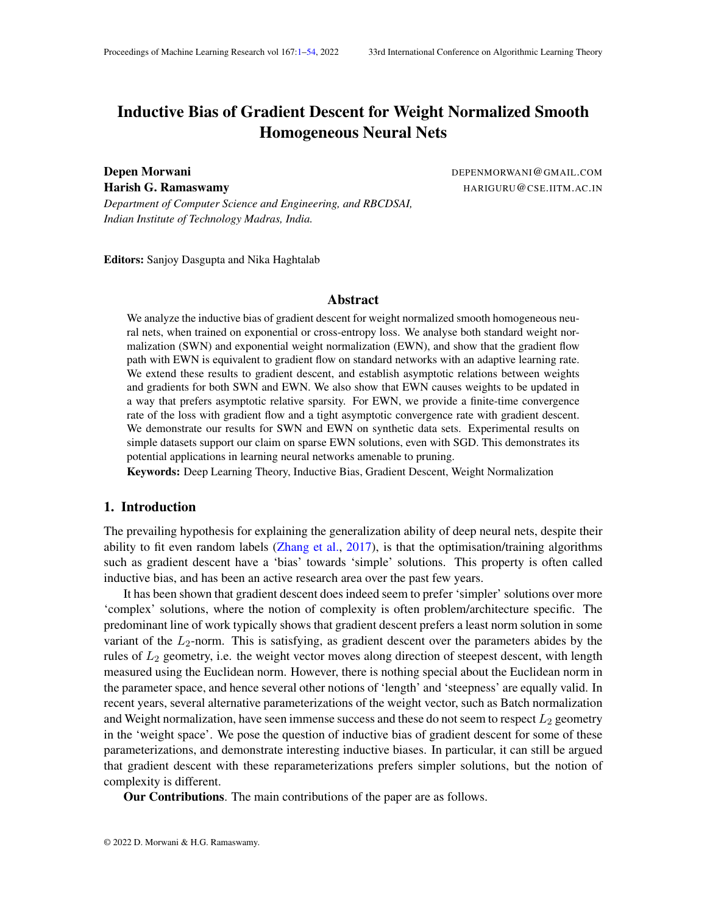Then, using Equation  $(24)$ , we can say for any time  $t_1$ ,

$$
Z_{t}
$$
\nkw<sub>u</sub>(t)k k w<sub>u</sub>(t<sub>2</sub>)k + cos( )\n
$$
Z_{t}
$$
\nkw<sub>u</sub>(t)k k w<sub>u</sub>(t<sub>2</sub>)k + 
$$
Z_{t}
$$
\nkw<sub>u</sub>(t)k k w<sub>u</sub>(t<sub>2</sub>)k + 
$$
K = t_{2}
$$
\nkw<sub>v</sub>(t)k k w<sub>v</sub>(t<sub>2</sub>)k + cos( )\n
$$
Z_{t}
$$
\nkw<sub>v</sub>(t)k k w<sub>v</sub>(t<sub>2</sub>)k + cos( )\n
$$
Z_{t}
$$
\nkw<sub>v</sub>(t)k k w<sub>v</sub>(t<sub>2</sub>)k + (k)kr w<sub>v</sub>(k)kdk\n
$$
Z_{t}
$$
\n(k)kr w<sub>v</sub>(k)kdk

Using the above equations, we can say, for timed  $_2$ ,

$$
\frac{k w_u(t)k}{kw_v(t)k} \quad \frac{k w_u(t_2)k + \cos\left(\frac{R_t}{k - t_2}\right)k + \sin\left(\frac{R_t}{k - t_2}\right)k + \cos\left(\frac{R_t}{k - t_2}\right)k}{k w_v(t_2)k + \cos\left(\frac{R_t}{k - t_2}\right)k + \cos\left(\frac{R_t}{k - t_2}\right)k}
$$
\n
$$
\frac{k w_u(t)k}{kw_v(t)k} \quad \frac{k w_u(t_2)k + \cos\left(\frac{R_t}{k - t_2}\right)k + \cos\left(\frac{R_t}{k - t_2}\right)k}{k + t_2} \quad (k)k r_{w_v}L(w(k))k dk
$$

We know that both integrals divergelas u(t)k andkw v(t)k ! 1 , lim  $\frac{kw_u(t)k}{kw_u(t)k}$  $\frac{\mathsf{kw}_\mathsf{u}(\mathsf{t}) \mathsf{k}}{\mathsf{kw}_\mathsf{v}(\mathsf{t}) \mathsf{k}}$  andlim  $_{\mathsf{t}}$ !  $_{\mathsf{kr} = \mathsf{w}_\mathsf{v} \mathsf{u}(\mathsf{w}(\mathsf{t}))}$   $_{\mathsf{kr} = \mathsf{w}_\mathsf{v} \mathsf{u}(\mathsf{w}(\mathsf{t}))}$ we know that both integrals divergence  $u(t)$  and  $w(t)$ ,  $\cdots$ ,  $u(t)$  and  $\frac{k w_{\nu}(t)k}{k w_{\nu}(t)k}$  and  $u(t)$  and  $\frac{k w_{\nu}(t)k}{k w_{\nu}(t)k}$  and  $u(t)$  and  $\frac{k w_{\nu}(t)w(t)}{k w_{\nu}(t)k}$ rem, we get

 $\blacksquare$ 

$$
\liminf_{t \uparrow 1} \frac{k w_u(t) k}{k w_v(t) k} = \frac{\cos( \theta_k) k g_u k}{k g_v k}
$$
\n
$$
\limsup_{t \uparrow 1} \frac{k w_u(t) k}{k w_v(t) k} = \frac{k g_u k}{\cos( \theta_k) k g_v k}
$$

As this holds for any  $> 0$ , therefore

$$
\lim_{t \downarrow 1} \frac{\mathrm{kw}_{\mathrm{u}}(t)\mathrm{k}}{\mathrm{kw}_{\mathrm{v}}(t)\mathrm{k}} = \mathrm{c}
$$

#### D.2.2. GRADIENT DESCENT

Theorem Consider two nodes and in the network with  $g_{\mu}k$  k  $g_{\nu}k > 0$ ; lim<sub>t!1</sub> kw<sub>u</sub>(t)k = 1 and lim<sub>t!1</sub> kw<sub>v</sub>(t)k = 1. Let  $\frac{\text{kg}_u \cdot \text{k}}{\text{kg}_v \cdot \text{k}}$  be denoted by .Under assumptions (B1) - (B3) for gradient descent, for SW $\frac{\mathsf{Kw}_\mathsf{u}(t)\mathsf{K}}{\mathsf{Kw}_\mathsf{u}(t)\mathsf{K}}$  $\frac{Kw_u(t)K}{kw_v(t)k} = C$ 

Proof For ease of notation, we will denote the two nodes lands. From Theorem 3, we can say, for both u ands, weights and gradients converge in opposite directions. Now from Equation (28), we can say

$$
u(t) = u(0) \sum_{k=0}^{k \cdot \lambda t - 1} (k) \frac{v_u(k)^{2} r_{w_u} L(w(k))}{kv_u(k)k}
$$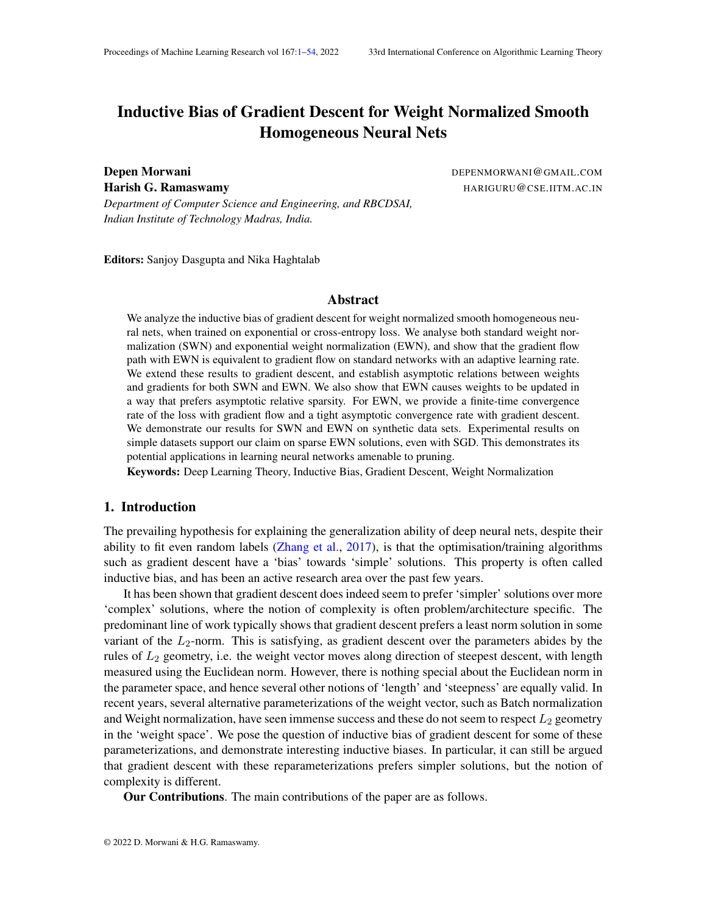$$
s(t) = s(0) \sum_{k=0}^{k \cdot \lambda t - 1} (k) \frac{v_s(k)^{2} r_{w_s} L(w(k))}{kv_s(k)k}
$$

Now,  $s(t)$  either diverges td or 1 . In both the cases, it is a strictly monotonic sequence for large enought. Also  $\lim_{t\downarrow1}$ <sup>u</sup> (t+1) <sup>u</sup> (t)  $\frac{u(t+1)}{s(t+1)}$   $\frac{u(t)}{s(t)}$  exists. Therefore, using Stolz-Cesaro Theorem, we can say

$$
\lim_{t \downarrow 1} \frac{\mathrm{kw}_{\mathrm{u}}(t)\mathrm{k}}{\mathrm{kw}_{\mathrm{s}}(t)\mathrm{k}} = \mathrm{c}
$$

 $\blacksquare$ 

## Appendix E. Proof of Proposition 5

Proposition Consider two nodest and v in the network such that  $g_v k$  k  $g_u k$  > 0 and kw<sub>u</sub>(t)k; kw<sub>v</sub>(t)k ! 1 . Let  $\frac{\text{kg}_u k}{\text{kg}_v k}$  be denoted byc. Consider any; such that0 < < c and $0 < |< \frac{1}{2}$ . Then, the following holds:

- (i) There exists a time<sub>1</sub>, such that for allt  $> t<sub>1</sub>$  both SWN and EWN trajectories have the following properties:
	- (a)  $\frac{k r}{kr w_u L(w(t))k}$  2 [c ; c + ] (b)  $\frac{w_u(t)}{kw_u(t)k}$  $\frac{1}{r}$   $\frac{1}{w}$  L(w(t))  $\overline{\mathsf{k}\mathsf{r}}\,\,$   $_{\mathsf{w}\,\mathsf{u}}$  L (w (t))  $\mathsf{k}$ cos( )

$$
(c) \quad \frac{w_v(t)}{kw_v(t)k} \quad > \quad \frac{r - w_v L(w(t))}{kr - w_v L(w(t))k} \qquad \cos().
$$

- (ii) for SWN,  $\lim_{t \uparrow 1} \frac{\text{kw}_{u}(t) \text{k}}{\text{kw}_{u}(t) \text{k}}$  $\frac{KW_u(t)K}{kw_v(t)k} = C$
- (iii) for EWN, if at some tim $\phi_2 > t_1$ ,
	- (a)  $\frac{\text{kw}_{u}(t_2)k}{\text{kw}_{v}(t_2)k} > \frac{1}{(c)}$  $\frac{1}{(c_1)c_0s(-)}$  =)  $\lim_{t\downarrow 1}$   $\frac{kw_u(t)k}{kw_v(t)k}$  $\frac{kw_u(t)k}{kw_v(t)k} = 1$ (b)  $\frac{\text{kw}_{u}(t_2)k}{\text{kw}_{v}(t_2)k}$  <  $\frac{\cos( )}{c+ }$  $\frac{\cos(\theta)}{\cos(\theta)}$  =)  $\lim_{t \uparrow 1}$   $\frac{\text{kw}_{\text{u}}(t)\text{k}}{\text{kw}_{\text{v}}(t)\text{k}}$  $\frac{\kappa w_u(t)\kappa}{\kappa w_v(t)\kappa} = 0$

Proof (i) It follows from Theorem 3 and the fact than  $\frac{kr}{kr} \frac{L(w(t))k}{w(t)k}$  $\frac{k \ln w_u L(w(t))k}{k \ln w_v L(w(t))k} = C.$ 

- (ii) Proof provided in Appendix D.2
- (iii) Proof provided in Appendix D.1

### Appendix F. Proof of Proposition 6

Proposition Consider a linear model ove R<sup>d</sup> given by f(x) = w<sup>></sup> x, where each v<sub>i</sub> is further reparameterized as i. Consider a dataset consisting of a single data paint 0, that is labelled as +1. According to the initialization of, de ne a relationR on f 1;:::; dg, given byi jif  $w_i(0)z_i = w_j(0)z_j$  . Then, R is an equivalence relation  $\mathsf{f} \mathsf{m}$ ; :::; dg. Let these equivalent sets be denoted by  $_1;I_2;...;I_k.$  De ne a total order on these sets given by> I  $_{\rm b}$  if 9i 2 I $_{\rm a};$  j 2 I  $_{\rm b}$  such that w<sub>i</sub> (0) $z_i > w_j$  (0) $z_j$  . Let the maximum set according to this order be denoted byThen, for gradient ow on exponential loss, the following holds

(i) For any i 2 I ,  $\lim_{t \to 1} w_i(t) = 1$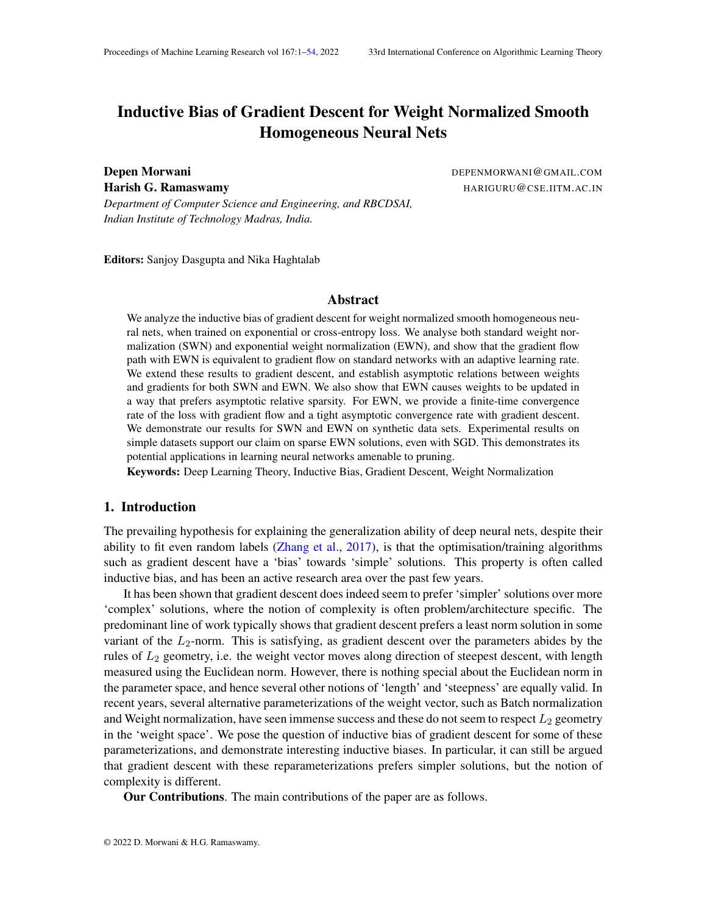(ii) For i; j 2 1 , 
$$
\frac{w_i(t)}{w_j(t)} = \frac{z_j}{z_i}
$$
.

(iii) For any i  $2 \, 1$ ,  $\lim_{t \downarrow 1} w_i(t) = \frac{1}{w_i(0)}$ zi  $\overline{\mathsf{w}}_\mathsf{j}\left(0\right)$ z $_\mathsf{j}$ 1<br>, wherej is any element in .

Proof In this case, the loss is given by

 $L(w) = e^{-w^2 z}$ 

As eachw<sub>i</sub> is further exponentially reparameterized, therefore, using Theorem 1,

$$
\frac{dw_i}{dt} = w_i^2 z_i e^{-w^2 z}
$$
 (37)

Using this equation, we can say, for any pair of indices

$$
\frac{d(\frac{z_i}{w_j}-\frac{z_j}{w_i})}{dt}=0
$$

Thus, for any pair of indices  $j$ 

$$
\frac{z_i}{w_j(t)} \quad \frac{z_j}{w_i(t)} = \frac{z_i}{w_j(0)} \quad \frac{z_j}{w_i(0)}
$$
(38)

Thus, we can say for every equivalent  $\mathsf{sgt}$ if i; j  $\,$  2 I $_\mathrm{a}$ , then  $\mathrm{as}_{\mathrm{w}_\mathrm{i}(0)}^{\mathrm{z}_\mathrm{j}}$  $\frac{z_i}{w_j(0)} = 0$ , therefore, at any timet,

$$
\frac{w_i(t)}{w_j(t)} = \frac{z_j}{z_i}
$$

Now, clearly the gradient ow stops only when<sup>></sup> z ! 1 . This means atleast one of the must tend to1 (Notice from Equation (37) that always goes up). For two equivalents stet said b, such that  $a > l_b$ , we can say, for 2  $l_a$  andj 2  $l_b$ , the RHS of Equation (38) is positive. Thus, it is not possible fow<sub>j</sub> to go to1 , otherwise the quantity on the LHS will be negative when  $\quad$  . Using this argument, we can say, only fo $2 \mid x$ , w<sub>i</sub> tend to 1 . Then, fori  $2 \mid x$ , considering  $j$  2 I and using Equation  $(38)$ ,

$$
\lim_{t \uparrow 1} w_i(t) = \frac{1}{w_i(0)} - \frac{z_i}{w_j(0)z_j}
$$

### Appendix G. Proof of Theorem 7

Theorem For Exponential Weight Normalization, under assumption (A1), the following hold for  $t > t_0$  in case of gradient ow

(i) kw(t)k grows witht aso((log t) $\frac{1}{L}$ ) (ii) L(t) goes down with asO  $\frac{1}{t}$ 

t

1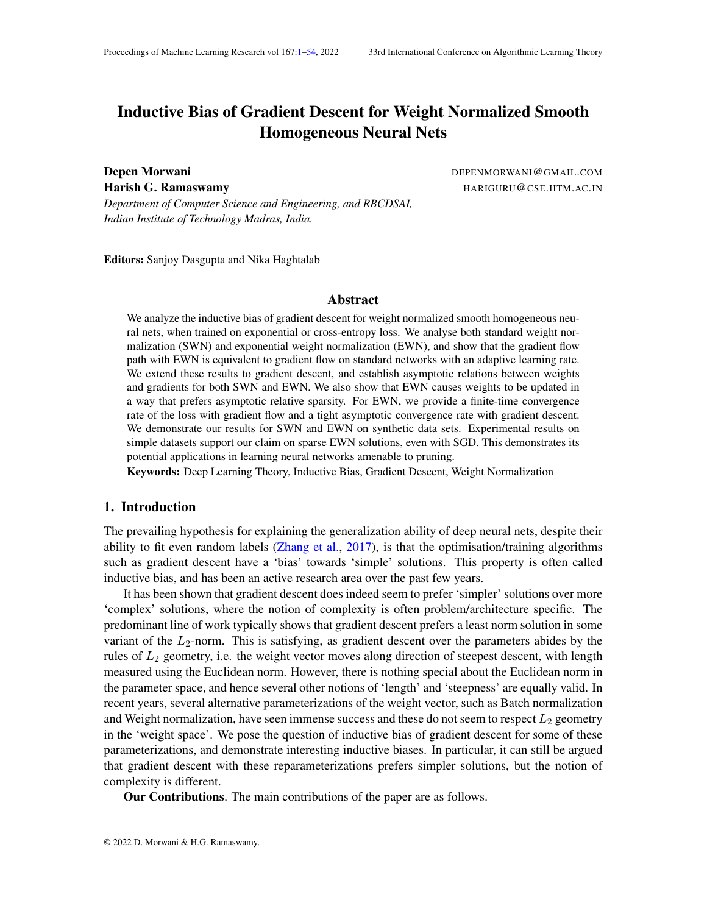Proof Using Equation (13), we can say

$$
\frac{1}{L(t)} \quad \frac{1}{L(t_0)} + \frac{L^2}{k}(t-t_0)
$$

Thus L(t) goes down with t a $\mathbf{S}$   $\frac{1}{t}$  $\frac{1}{t}$  . Now, we know, L(w) = P  $e^{y_i(w;x_i)}$ . Clearly, as (  $w$ ;  $x_i$ ) is smooth, therefore (w) attains a minima over the compact **set**  $k = 1$ . Using homogeneity of and the fact thalt goes down a  $\mathbb{O}$   $\frac{1}{t}$  $\frac{1}{\mathsf{t}}\,$  , we can say w (t)  $\mathsf{k}\,$  grows with t aso((log t)  $\frac{1}{\mathsf{L}}$  ).

## Appendix H. Proof of Theorem 8

Theorem For Exponential Weight Normalization, under Assumptions (B1)-(B4), 0, (t) = O  $log \frac{1}{L}$ <sup>c</sup> for c < 1 and lim<sub>t!1</sub>  $\frac{kr(t+1) - r(t)k}{q(t+1) - q(t)}$  $\frac{\Gamma(\tau+1)-\Gamma(\tau)\kappa}{g(\tau+1)-g(\tau)}=0$ , the following hold

(i) kw(t)k asymptotically grows with as  $(\log d(t))^{\frac{1}{L}}$ 

(ii)  $L(w(t))$  asymptotically goes down with as  $\frac{1}{d(t)(\log d(t))^2}$  .

First, we will establish rates for gradient ow to elucidate the proof technique and then go to the case of gradient descent.

### H.1. Gradient Flow

Although the asymptotic convergence rates for smooth homogeneous neural nets have been established in Lyu and Li (2020), the proof technique becomes easier to understand for smooth homogeneous nets, without weight normalization. In this case, we will use an assumption (A3) that  $\lim_{t \downarrow 1}$ w (t)  $\frac{W(t)}{kw(t)k}$  exists.

H.1.1. UNNORMALIZED NETWORK

Theorem For Unnorm, under Assumptions (A1)-(A3) for gradient ow, 0 andlim<sub>t!1</sub>  $\frac{k\frac{dr(t)}{dt}}{g^{0}(t)}=$ 0, the following hold

1. kw(t)k asymptotically grows at  $(\log t)^{\frac{1}{L}}$ 

2. L(w(t)) asymptotically goes down at the rate of  $\frac{1}{\sqrt{(\log t)^2-\frac{2}{L}}}$ .

Proof Considerw =  $g(t) \mathbf{w} + r(t)$ , wherelim<sub>t!1</sub>  $\frac{kr(t)k}{q(t)}$  $\frac{f(t)k}{g(t)} = 0$  andr(t)<sup>></sup>  $\mathbf{w} = 0$ . Now, we make an additional assumption th**i<del>a</del>n**  $\frac{k\frac{d\mathbf{r}(t)}{d(t)}}{d^{O(t)}}$  $\frac{d(t)^{-\alpha}}{g^0(t)} = 0$ . This basically avoids any oscillations  $\dot{\mathbf{n}}(t)$  for larget, where it can have a higher derivative, but the value may be bounded. Now, we know

$$
\frac{dw(t)}{dt} = \frac{X^n}{n} e^{-y_i(w(t);x_i)} y_i r_w(w(t);x_i)
$$
 (39)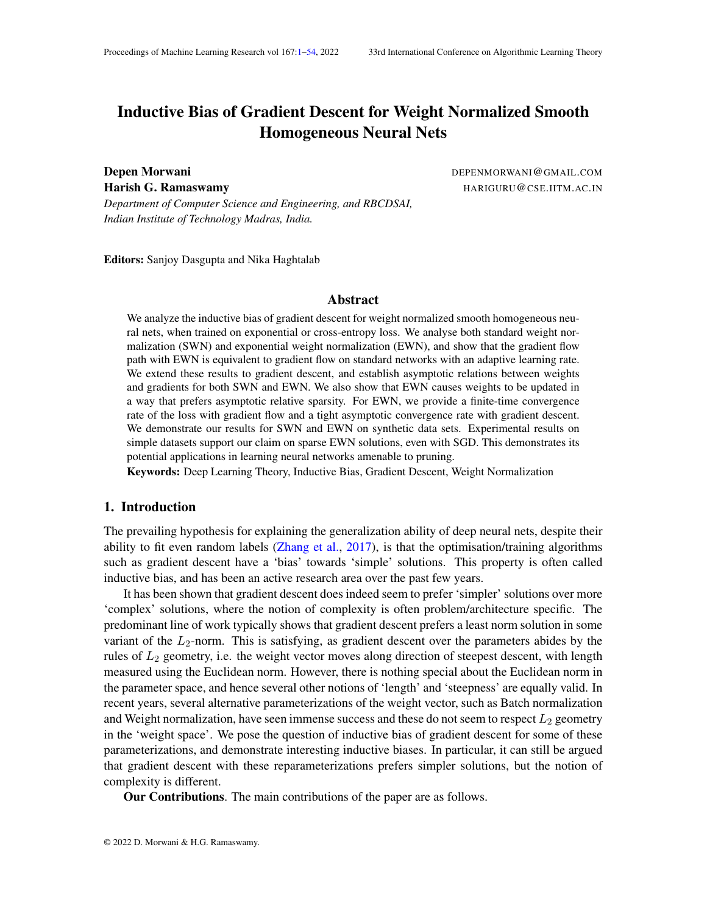Now, we knowk $\frac{dw\left(t\right)}{dt}$ k 6 0 for any nite t, otherwisew won't change an $d$  can't converge to  $0.$  Thus, for allt, we can say

$$
\frac{k\frac{dw(t)}{dt}k}{k \prod_{i=1}^{m} e^{-y_i (w(t);x_i)}y_i r_w (w;x_i)k} = 1
$$

Taking limit t ! 1 on both the sides, we get

$$
\lim_{t \to 1} \frac{k \frac{dw(t)}{dt}k}{k \sum_{i=1}^{m} e^{-y_i + (w(t);x_i)} y_i r_w + (w; x_i)k} = 1
$$

Now, we know

$$
k\frac{dw(t)}{dt}k = kg^{0}(t) \mathbf{w} + \frac{dr(t)}{dt}k
$$
  
\n
$$
k \frac{w(t)}{dt}k = \frac{dr(t)}{dt}k
$$
  
\n
$$
k \frac{dw(t)}{dt} = k \frac{dr(t)}{dt}k
$$
  
\n
$$
k \frac{dw(t)}{dt} = k \frac{dr(t)}{dt}k
$$
  
\n
$$
k \frac{dr(t)}{dt}k = k \frac{dr(t)}{dt}k
$$
  
\n
$$
k \frac{dr(t)}{dt}k = k \frac{dr(t)}{dt}k
$$
  
\n
$$
k \frac{dr(t)}{dt}k = k \frac{dr(t)}{dt}k
$$
  
\n
$$
k \frac{dr(t)}{dt} = k \frac{dr(t)}{dt}k
$$

Thus, we can say

$$
k \underset{i=1}{\overset{X^{n}}{R}} e^{-y_{i} \ ( \ w(t);x_{i})} y_{i} r_{w} \ ( \ w;x_{i}) k = L(w(t)) g(t)^{L-1} k \underset{i=1}{\overset{X^{n}}{R}} \ \frac{e^{-y_{i} \ ( \ w(t);x_{i})}}{L(w(t))} y_{i} r_{w} \qquad \text{w$ + } \frac{r(t)}{g(t)}; x_{i} \quad k
$$

Now, for large enough,  $k \bigg|_{i=1}^m$  $\sum_{i=1}^{m} \frac{e^{-y_i(w(t);x_i)}}{L(w(t))} y_i r_w$  we  $+ \frac{r(t)}{g(t)}$  $\frac{f(t)}{g(t)}$ ; x<sub>i</sub> k is bounded as, using Euler's homogeneous theorem, we can say

$$
\lim_{t\downarrow 1}\textbf{w}\textbf{v}^{\textbf{w}}\textbf{v}^{\textbf{w}}\textbf{v}^{\textbf{w}}\textbf{v}^{\textbf{w}}\textbf{v}^{\textbf{w}}\textbf{v}^{\textbf{w}}\textbf{v}^{\textbf{w}}\textbf{v}^{\textbf{w}}\textbf{v}^{\textbf{w}}\textbf{v}^{\textbf{w}}\textbf{v}^{\textbf{w}}\textbf{v}^{\textbf{w}}\textbf{v}^{\textbf{w}}\textbf{v}^{\textbf{w}}\textbf{v}^{\textbf{w}}\textbf{v}^{\textbf{w}}\textbf{v}^{\textbf{w}}\textbf{v}^{\textbf{w}}\textbf{v}^{\textbf{w}}\textbf{v}^{\textbf{w}}\textbf{v}^{\textbf{w}}\textbf{v}^{\textbf{w}}\textbf{v}^{\textbf{w}}\textbf{v}^{\textbf{w}}\textbf{v}^{\textbf{w}}\textbf{v}^{\textbf{w}}\textbf{v}^{\textbf{w}}\textbf{v}^{\textbf{w}}\textbf{v}^{\textbf{w}}\textbf{v}^{\textbf{w}}\textbf{v}^{\textbf{w}}\textbf{v}^{\textbf{w}}\textbf{v}^{\textbf{w}}\textbf{v}^{\textbf{w}}\textbf{v}^{\textbf{w}}\textbf{v}^{\textbf{w}}\textbf{v}^{\textbf{w}}\textbf{v}^{\textbf{w}}\textbf{v}^{\textbf{w}}\textbf{v}^{\textbf{w}}\textbf{v}^{\textbf{w}}\textbf{v}^{\textbf{w}}\textbf{v}^{\textbf{w}}\textbf{v}^{\textbf{w}}\textbf{v}^{\textbf{w}}\textbf{v}^{\textbf{w}}\textbf{v}^{\textbf{w}}\textbf{v}^{\textbf{w}}\textbf{v}^{\textbf{w}}\textbf{v}^{\textbf{w}}\textbf{v}^{\textbf{w}}\textbf{v}^{\textbf{w}}\textbf{v}^{\textbf{w}}\textbf{v}^{\textbf{w}}\textbf{v}^{\textbf{w}}\textbf{v}^{\textbf{w}}\textbf{v}^{\textbf{w}}\textbf{v
$$

Thus, its a convex combination of positive de ned terms and hence bounded. Thus, we can say

$$
k_1 \quad \lim_{t \downarrow 1} \frac{k \frac{dw(t)}{dt} k}{L(w(t)) g(t)^{L-1}} \quad k_2 \tag{40}
$$

wherek<sub>1</sub> andk<sub>2</sub> are some constants. Also, by the assumption

$$
\lim_{t \downarrow 1} \frac{k \frac{dw(t)}{dt} k}{g^0(t)} = 1
$$

Thus, we can say

$$
k_1 \quad \lim_{t \downarrow 1} \frac{g^0(t)}{L(w(t))g(t)^{L-1}} \quad k_2
$$

Now, as for large enough for all i that satisfy( $\mathbf{w}$ ;  $x_i$ ) = and any satisfying0 < < , we can say

$$
\mathbf{w} + \frac{r(t)}{g(t)}; x_i \qquad +
$$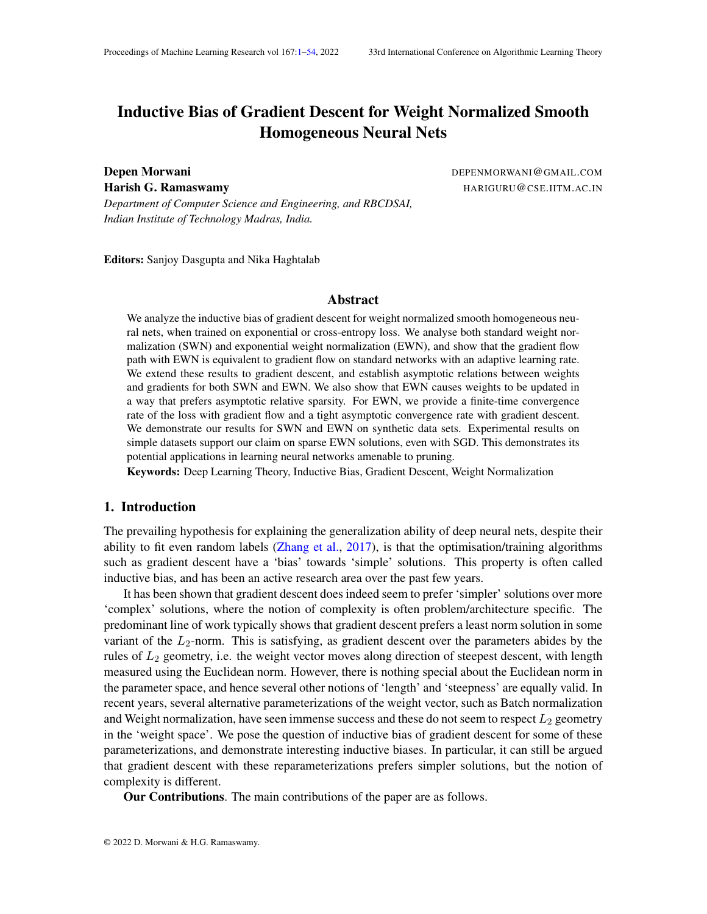therefore, for large enough we can say

$$
c_1e^{g(t)^L(t+)} L(w(t)) c_2e^{g(t)^L(t)}
$$

wherec<sub>1</sub> andc<sub>2</sub> are some constants. Using the above equations, we can say

$$
\lim_{t \to 1} \frac{g^{0}(t)}{e^{-g(t)^{L}(t)}g(t)^{L-1}} \quad k_1 c_1 \tag{41}
$$

$$
\lim_{t \to 1} \frac{g^{0}(t)}{e^{-g(t)^{L}} - g(t)^{L-1}} \qquad k_{2}c_{2}
$$
\n(42)

Now, in Equation 41, multiplying numerator and denominator  $L$ g (t)<sup>L</sup>  $($  + ) and denoting  $g(t)^L$  (  $+$  ) by  $h_1(t)$ , we get

$$
\lim_{t \to 1} \frac{h_1^0(t)}{e^{-h_1(t)}h_1(t)^{2-\frac{2}{L}}}
$$

where is some constant. This leads us to conclude

$$
\lim_{t \to 1} \frac{h_1(t)}{\log(t)} \quad 1 = \lim_{t \to 1} \frac{g(t)^{\perp} (+ \cdot )}{\log(t)} \quad 1
$$

Similarly, in Equation 42, multiplying numerator and denominatoLgyt)<sup>L</sup>  $($   $)$  and denoting g(t) $^{\mathsf{L}}$ ( ) by h $_2$ (t), we get  $\sim$ 

$$
\lim_{t \to 1} \frac{h_2^0(t)}{e^{-h_2(t)}h_2(t)^2} \frac{1}{t}
$$

where is some constant. This leads us to conclude

$$
\lim_{t \to 1} \frac{h_2(t)}{\log(t)} \quad 1 = \lim_{t \to 1} \frac{g(t)^{\perp}(\cdot)}{\log(t)} \quad 1
$$

As can be chosen to be arbitrarily small, we can conclude

$$
\lim_{t \uparrow 1} \frac{g(t)^L}{\log(t)} = 1
$$

Substituting this in Equation 40, we get that loss asymptotically goes down a<del>t  $\frac{1}{\mathsf{t}(\log t)^2-\frac{2}{\mathsf{L}}}$ </del>.

#### H.1.2. EXPONENTIAL WEIGHT NORMALIZATION

Theorem For EWN, under Assumptions (A1)-(A3) for gradient ow  $\frac{k\frac{dr(t)}{dt}}{g^0(t)}=0$ , the following hold

- 1. kw(t)k asymptotically grows at log(t) $^{\frac{1}{L}}$
- 2. L(w(t)) asymptotically goes down at the rate of  $\frac{1}{t(\log t)^2}$  .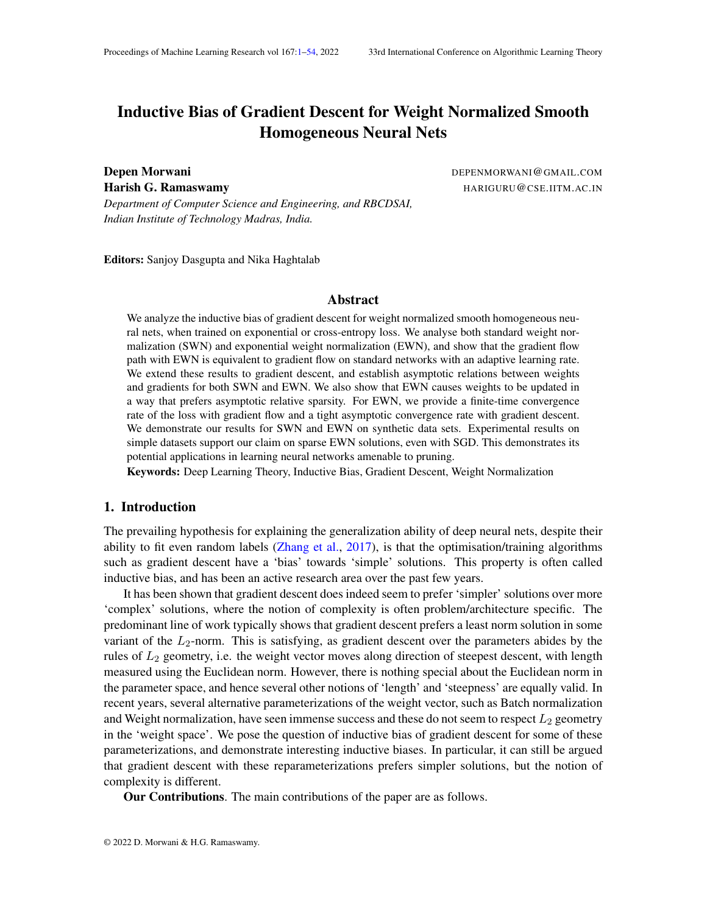Proof Considem =  $g(t)$   $\mathbf{\mathfrak{g}}$  + r(t), wherelim<sub>t!1</sub>  $\frac{kr(t)k}{g(t)}$  $\frac{f(t)k}{g(t)} = 0$  andr(t)<sup>></sup>  $\mathbf{\mathfrak{w}} = 0$  . Now, we make an additional assumption th $\frac{1}{2}$ then k $\frac{\mathsf{d}\mathsf{r}\,(\mathsf{t})}{\mathsf{d}(\mathsf{t})}$ k  $\frac{d(t)^{-n}}{g^{0}(t)} = 0$ . In this case,

$$
\frac{dL(w(t))}{dw} = \frac{X^n}{1} e^{-y_i + (w(t);x_i)} y_i r_w + (w(t);x_i)
$$

However, in this case, for a node

$$
\frac{dw_{u}(t)}{dt} = k w_{u}(t)k^{2}\frac{dL(w(t))}{dw_{u}}
$$

Consider a vectoa(t) of equal dimension aw, and its components corresponding to a node given by  $a_u(t) = k \mathbf{w}_u k^2 \frac{dL(w(t))}{dw_u}$  $\frac{d \mathbf{w}(\mathbf{u})}{d \mathbf{w}_\mathbf{u}}$ . Now as we knoww converges in direction to , therefore, using the update equation above, we can say

$$
\lim_{t \downarrow 1} \frac{k \frac{dw(t)}{dt} k}{g(t)^2 ka(t)k} = 1
$$

Using the update equation for $\frac{dL(w(t))}{dw}$ , which is the same as Equation 39, and using the same arguments as for Unnorm in Appendix H.1.1, we can say

$$
k_1 \quad \lim_{t \downarrow 1} \frac{k \frac{dL(w(t))}{dw} k}{L(w(t)) g(t)^{L-1}} \quad k_2 \tag{43}
$$

wherek<sub>1</sub> andk<sub>2</sub> are some constants. Now, using the expression for we can say

$$
k_3 \quad \lim_{t \uparrow 1} \frac{ka(t)k}{L(w(t))g(t)^{L-1}} \quad k_4
$$

wherek<sub>3</sub> and k<sub>4</sub> are some constants. Now, from the assumption, we know

$$
\lim_{t \to 1} \frac{k \frac{dw(t)}{dt} k}{g^0(t)} = 1
$$

Using the equations above, we can say

$$
k_3 \quad \frac{g^{0}(t)}{L(w(t))g(t)^{L+1}} \quad k_4 \tag{44}
$$

Using similar reasoning as for Unnorm in Appendix  $H.1.1$ , we can say, for a large enough

$$
c_1e^{g(t)^L(t+)} L(w(t)) c_2e^{g(t)^L(t)}
$$

wherec<sub>1</sub> andc<sub>2</sub> are some constants. Substituting this in equation above, we get

$$
\lim_{t \to 1} \frac{g^{0}(t)}{e^{-g(t)^{L} (t)} g(t)^{L+1}} \qquad k_{3}c_{1}
$$
\n(45)

$$
\lim_{t \to 1} \frac{g^{0}(t)}{e^{-g(t)^{L}(-)}g(t)^{L+1}} \quad k_{4}c_{2}
$$
\n(46)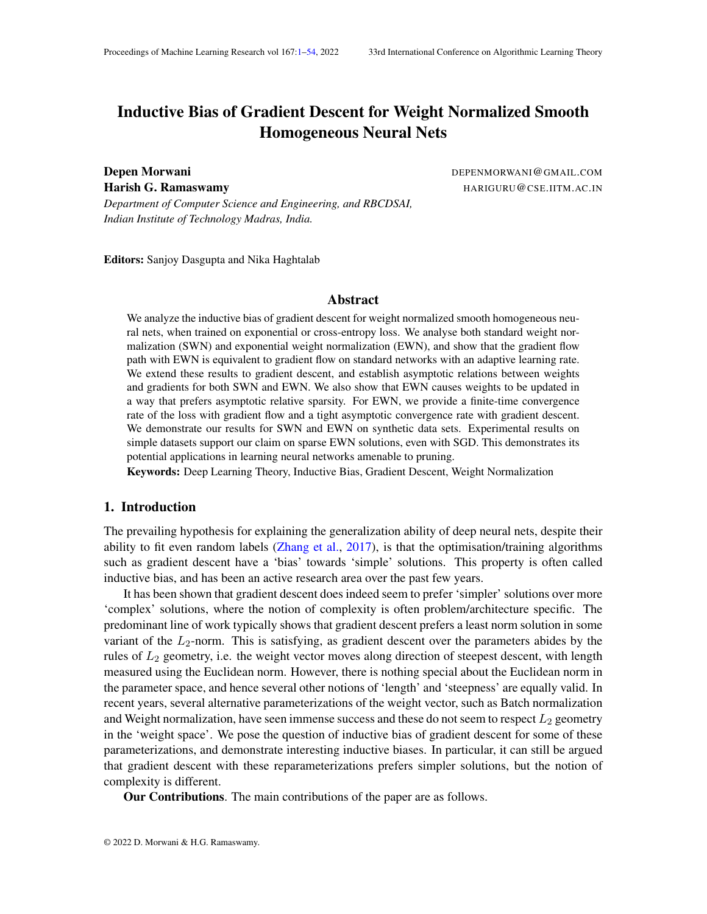Now, using similar arguments as for Unnorm in Appendix H.1.1, we can say

$$
\lim_{t \uparrow 1} \frac{g(t)^L}{\log(t)} = 1
$$

Substituting this in Equation 44, we get that loss asymptotically goes down  $\frac{1}{\sqrt[\alpha]{(\log t)^2}}$  . H.

#### H.2. Gradient Descent

Theorem For Exponential Weight Normalization, under Assumptions (B1)-(B4), 0, (t) = O  $log \frac{1}{L}$  $\frac{c}{c}$  for  $c < 1$  and  $\lim_{t \downarrow 1}$ kr (t+1) r (t)k  $\frac{f(t+1)-f(t)\kappa}{g(t+1)-g(t)}=0$ , the following hold

(i) kw(t)k asymptotically grows with as  $(\log d(t))^{\frac{1}{L}}$ 

(ii)  $L(w(t))$  asymptotically goes down withas  $\frac{1}{d(t)(\log d(t))^2}$  .

Proof Considerw =  $g(t) \mathbf{w} + r(t)$ , wherelim<sub>t!1</sub>  $\frac{kr(t)k}{q(t)}$  $\frac{f(t)k}{g(t)} = 0$  andr(t)<sup>></sup>  $\mathbf{w} = 0$ . Now, we make additional assumptions that  $t_{11}$ kr (t+1) r (t)k  $\frac{f(t+1)-f(t)K}{g(t+1)-g(t)}=0$ .

Consider a node in the network that has  $w<sub>u</sub>$  k > 0. The update equations for  $u(t)$  and  $u(t)$ are given by

$$
u(t + 1) = u(t) \qquad (t) e^{u(t)} \frac{v_u(t)^r r_{w_u} L(w(t))}{kv_u(t)k}
$$
  

$$
v_u(t + 1) = v_u(t) \qquad (t) \frac{e^{u(t)}}{kv_u(t)k} \qquad I \qquad \frac{v_u(t)v_u(t)^r}{kv_u(t)k^2} \qquad r_{w_u} L(w(t))
$$

Now, we will rst estimateke  $\frac{u(t+1)}{kv_u(t+1)k}$  e  $\frac{v_u(t)}{kv_u(t)k}$ k. Let  $u(t)$  denote  $(t)e^{-u(t)}$ kr  $\frac{u_u(t)}{kv_u(t)k}$ k. and <sub>u</sub>(t) denote the angle betweേng(t) and r  $\sqrt{w_u} L(w(t))$ . We knowlim<sub>t!1</sub> u(t) = 0 and  $\lim_{t \downarrow 1}$   $u(t) = 0$ . Now, rewriting update equations in terms of these symbols, we get

 $e^{-u(t+1)} = e^{-u(t)}e^{u(t)\cos(-u(t))}$ 

$$
v_{u}(t+1) = v_{u}(t) + u(t) \sin(u(t)) \frac{r}{kr} \frac{w_{u} L(w(t)) v_{u(t)}}{w_{u} L(w(t)) v_{u(t)} k}
$$

where r  $\|_{_{W_u}} L(w(t))_{_{V_u(t)_?}}$  denotes the component  $\frak{of}\,|_{_{W_u}} L(w(t))$  perpendicular t $\frak{v}_u(t)$ . Now, using these equations we can say

$$
e^{u(t+1)} \frac{v_{u}(t+1)}{kv_{u}(t+1)k} \t e^{u(t)} \frac{v_{u}(t)}{kv_{u}(t)k} = e^{u(t)} e^{u(t)\cos(u(t))} \frac{kv_{u}(t)k}{kv_{u}(t+1)k} \t 1 \frac{v_{u}(t)}{kv_{u}(t)k} + \frac{e^{u(t+1)} u(t)\sin(u(t))}{kv_{u}(t)kkv_{u}(t+1)k} \frac{r w_{u}L(w(t))v_{u}(t)}{kr w_{u}L(w(t))v_{u}(t)k} \t (47)
$$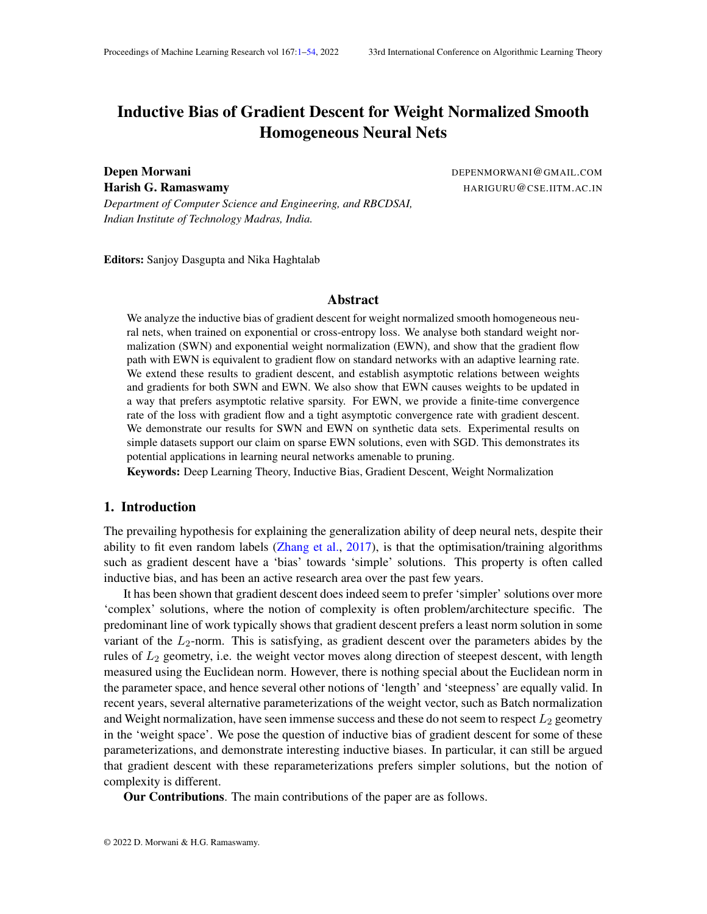Now aslim $_{t}$ <sup>11</sup> kv <sub>u</sub> (t) k  $\frac{Kv_u(1)K}{kv_u(1+1)K}$  = 1, therefore we can say

$$
\lim_{t \to 1} \frac{e^{u(t)\cos(u(t))} \frac{k v_u(t)k}{k v_u(t+1)k}}{u(t)\cos(u(t))} = 1
$$

Now, asky<sub>u</sub>(t)k keeps on increasing during the gradient descent trajectory, therefore we can say 1 kv<sub>u</sub> (t)kkv<sub>u</sub> (t+1) k k, wherek  $> 0$  is some constant. Now dividing both sides of Equation (47) by e  $\frac{u(t)}{u(t)}$  cos( $\frac{u(t)}{u(t)}$  and analyzing the coef cient of the second term on RHS, we get

$$
\lim_{t \to 1} \frac{e^{u(t)\cos(u(t))}\sin(u(t))}{kv_u(t)kkv_u(t+1)kcos(u(t))} = 0
$$

Taking norm on both sides of Equation (47), using Pythagoras theorem and the limits established above, we can say

$$
\lim_{t \downarrow 1} \frac{\text{ke}^{u(t+1)} \frac{v_u(t+1)}{kv_u(t+1)k} - e^{u(t)} \frac{v_u(t)}{kv_u(t)k}k}{e^{u(t)} u(t)} = 1
$$

Now, we also know

$$
\lim_{t \to 1} \frac{\text{ke}^{u(t+1)} \frac{v_u(t+1)}{kv_u(t+1)k}}{g(t+1)} = k \cdot u(t) \frac{v_u(t)}{kv_u(t)k} = kw_u k
$$

Now, using equations above and Equation (43), we can say

$$
k_1 \quad \lim_{t \uparrow 1} \frac{g(t+1) - g(t)}{(t) L(w(t)) g(t)^{L+1}} \quad k_2
$$

wherek<sub>1</sub> andk<sub>2</sub> are some constants. Using similar reasoning as for Unnorm in Appendix H.1.1, we can say ( )

$$
c_1e^{g(t)^L(t+)} L(w(t)) c_2e^{g(t)^L(t)}
$$

wherec<sub>1</sub> andc<sub>2</sub> are some constants. Substituting in the equation above, we get

$$
\lim_{t \to 1} \frac{g(t+1) - g(t)}{(t)e^{-g(t)^{L}(t+1)}g(t)^{L+1}} \quad k_1 c_1
$$
\n
$$
\lim_{t \to 1} \frac{g(t+1) - g(t)}{(t)e^{-g(t)^{L}(t-1)}g(t)^{L+1}} \quad k_2 c_2
$$

These equations govern the rategor for any (t) that satis es assumption (A4). Now, to obtain a better closed form, we will need the new assumption  $\tt (d\tilde{\theta})$ , i.e,  $\phantom{a}$  (t) = O  $\phantom{a}$  log  $\tfrac{1}{L}$  $\degree$  , where  $c < 1$ .

Now, de ne a mapd : N ! R, given byd(t) =  $\frac{P_{t-1}}{P_{t-1}}$  $\frac{1}{100}$  ( ) and a real analytic function(t) satisfyingf (d(t)) = g(t) for all t 2 N andlim<sub>t!1</sub>  $\frac{f(d(t+1)) - f(d(t))}{(t) f^0(d(t))}$  $\frac{(\mathbf{H}(\mathbf{t})) - \mathbf{H}(\mathbf{d}(\mathbf{t}))}{(\mathbf{t})\mathbf{H}(\mathbf{d}(\mathbf{t}))}$  = 1. We will later verify that thef (t) obtained indeed satis es this for the give(t). Substituting in the equations above,

$$
k_1 \quad \lim_{t \downarrow 1} \frac{f^0(d(t))}{L(w(t))f(d(t))^{L+1}} \quad k_2 \tag{48}
$$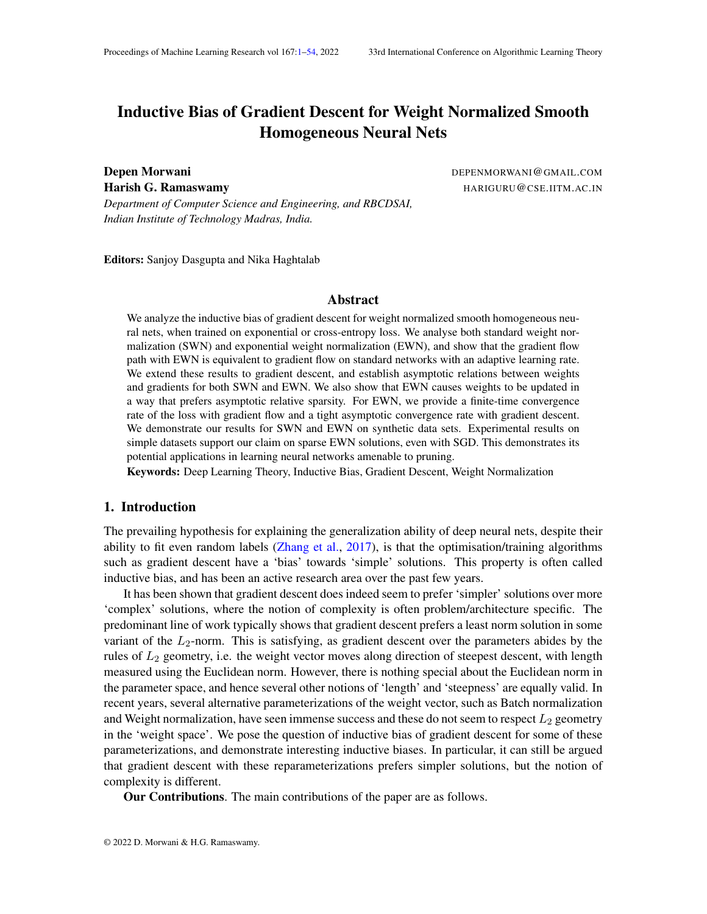$$
\lim_{t \uparrow 1} \frac{f^{\circ}(d(t))}{e^{f^{\circ}(d(t))^{L^{\circ}}(t) + f^{\circ}(d(t))^{L^{\circ}+1}} \quad k_1 c_1
$$
\n
$$
\lim_{t \uparrow 1} \frac{f^{\circ}(d(t))}{e^{f^{\circ}(d(t))^{L^{\circ}}(t) + f^{\circ}(d(t))^{L^{\circ}+1}} \quad k_2 c_2
$$

As  $t! 1$ ,  $d(t)$ ! 1, therefore

$$
\lim_{t \uparrow 1} \frac{f^{0}(t)}{e^{f(t)^{L}(t) + f(t)^{L+1}}} \quad k_{1}c_{1}
$$
\n
$$
\lim_{t \uparrow 1} \frac{f^{0}(t)}{e^{f(t)^{L}(t) + f(t)^{L+1}}} \quad k_{2}c_{2}
$$

Now, using similar arguments as in Appendix H.1.1,

$$
\lim_{t \uparrow 1} \frac{f(t)^L}{\log(t)} = 1
$$

Substituting in the Equation 48, we get that the loss goes down  $\frac{1}{\mathbf{d}(\mathsf{t})(\log \mathsf{d}(\mathsf{t}))^2}$  .

We also verify thatim<sub>t!1</sub>  $\frac{f(d(t+1)) - f(d(t))}{(t) f Q(d(t))}$  $\frac{(t+1))}{(t) f^0(d(t))}$  = 1 for (t) = O( log  $\frac{1}{L}$  $\text{c}$ ), wherec < 1. This can be easily veri ed by using mean value theorem, and simply verifiying  $\frac{(t)f^{[0]}d(t))}{f^{[0]}d(t)}$  $\frac{f(t) - f'(d(t))}{f'(d(t))} = 0.$ Obtaining the expressions fb $f(d(t))$  andf  ${}^{0}f$ d(t)), we get

$$
\lim_{t \to 1} \frac{(t) f^{0}(d(t))}{f^{0}(d(t))} = \lim_{t \to 1} \frac{(t) d(t)(\frac{1}{L} - 1) \log d(t)}{d(t) \log(d(t))}
$$

As loss goes down at  $\frac{1}{\mathsf{d}(\mathsf{t})(\log \mathsf{d}(\mathsf{t}))^2}$  , therefore if  $(\mathsf{t}) = \mathsf{O}(\log \frac{1}{\mathsf{L}})$  $\epsilon$ ) for  $c < 1$ , the above limit tends to  $0$  as  $(t)$ ! 1.

### Appendix I. Cross-Entropy Loss

In this section, we will provide the corresponding assumptions and theorems, along with their proofs, for cross-entropy loss.

#### I.1. Notations

Let k denote the total number of classes.  $\mathbf{A}$ sw; x<sub>i</sub>) is a multidimensional function for multiclass classi cation, let's denote the<sup>th</sup> component of the output by<sub>j</sub> (w; x<sub>i</sub>). Also, denote the asymptotic normalized margin foith class corresponding to<sup>th</sup> data point(  $6$  y<sub>i</sub>) by <sub>i;j</sub>, i.e,  $i_{ij}$  =  $v_i(\mathbf{W}; X_i)$  $(w; x_i)$  j  $(w; x_i)$ . Margin for a data point is de ned as  $_i = min_{j \theta y_i - i, j}$ . The margin for the entire network is de ned as= min  $_{\rm i-i}$ .

#### I.2. Assumptions

The assumptions can be broadly divided into loss function/architecture based assumptions and trajectory based assumptions. The loss functions/architecture based assumptions are shared across both gradient ow and gradient descent.

Loss function/Architecture based assumptions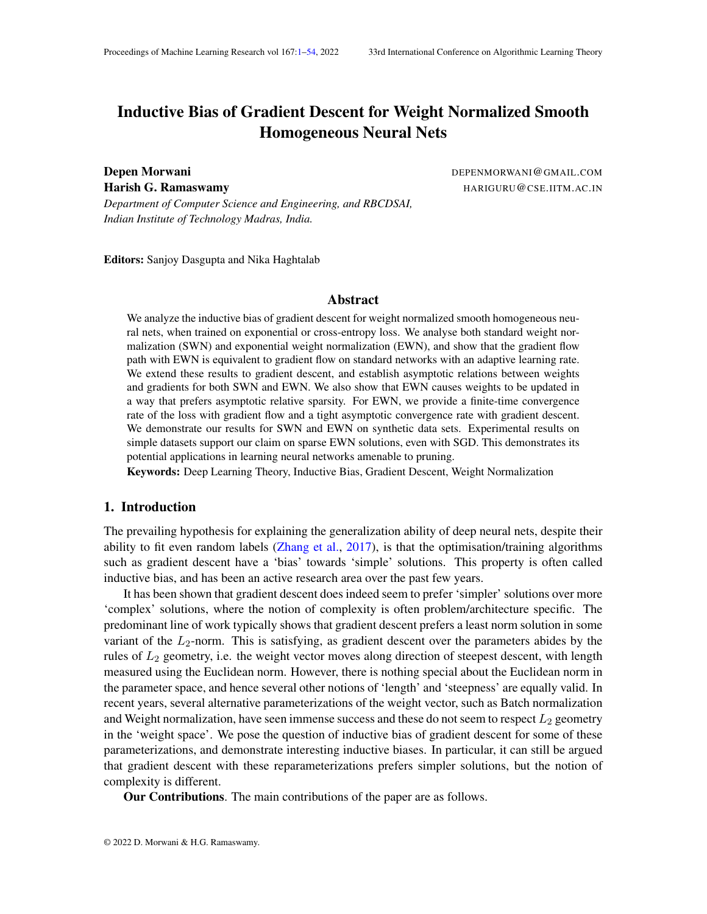$$
1^{(1)}(y_{i}; (w; x_{i})) = \log 1 + \frac{P}{j \epsilon y_{i}} e^{(1 - y_{i}(w; x_{i}))} = j(w; x_{i})
$$

- 2 ( $::$ x) is aC<sup>1</sup> function, for a xedx
- 3 (  $w; x =$   $\perp$  (  $w; x$ ), for some > 0 and L > 0

Gradient ow . For gradient ow, we make the following trajectory based assumptions

(A1) There exists a time such that  $(w(t_0)) < log 2$ .

(A2) 
$$
\lim_{t \to 1} \frac{r w L(w(t))}{kr w L(w(t))k} := g.
$$

Gradient Descent For gradient descent, we require the learning rate to not grow too fast, and a slightly stronger assumption on loss.

(B1)  $\lim_{t \to 1}$  L(w(t)) = 0 r  $w L (w(t))$  $\frac{r - w \mathsf{L}(w(t))}{\mathsf{k}r - w \mathsf{L}(w(t))\mathsf{k}} := 9$ 

(B3)  $\lim_{t \to 1}$  (t)kw<sub>u</sub>(t)kr  $w_u L(w(t))k = 0$  for all u in the network.

The assumption (B3) is mild, as the norm of the gradient of cross-entropy loss goes down exponentially fast as compared to norm of the weights.

#### I.3. Asymptotic relations between weights and gradients

This section contains the main theorems that establish asymptotic relations between weights and gradients for SWN and EWN. First, we will state a common proposition for both SWN and EWN.

Proposition 11 Under assumption (A1) for gradient ow, for both SWN and EVM  $_{1/1}$  L(w(t)) = 0.

Proof First of all, for cross-entropy loss

$$
\frac{dL(t)}{dw} = \frac{X}{\int_{i}^{t} \theta y_{i}} \frac{P_{j \theta y_{i}} e^{(-y_{i}(w,x_{i})} - j(w,x_{i})) (r_{w} - y_{i}(w,x_{i}) - r_{w} - j(w,x_{i}))}{1 + \int_{j \theta y_{i}}^{t} e^{(-y_{i}(w,x_{i})} - j(w,x_{i}))} (49)
$$

Now, using Theorem 1,

$$
\frac{dL(t)}{dt} = \frac{dL(t)}{dw} > \frac{dw(t)}{dt} = \frac{X}{u} \quad kw_u(t)k^2 \frac{dL(t)}{dw_u}^2
$$

P<br>Let k be the total number of neurons in the network. Then using the elementary inequa<u>lity,</u>  $\int \frac{dy}{dx}$ ⊾קש<br>ח"ו  $_{i=1}^{n}$  a<sup>2</sup>, we get

$$
\frac{dL(t)}{dt} \qquad \frac{1}{k} \qquad \begin{array}{c} X \\ w \\ w \end{array} \begin{array}{c} \text{kw}_{u}(t)k \\ \frac{dL(t)}{dw_{u}} \end{array} \begin{array}{c} \frac{1}{2} \\ \frac{1}{2} \\ \frac{1}{2} \\ \frac{1}{2} \\ \frac{1}{2} \\ \frac{1}{2} \\ \frac{1}{2} \\ \frac{1}{2} \\ \frac{1}{2} \\ \frac{1}{2} \\ \frac{1}{2} \\ \frac{1}{2} \\ \frac{1}{2} \\ \frac{1}{2} \\ \frac{1}{2} \\ \frac{1}{2} \\ \frac{1}{2} \\ \frac{1}{2} \\ \frac{1}{2} \\ \frac{1}{2} \\ \frac{1}{2} \\ \frac{1}{2} \\ \frac{1}{2} \\ \frac{1}{2} \\ \frac{1}{2} \\ \frac{1}{2} \\ \frac{1}{2} \\ \frac{1}{2} \\ \frac{1}{2} \\ \frac{1}{2} \\ \frac{1}{2} \\ \frac{1}{2} \\ \frac{1}{2} \\ \frac{1}{2} \\ \frac{1}{2} \\ \frac{1}{2} \\ \frac{1}{2} \\ \frac{1}{2} \\ \frac{1}{2} \\ \frac{1}{2} \\ \frac{1}{2} \\ \frac{1}{2} \\ \frac{1}{2} \\ \frac{1}{2} \\ \frac{1}{2} \\ \frac{1}{2} \\ \frac{1}{2} \\ \frac{1}{2} \\ \frac{1}{2} \\ \frac{1}{2} \\ \frac{1}{2} \\ \frac{1}{2} \\ \frac{1}{2} \\ \frac{1}{2} \\ \frac{1}{2} \\ \frac{1}{2} \\ \frac{1}{2} \\ \frac{1}{2} \\ \frac{1}{2} \\ \frac{1}{2} \\ \frac{1}{2} \\ \frac{1}{2} \\ \frac{1}{2} \\ \frac{1}{2} \\ \frac{1}{2} \\ \frac{1}{2} \\ \frac{1}{2} \\ \frac{1}{2} \\ \frac{1}{2} \\ \frac{1}{2} \\ \frac{1}{2} \\ \frac{1}{2} \\ \frac{1}{2} \\ \frac{1}{2} \\ \frac{1}{2} \\ \frac{1}{2} \\ \frac{1}{2} \\ \frac{1}{2} \\ \frac{1}{2} \\ \frac{1}{2} \\ \frac{1}{2} \\ \frac{1}{2} \\ \frac{1}{2} \\ \frac{1}{2} \\ \frac{1}{2
$$

Again using the fact thatw (t)<sup>></sup>  $\frac{dL(t)}{dw}$ P  $_{\sf u}$  kw $_{\sf u}$ (t)k  $\frac{{\sf dL}\,({\sf t})}{{\sf dw}_{\sf u}}$  $\frac{dL(t)}{dw_u}$  , we get

$$
\frac{dL(t)}{dt} \qquad \frac{1}{k} \quad w(t)^{>}\frac{dL(t)}{dw} \qquad (50)
$$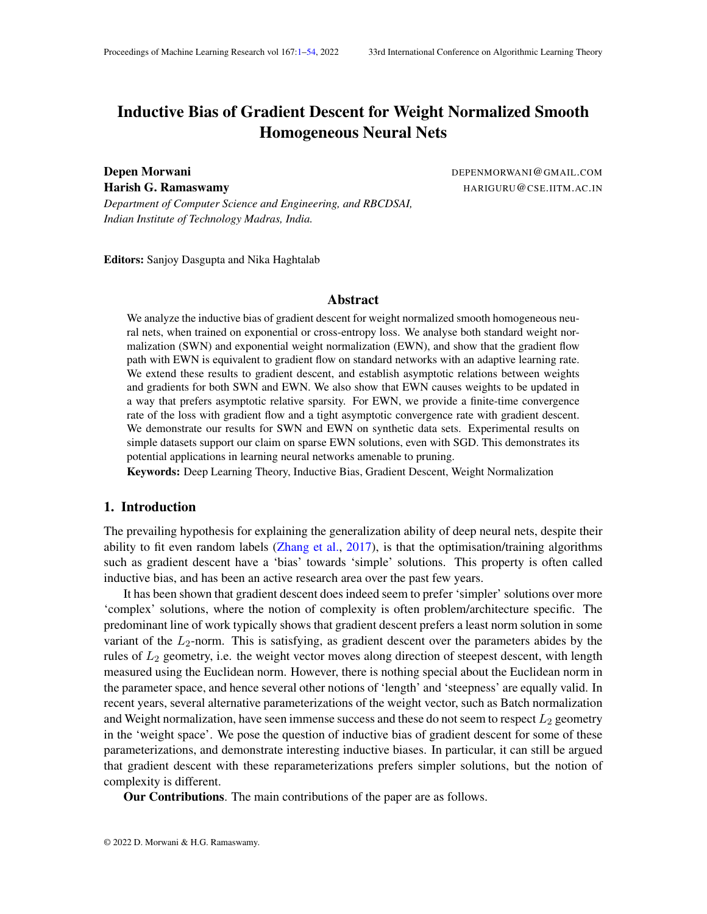Taking the dot product with on both sides of Equation (49) and using r<sub>w</sub> (w;x<sub>i</sub>) = L ( $w; x_i$ ) (Euler's homogeneity theorem), we get !

$$
w(t)^{>}\frac{dL(t)}{dw} = -L \sum_{i}^{X} \frac{P_{j \in y_{i}} e^{(-y_{i}(w;x_{i}) - j(w;x_{i}))} (-y_{i}(w;x_{i}) - j(w;x_{i}))}{1 + j \in y_{i}} e^{(-y_{i}(w;x_{i}) - j(w;x_{i}))}
$$

Now, using the fact, that at tim $_{\mathbf{\theta}}$ , L(t<sub>0</sub>) < log 2, which meansmin<sub>i</sub> min<sub>j  $\epsilon_{y_i}$ (  $_{y_i}$ (w;x<sub>i</sub>)</sub>

 $j(w; x_i)$  = > 0. Also, as we know, for gradient ow, the loss cannot go up, therefore, for any timet > t <sub>0</sub>, min<sub>i</sub> min<sub>j € y<sub>i</sub> ( y<sub>i</sub> (w; x<sub>i</sub>) = y (w; x<sub>i</sub>)) > > 0. Using this, we can say, for any</sub>  $t > t_0$ , !

$$
w(t)^{\geq} \frac{dL(t)}{dw} \qquad L \qquad \sum_{i}^{N} \qquad \frac{P_{\dot{\theta}^{\mathcal{G}} y_i} e^{(-y_i(w;x_i) - j(w;x_i))}}{1 + i \qquad \text{if } \theta y_i} e^{(-y_i(w;x_i) - j(w;x_i))}}
$$

Using the fact thain  $(1 + t) > \frac{t}{14}$  $\frac{t}{1+t}$  for t 2 (0; 1), therefore,

$$
w(t)^{>}\frac{dL(t)}{dw} \qquad L \ L(t)
$$

Substituting this in Equation (50), we get

$$
\frac{dL(t)}{dt} \qquad \frac{L^{2/2}}{k}L(t)^2
$$

Integrating this equation from to t, we get

$$
\frac{1}{L(t)} \quad \frac{1}{L(t_0)} + \frac{L^2}{k} (t \quad t_0) \tag{51}
$$

 $\blacksquare$ 

 $\blacksquare$ 

Clearly as t tends to, RHS tends to  $1$  and thus tends to  $0$ .

Now, we provide one of our main theorem that establishes gradient convergence implies weight convergence.

Theorem 12 Consider a node in the network with  $g_{uk}$  > 0 and  $\lim_{t \downarrow 1}$  kw<sub>u</sub>(t) k = 1. Under assumptions (A1), (A2) for gradient ow and (B1)-(B3) for gradient descent, for both SWN and EWN

(i)  $\lim_{t \downarrow 1} \frac{w_u(t)}{kw_u(t)}$  $\overline{\mathsf{kw}_\mathsf{u}(\mathsf{t})\mathsf{k}}$ (ii)  $w_{u} = g_{u}$  for some  $> 0$ .

Proof Same as in Appendix C.

Now, we provide the main theorem that distinguishes SWN and EWN.

Theorem 13 Consider two nodes and in the network with  $g_{\mu}k \times g_{\nu}k > 0$ ;  $\lim_{t \to 1} \lim_{k \to \infty} (t)k =$ 1 and lim<sub>t!1</sub> kw<sub>v</sub>(t)k = 1. Let  $\frac{kg_u k}{kg_v k}$  be denoted by. Under assumptions (A1), (A2) for gradient ow and (B1)-(B3) for gradient descent,

- (i) for SWN,  $\lim_{t \uparrow 1} \frac{k w_u(t) k}{k w_u(t) k}$  $\frac{KW_u(t)K}{kw_v(t)k} = C$
- (ii) for EWN,  $\lim_{t \downarrow 1} \frac{\text{kw}_{u}(t)k}{\text{kw}_{v}(t)k}$  $\frac{\mathsf{kw}_\mathsf{u}\,(\mathsf{t})\mathsf{k}}{\mathsf{kw}_\mathsf{v}(\mathsf{t})\mathsf{k}}$  is either0; 1  $\,$  or  $\frac{1}{\mathrm{c}}$

Proof Same as in Appendix D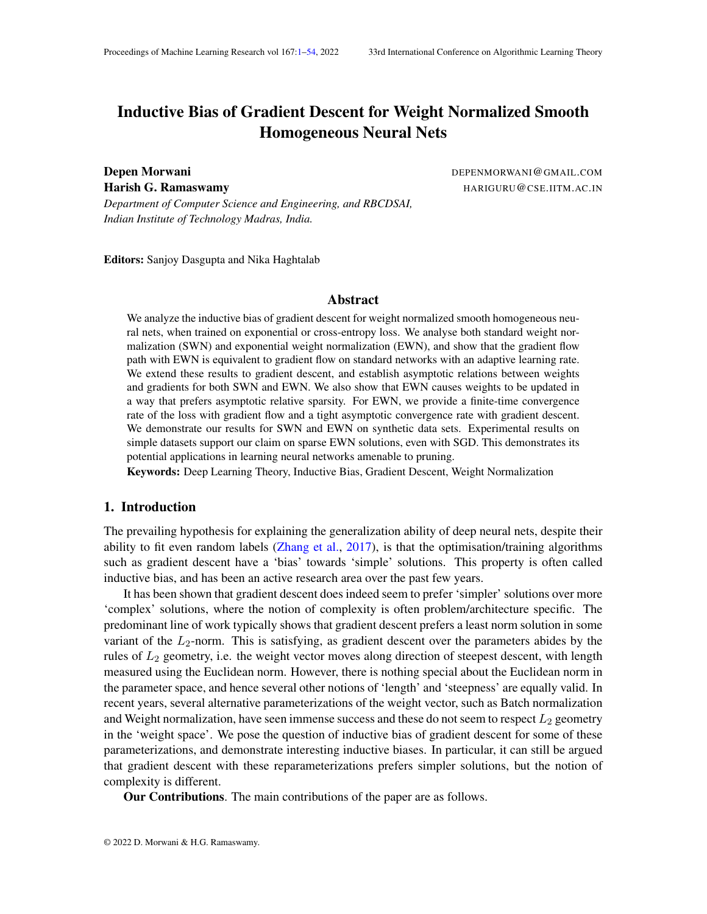I.4. Sparsity Inductive Bias for Exponential Weight Normalisation

The inverse relation between w<sub>u</sub>(t)k and kr w<sub>u</sub> L(w(t))k in the EWN trajectory results in an interesting inductive bias that favours movement along sparse directions.

Proposition 14 Consider two nodest and v in the network such that  $g_y k$  k  $g_y k$  > 0 and kw<sub>u</sub>(t)k; kw<sub>v</sub>(t)k ! 1 . Let  $\frac{\text{kg}_u k}{\text{kg}_v k}$  be denoted by Consider any; such that 0 < c and 0 < < 2 . Then, the following holds:

- (i) There exists a time<sub>1</sub>, such that for allt  $> t<sub>1</sub>$  both SWN and EWN trajectories have the following properties:
	- (a)  $\frac{k r_{w,u} L(w(t)) k}{kr_{w,v} L(w(t)) k}$  2 [c ; c + ] (b)  $\frac{w_u(t)}{kw_u(t) k}$  $\frac{r}{r}$   $\frac{w}{w}$  L (w(t))  $\overline{\mathsf{k}\mathsf{r}}\,\,$   $_{\mathsf{w}\,\mathsf{u}}$  L (w (t))  $\mathsf{k}$ cos( )
	- (c)  $\frac{w_v(t)}{kw_v(t)k}$  $\frac{r}{r}$   $\frac{w}{v}$  L (w(t))  $\frac{r_{w_v}L(w(t))}{kr_{w_v}L(w(t))k}$  COS().

(ii) for SWN,  $\lim_{t \to 1} \frac{k w_u(t) k}{k w_u(t) k}$  $\frac{KW_u(t)K}{kw_v(t)k} = C$ 

(iii) for EWN, if at some tim $\phi_2 > t_1$ ,

(a)  $\frac{\text{kw}_{u}(t_2)k}{\text{kw}_{v}(t_2)k} > \frac{1}{(c)}$  $\frac{1}{(c_1) \cos(\theta)}$  =)  $\lim_{t \downarrow 1}$   $\frac{k w_u(t) k}{k w_v(t) k}$  $\frac{kw_u(t)k}{kw_v(t)k} = 1$ (b)  $\frac{\text{kw}_{u}(t_2)k}{\text{kw}_{v}(t_2)k} < \frac{\cos($  )  $\frac{\cos(4)}{\cos(4)}$  =)  $\lim_{t \downarrow 1}$   $\frac{\text{kw}_{u}(t)\text{k}}{\text{kw}_{v}(t)\text{k}}$  $\frac{\kappa w_u(t)\kappa}{\kappa w_v(t)\kappa} = 0$ 

Proof The proof follows from Appendix E.

#### I.5. Convergence rates

In this section, we provide convergence rate of loss for EWN.

Gradient Flow: We provide a nite-time convergence rate of loss for gradient ow in case of EWN.

Theorem 15 For Exponential Weight Normalization, under assumption (A1), the following hold for t > t  $_0$  in case of gradient ow

٠

(i) kw(t)k grows witht aso((log t) $\frac{1}{L}$ ) (ii) L(t) goes down with asO  $\frac{1}{t}$ t

Proof Follow from Equation (51)

Gradient Descent:

Theorem 16 For Exponential Weight Normalization, under Assumptions (B1)-(B4), 0, (t) = O  $log \frac{1}{L}$ <sup>c</sup> for c < 1 and lim<sub>t!1</sub>  $\frac{\text{kr}(t+1) - r(t)k}{q(t+1) - q(t)}$  $\frac{f(t+1)-f(t)K}{g(t+1)-g(t)}=0$ , the following hold

(i) kw(t)k asymptotically grows with as  $(\log d(t))^{\frac{1}{L}}$ 

(ii)  $L(w(t))$  asymptotically goes down with as  $\frac{1}{d(t)(\log d(t))^2}$  .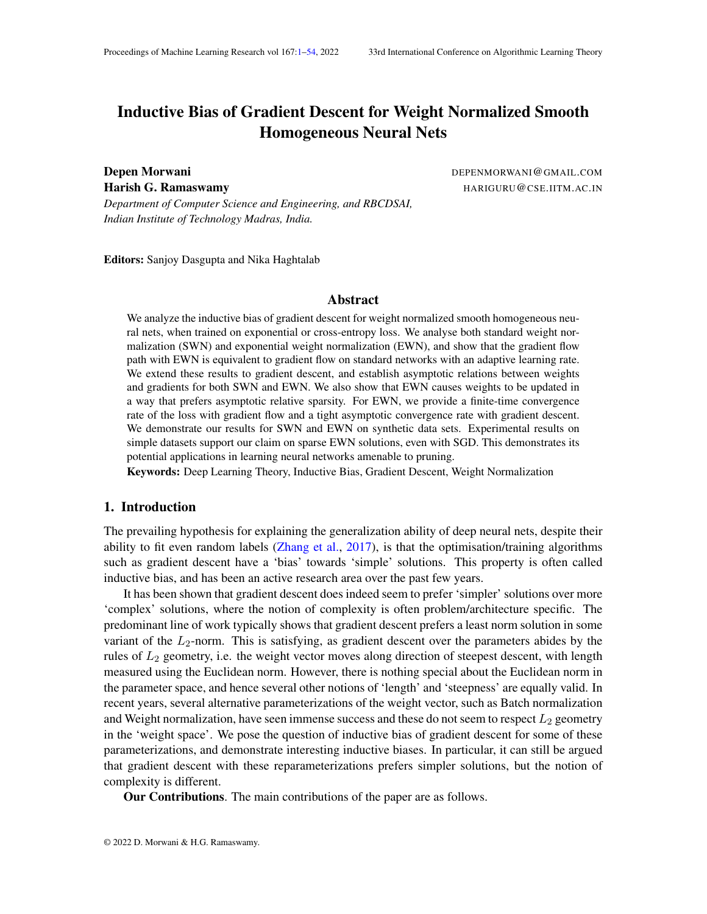Proof The proof follows Appendix  $H.2$ , the only difference is in the gradient update. W Let represented as = g(t)  $\mathbf{w}$  + r(t), wherelim<sub>t!1</sub>  $\frac{\text{kr}(t)k}{q(t)}$  $\frac{f(t)\kappa}{g(t)}$  = 0. Using Equation (49), we can say

$$
k_1 \quad \lim_{t \uparrow 1} \frac{k \frac{dL(w(t))}{dw} k}{L(w(t)) g(t)^{L-1}} \quad k_2 \tag{52}
$$

wherek<sub>1</sub> andk<sub>2</sub> are some constants. As the order remains the same as in the proof for exponential loss, the proof follows from Appendix H.2.

#### Appendix J. Lemma Proofs

Lemma Consider sequence a satisfying the following properties

1. 
$$
a_k > 0
$$
  
\n2.  $P_1$   
\n3.  $\lim_{k\to 0} a_k = 1$   
\n  
\nThen  $P_1$   
\n $\lim_{k\to 0} q \frac{a_k}{P_{\frac{k}{n-0}} a_i^2} = 1$ 

Proof If  $\frac{P}{k}$  $\frac{1}{k=0}$  a $_{{\sf k}}^2$  is bounded, then the statement is obvious. Let's consider the case w $\not|_{\rm {\small LgN}}$ Proof If  $\begin{array}{cc} 1 & 1 \ k=0 & a_k^2 \end{array}$  is bounded, then the statement is obvious. Let's consider the case w $\nmid_{\mathbf{B}}$ m $a_k^2$  diverges. Aslim $_{k11}$  a<sub>k</sub> = 0, therefore ther**e** must be an indlex, such that fork k<sub>1</sub>, a<sub>k</sub> diverges. Ashri<sub>k!1</sub>  $a_k = 0$ , therefore there it<br>Now, asa<sub>k</sub>, therefore  $a_k^2$  a by Now, as  $\frac{1}{B}$  $_{\mathtt{b}=0}^\mathbb{1}$  a $_{\mathsf{k}}^{\mathbb{2}}$  diverges, therefore, there must be an index  $k_2 > k_1$ , such that for any  $k > k_2$ ,  $\frac{k_1}{k_1}$  $\mu_{j=k_1}^{k_1} a_j^2$  =  $\mu_{j=0}^{k_1-1} a_j^2$ . Now, for k > k <sub>2</sub>, we can say

$$
\frac{x^{k}}{q} \frac{a_{j}}{p} = \frac{1}{2} \int_{j=k_{1}}^{k_{1}} \frac{a_{j}}{q} \frac{a_{j}}{p}
$$
\n
$$
\frac{1}{p} \frac{x^{k}}{2} \frac{a_{j}}{q} \frac{a_{j}}{p}
$$
\n
$$
\frac{1}{p} \frac{x^{k}}{2} \frac{a_{j}}{q} \frac{a_{j}}{p}
$$
\n
$$
\frac{1}{p} \frac{x^{k}}{2} \frac{a_{j}}{q} \frac{a_{j}}{p}
$$
\n
$$
\frac{1}{p} \frac{x^{k}}{2} \frac{a_{j}}{q} \frac{a_{j}}{p}
$$
\n
$$
= \frac{1}{p} \frac{1}{2} \int_{j=k_{1}}^{k_{1}} \frac{a_{j}}{k}
$$
\nAs  $P_{k=0}^{1}$  a<sub>k</sub> diverges, therefore  $\frac{P_{1}}{k=0} \frac{a_{k}}{q} \frac{a_{k}}{p} = \frac{a_{k}}{2}$  diverges as well.

Lemma Consider two sequences a and b satisfying the following properties  $1.6$  $\mathsf{p}$ 

$$
a_k > 0
$$
;  $\frac{1}{k=0} a_k = 1$  and  $\lim_{k \to 1} a_k = 0$ 

 $\blacksquare$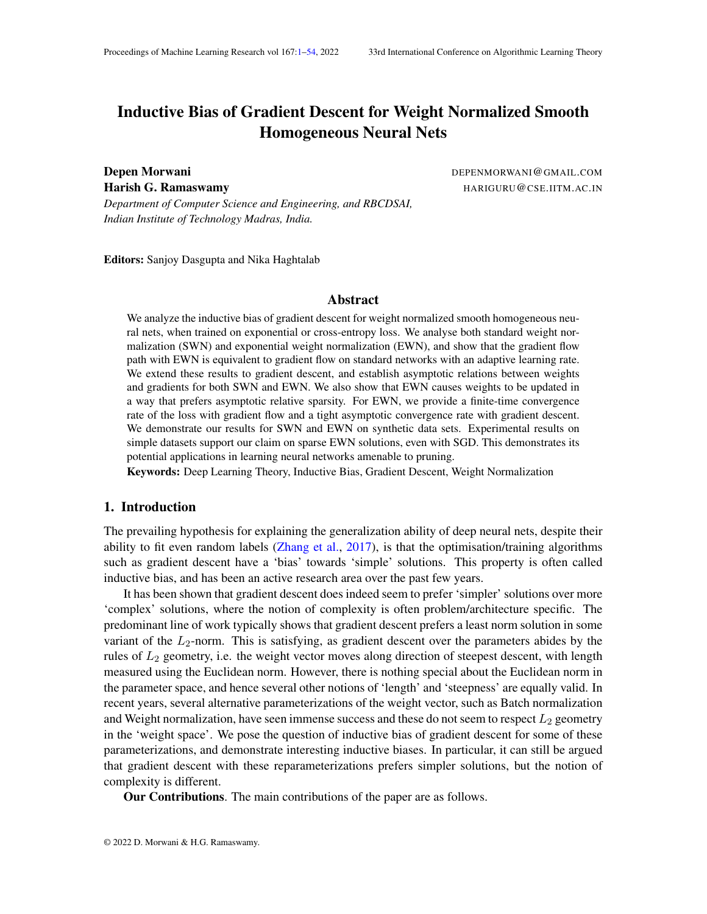2

2. b<sub>0</sub> > 0, b is increasing and  $\mathbf{d}_{k+1}^2$  b<sub>k</sub><sup>2</sup> +  $\frac{a_k}{b_k}$  $\overline{\mathsf{b}_{\mathsf{k}}}$  $\mathsf{T}$ hen  $\frac{1}{k}$ 1 a<sub>k</sub><br>k=0 b  $\frac{a_k}{b_k} = 1$ .

Proof As we knowb is increasing and  $k_{k+1}$   $k_k^2 + (\frac{a_k}{b_k})^2$ , we get  $\mathsf{b}_{\mathsf{k}}$ v<br><sup>u</sup> b<sub>o</sub><sup>+</sup> X<sup>k</sup> <sup>1</sup>  $j = 0$ aj bj 2  $\frac{v}{t}$   $\frac{1}{b_0^2 + \frac{1}{b_0^2}}$  $b_0^2$ X<sup>k</sup> <sup>1</sup>  $j = 0$  $a_j^2$ 

Using this, we can say

$$
\begin{array}{ccc}\n\mathsf{X} & \mathsf{a}_j & \mathsf{X}^k \\
\hline\n\mathsf{a}_j & \mathsf{b}_j & \mathsf{c}_j & \mathsf{d}_j \\
\mathsf{b}_j & \mathsf{b}_j & \mathsf{b}_j & \mathsf{b}_j & \mathsf{b}_j \\
\hline\n\mathsf{b}_j & \mathsf{b}_j & \mathsf{b}_j & \mathsf{b}_j & \mathsf{b}_j & \mathsf{d}_j \\
\hline\n\mathsf{b}_j & \mathsf{b}_j & \mathsf{b}_j & \mathsf{b}_j & \mathsf{b}_j & \mathsf{b}_j & \mathsf{b}_j \\
\hline\n\mathsf{b}_j & \mathsf{b}_j & \mathsf{b}_j & \mathsf{b}_j & \mathsf{b}_j & \mathsf{b}_j & \mathsf{b}_j & \mathsf{b}_j \\
\hline\n\mathsf{b}_j & \mathsf{b}_j & \mathsf{b}_j & \mathsf{b}_j & \mathsf{b}_j & \mathsf{b}_j & \mathsf{b}_j & \mathsf{b}_j \\
\hline\n\mathsf{b}_j & \mathsf{b}_j & \mathsf{b}_j & \mathsf{b}_j & \mathsf{b}_j & \mathsf{b}_j & \mathsf{b}_j & \mathsf{b}_j \\
\hline\n\mathsf{b}_j & \mathsf{b}_j & \mathsf{b}_j & \mathsf{b}_j & \mathsf{b}_j & \mathsf{b}_j & \mathsf{b}_j & \mathsf{b}_j \\
\hline\n\mathsf{b}_j & \mathsf{b}_j & \mathsf{b}_j & \mathsf{b}_j & \mathsf{b}_j & \mathsf{b}_j & \mathsf{b}_j & \mathsf{b}_j \\
\hline\n\mathsf{b}_j & \mathsf{b}_j & \mathsf{b}_j & \mathsf{b}_j & \mathsf{b}_j & \mathsf{b}_j & \mathsf{b}_j & \mathsf{b}_j \\
\hline\n\mathsf{
$$

Now, if  $\frac{P_{1}}{R_{1}}$  $_{\mathrm{k=0}}^{\mathrm{1}}$  a $_{\mathrm{k}}^{\mathrm{2}}$  does not diverge to in nity, then remains bounded using the bound above and Now, if  $k=0$  a<sub>k</sub> does not divert<br>then its trivial to establish that  $\frac{1}{k}$ 1 a<sub>k</sub><br>k=0 b  $\frac{a_k}{b_k}$  diverges. In case,  $\frac{1}{b_k}$  $_{k=0}^{1}$  a $_{k}^{2}$  diverges to in nity, then there must be an index<sub>1</sub> such that for any  $> k_1$ , we can say  $\begin{bmatrix} k=0 \\ i \end{bmatrix}$  $j_{j=0}^{k-1}$  a<sub>j</sub> b<sub>0</sub>. So, fork > k<sub>1</sub>, we can say

$$
\begin{array}{ccc} X^k & a_j & X^k & b_0 & a_j \\ & \bar{b}_j & \bar{b}_{j=0} & \bar{e}_j & \bar{e}_j \\ & & \bar{b}_{j=0} & \bar{e}_j & \bar{e}_j & \bar{e}_j \\ \end{array}
$$

Now, as we have assumedends to zero, so there must be an index such that for any  $k > k_2$ , Now, as we have assumedent us up  $z_1$ <br> $a_k$  . Also, as we have assumed<sup>1</sup>  $j_{j=0}^{1}$  a $^{2}_{j}$  diverges, therefore there must be an in**dex>** k  $_{2}$ , such that fork  $>$  k  $_3$ ,  $\overline{P}^k$  $\mathbf{a}_{j=k_2}^k$   $\mathbf{a}_j^2$   $\mathbf{a}_{j=0}^2$   $\mathbf{a}_j^2$ . Using these things and that  $\mathbf{a}_j$ , then  $\mathbf{a}_j^2$   $\mathbf{a}_j$ , we can say fok  $>$  k  $_3$ ,

Xk j = k<sup>3</sup> aj bj Xk j = k<sup>3</sup> b0 2 aj <sup>q</sup> <sup>P</sup> <sup>k</sup> <sup>1</sup> l= k<sup>3</sup> al b0 2 p v u u t X<sup>k</sup> <sup>1</sup> j = k<sup>3</sup> aj

Now, as  $\frac{P}{k}$  $k_{k=0}^{T}$  a<sub>k</sub> diverges, thus  $P_{1}$ 1 a<sub>k</sub><br>k=0 b  $\frac{a_k}{b_k}$  diverges as well.

### Appendix K. Integral Form of Stolz-Cesaro Theorem

We rst state the Stolz-Cesaro Theorem.

Theorem  $($ Muresan, 2015) Assume th $\epsilon$ ang $_{\mathsf{k}=1}^1$  and f  $\mathrm{bg}_{\mathsf{k}=1}^1$  are two sequences of real numbers such that bot is strictly monotonic and diverging. Additionally, lim  $k_{11}$  and  $\frac{a_{k+1}-a_k}{b_{k+1}-b_k}$  $\frac{a_{k+1} - a_k}{b_{k+1} - b_k} = L$  exists, thenlim<sub>k!1</sub>  $\frac{a_k}{b_k}$  $\frac{a_k}{b_k}$  exists and is equal tb.

Now, we state and prove the Integral Form of Stolz-Cesaro Theorem.

 $\mathcal{R}_{\text{h}}$ Theorem  $\,$  Consider two functions (t) and g(t) greater than zero satisfying Theorem Consider two functions (t) and  $g(t)$  greater than zero satisfying  $f(t)dt < 1$  and  $R_{b,q(t),dt}$  is a for even unit on Equal time to its known that  $f(t)dt = 1$  and  $R_{1,q(t),dt}$  $\frac{a}{a}$  g(t)dt < 1 for every nitea; b. For any time t, its known that  $f_1^1$  f (t)dt = 1 and  $f_1^1$  $t<sup>-1</sup>$  g(t)dt = 1 . If  $\lim_{t \downarrow 1} \frac{f(t)}{g(t)}$  $\frac{f(t)}{g(t)}$  exist and is equal to , thenlim  $_{t!1}$  $R_t$  f (t)dt exists for any and is equal td.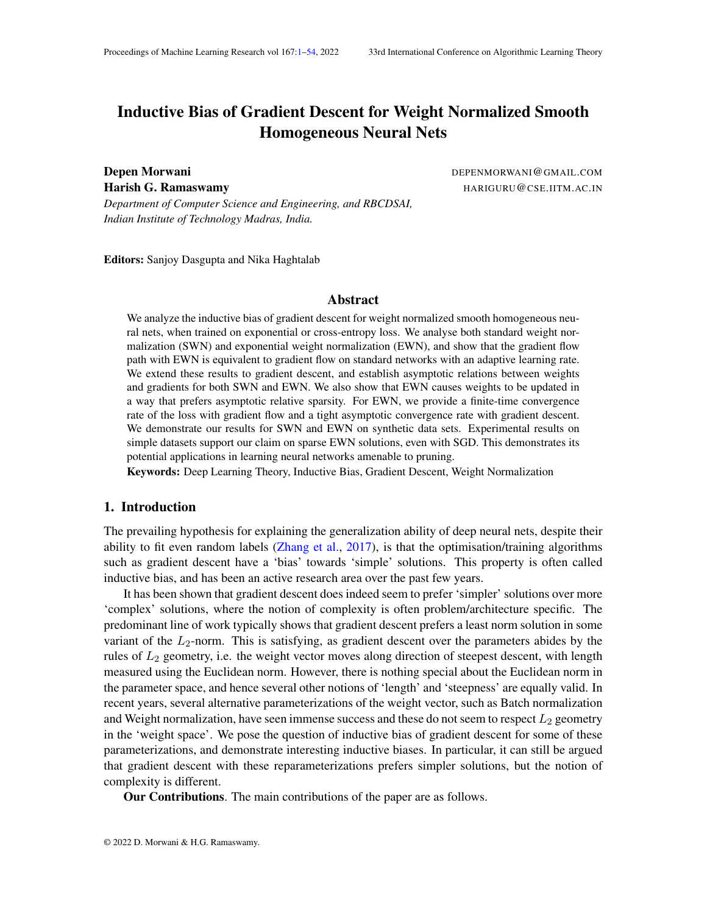Proof Case  $1:L = 0$  or  $1$ : We will prove for L = 1. The case for 0 can be handled similarly. For  $\Delta M \gg 0$ , there must exist a timet<sub>1</sub> > c, such tha $t^{\text{(t)}}_{g(t)}$  > M , for t > t <sub>1</sub>. Thus we can say fotr> t <sub>1</sub>, Z  $_t$ c f (t)dt >  $Z$   $_{t_1}$ c f (t)dt + M  $Z$ <sub>t</sub> t <sub>1</sub> g(t)dt Adding M  $\frac{R_{t_1}}{s}$  $\int_{c}^{\tau_1} g(t) dt$  on both the sides, we get Z  $_t$ c f (t)dt + M  $Z$   $_{t_1}$ c  $g(t)dt >$  $Z$   $_{t_1}$ c f (t)dt + M  $Z$ <sub>t</sub> c g(t)dt  $\mathsf{Dividing}$  both sides by  $\mathsf{R}_{\mathsf{t}}$ c g(t)dt and taking limsupt ! 1 (using also the fact that Rb  $\int_{a}^{b} f(t) dt < 1$  $rac{\mathbf{R}_{b}}{\mathbf{A}}$  $\int_a^b$ g(t)dt < 1 for every nite a; b), we get lim sup t!1  $R_{t}$  $\int_{\mathcal{L}}^{\tau} f(t) dt$ Rt  $\int_{c}^{t} g(t) dt$ > M Similarly the equation holds for liminf as well. Thus, both liminf and limsup are greater than anyM. Hencelim $_{\sf t!1}$  $R_t^{(t)}$  f (t)dt = 1. Case2:L is nite In this case, there must exist some tit  $p \in C$ , such that  $\qquad \prec \frac{f(t)}{g(t)} < L + 1$ . Thus, we can say fort  $>$  t<sub>1</sub>,  $Z$ <sub>t<sub>1</sub></sub> c f (t)dt + ( L )  $Z$ <sub>t</sub> t <sub>1</sub> g(t)dt Z  $_t$ c f (t)dt  $Z$   $_{t_1}$ c f (t)dt + ( L + )  $Z$ <sub>t</sub> t <sub>1</sub> g(t)dt  $\mathsf{Z}$ aking the left inequality, addin $\mathsf{Z} = \bigcap_{\mathsf{C}}^{\mathsf{R}_{\mathsf{t}}}$ Taking the left inequality, addin $\sharp$   $\bigcup_{c=0}^{n+1} g(t)$ dt on both the sides, dividing both the sides by  $\int_{c}^{t} g(t) dt$  and takinglim inf  $t_{11}$ , we get  $\mathsf{L}$  lim inf  $R_{t}$  $\int_{\mathcal{S}}^{t} f(t) dt$  $R_t$  g(t)dt c Similarly, taking the right inequality, addin( $\frac{R_t}{L}$  +  $\frac{R_t}{L}$  $c^{T_1}$  g(t)dt on both the sides, dividing both the  $\frac{R_t}{R_t}$ sides by  $\int_{c}^{t} g(t) dt$  and takinglim sup $_{t!1}$  , we get lim sup t!1  $R_{t}$  $\int_{\mathcal{S}}^{t} f(t) dt$  $\mathsf{R}_\mathsf{t}$  $\int_{c}^{t} g(t) dt$ L + Using the two inequalities, we get, for any  $0$ ,  $R_{t}$ <sub>D</sub>

$$
\limsup_{t \downarrow 1} \frac{R_t^t f(t) dt}{e^t g(t) dt} \quad \liminf_{t \uparrow 1} \frac{R_t^t f(t) dt}{e^t g(t) dt} \quad 2
$$

Thus,lim $_{\rm t11}$  $\frac{R_t}{R_t^c}$ f (t)dt exists and is equal **tb.**<br> $\frac{R_t}{c}$ g(t)dt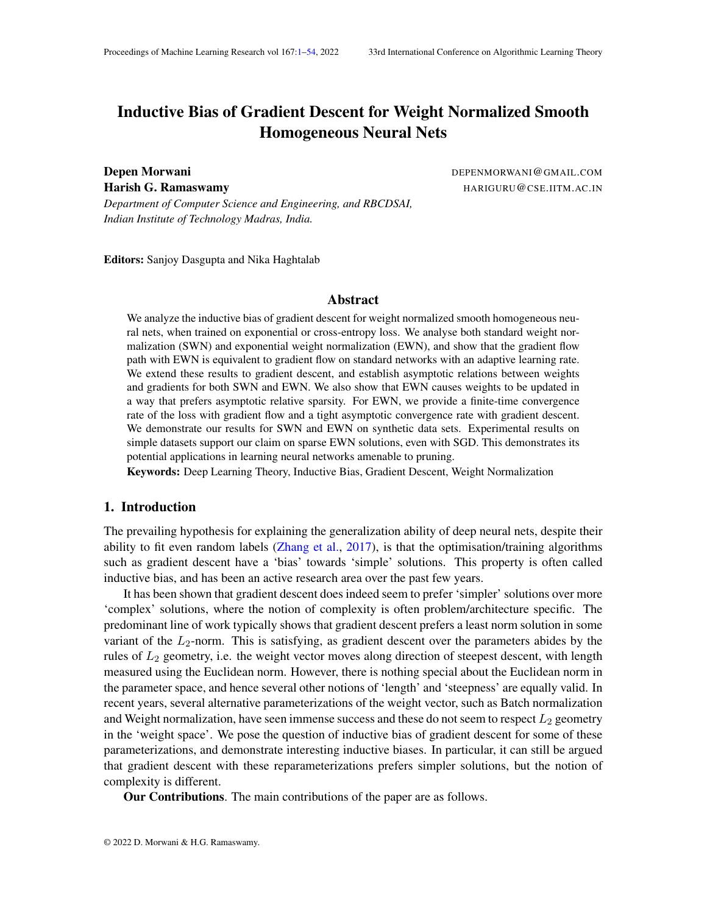# Appendix L. Standard Weight Normalization is not Locally Lipschitz in its parameters

In this section, we will denot by so as to be consistent with the notaion in Lyu and Li (2020). SWN(in its parameters andv) is also a homogeneous network. Therefore, results from Lyu and Li (2020) should directly apply to the case of SWN as well. However, a crucial point to be noted is that it is not even locally Lipschitz around  $\mathbf{u}_u \mathbf{k} = 0$ . Therefore, the assumptions from Lyu and Li (2020) do not hold.

However, during gradient descent or gradient ow, if started from a  $\hbar$ wight > 0, for all u, then during the entire trajector  $\psi_u$  k cannot go down. Therefore, the network is still locally Lipschitz along the trajectory it takes. Examining the proofs from Lyu and Li (2020), its clear that the proof regarding monotonicity of margin and convergence rates are just dependent on the path that gradient descent/ow takes and thus the proofs hold.

However, the result regarding the limit points  $\frac{c}{k}$  do not hold. One of the crucial theorems the proof relies on is stated below

Theorem Letf x<sub>k</sub> 2 R<sup>d</sup>: k 2 Ng be a sequence of feasible points of an optimization problem (P),  $f_{k} > 0$ : k 2 Ng and  $f_{k} > 0$ : k 2 Ng be two sequences  $x_{k}$  is an  $(x_{k}; k)$ -KKT point for every k and  $_k!$  0;  $_k!$  0. If  $x_k!$  x ask ! 1 and MFCQ holds at thenx is a KKT point of (P)

The above statement requires MFCQ to be satis exd, alhat was shown in Lyu and Li (2020) assuming local lipschitzness/smoothness allowever, in this case, for gradient ow, as uk does not grow, whilej uj! 1 , therefore the convergent point  $\mathfrak{g}f_{\overline{k}}$  will always have the component corresponding to  $\mu$  as 0. Thus, the network is not locally lipschitz vatand the proof that MFCQ holds is violated. Similarly, for gradient descent as well, it can't be said that as a non-zero component in $_{\overline{\textsf{k}-\textsf{k}}}$ . Thus, the proof does not hold.

# Appendix M. Experiment Details

In all the experiments, techniques for handling numerical under ow were used as described in Lyu and Li (2020). However, the learning rate they used wa<sup>®</sup> of  $f_{\!-}^{\!\! L}$  , but in our case, we generally modify it to be $O_{\frac{1}{10}}$  $\frac{1}{L^c}$  , wherec < 1.

### M.1. Lin-Sep

The learning rate used wak(t), so that it speeds up at the beginning of training, but slows down as loss approaches <sup>300</sup>. The constank(t) was initialized at0:01, and was increased by a factor of 1:1 every time loss went down and decreased by a facto r bevery time loss went up after a gradient step. Its value was capped at for EWN and SWN.

### M.2. Simple-Traj

The learning rate used w $\frac{\Delta(t)}{\Delta(t)}$ , so that it speeds up at the beginning of training, but slows down as loss approaches  $^{50}$ . The constank(t) was initialized a0:01, and was increased by a factor of every time loss went down and decreased by a factor to every time loss went up after a gradient step. Its value was capped at for EWN and Unnorm.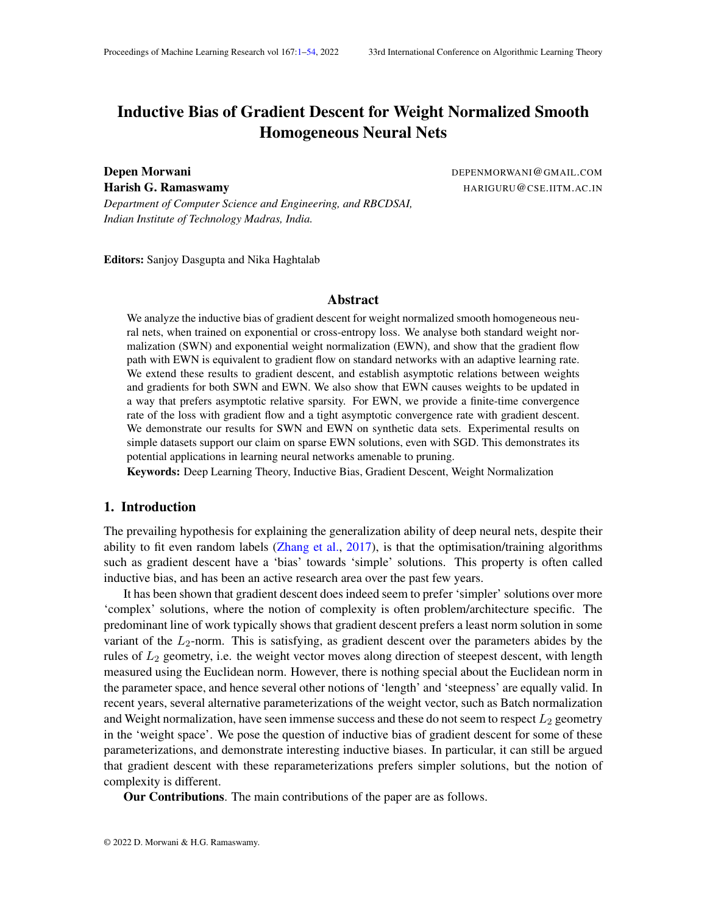(a)  $(b)$  (c)

Figure 7: Demonstration of Results for SWN in Lin-Sep experiment: (a) Evolution of kw<sub>u</sub>k (b) Cosine between weights and gradients for weights 5, 6 and 8. (c) Weight and gradient norms for weights 5, 6 and 8.

(a)  $(b)$  (c)

Figure 8: Demonstration of Results for EWN in XORexperiment with ReLU-square activation: (a) Evolution of kw<sub>u</sub>k (b) Cosine between weights and gradients for weights 0, 1, 13 and 17. (c) Weight and gradient norms for weights 0, 1, 13 and 17.

M.3. XOR

The learning rate used wa $\frac{k(t)}{8.93}$  for SWN and Unnorm, whil $\frac{k(t)}{L^{0.8}_\infty}$  for EWN, so that it speeds up at the beginning of training, but slows down as loss approa**e**hes The constar**k**(t) was initialized at 0:01, and was increased by a factor of every time loss went down and decreased by a factor of 1:1 every time loss went up after a gradient step. Its value was capped fat EWN and Unnorm and0:01 for SWN.

M.4. Convergence rate experiment

For all SWN, EWN and Unnorm, the learning rate was constant 0:001 and they were trained for 5000 steps. All the networks were explicitly initialized to the same point in function space.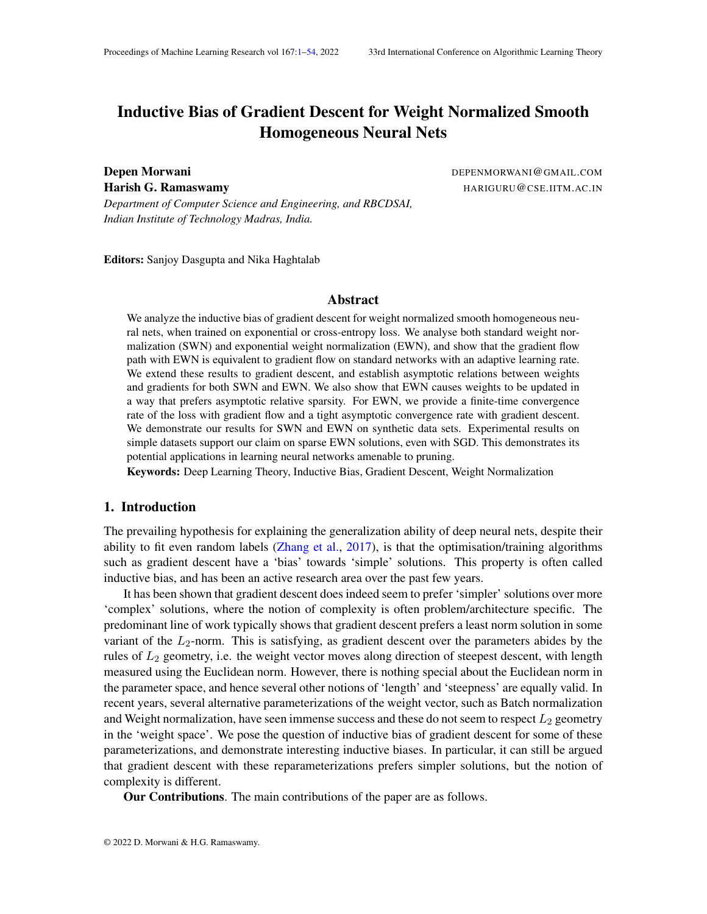(a)  $(b)$  (c)

Figure 9: Demonstration of Results for SWN inXORexperiment with ReLU-square activation: (a) Evolution of kw<sub>u</sub>k (b) Cosine between weights and gradients for weights 0, 1, 13 and 17. (c) Weight and gradient norms for weights 0, 1, 13 and 17.

(a)  $(b)$  (c)

Figure 10: Demonstration of Results for EWN on MNIST dataset with 2-class classi cation: (a) Evolution of kw<sub>u</sub>k (b) Cosine between weights and gradients for weights 96 and 105. (c) Weight and gradient norms for weights 96 and 105.

### M.5. Pruning Experiments

The learning rate used w $\frac{k(t)}{2}$ . The constan $\mathbf{k}(t)$  was initialized at0:01, and was increased by a factor of 1:1 every time loss went down and decreased by a factdr bevery time loss went up after an epoch.

Appendix N. Demonstration of Theorems on various datasets

In this section, we demonstrate Theorem 3 and 4 on various dataset Sep , XORand MNIST (2-class classi cation).

# N.1. Lin-Sep

We demonstrate Theorem 3 and Theorem 4 for EWN and SWN on a linearly separable dataset (Lin-Sep ) in Figure 1 and 7 respectively. As can be seen in Figure 7, for weights 5, 6 and 8,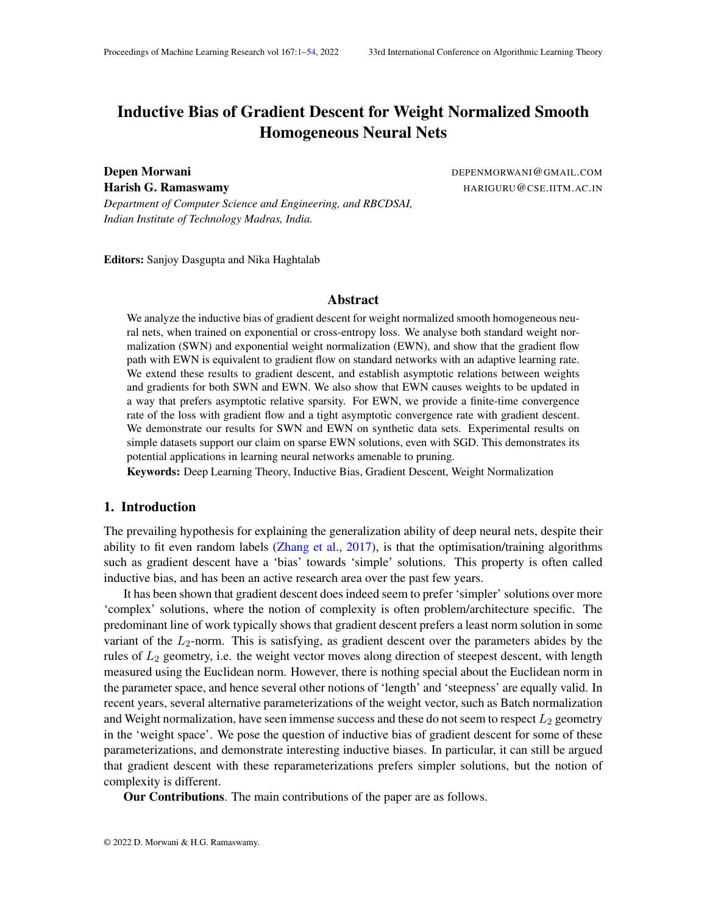(a) 
$$
L = e^{-10}
$$
 (b)  $L = e^{-100}$  (c)  $L = e^{-300}$ 

Figure 11: Convergence rate of EWN, SWN and Unnorm on the MNIST dataset for seed - 2356 at different loss values

(a) 
$$
L = e^{-10}
$$
 (b)  $L = e^{-100}$  (c)  $L = e^{-300}$ 

## Figure 12: Convergence rate of EWN, SWN and Unnorm on the MNIST dataset for seed - 3576 at different loss values

whose norms keep on growing, weights and gradients eventually become oppositely aligned, and their norms are directly proportional to each other.

#### N.2. XOR

In this experiment, we train a 2-layer network with 20 hidden neurons and ReLU-square activation on XOR dataset, till a loss value of <sup>40</sup>. We demonstrate Theorems 3 and 4 for EWN and SWN in Figure 8 and Figure 9 respectively.

As can be seen in Figure 8, for weights 0, 1, 13 and 17, whose norms keep on growing, weights and gradients eventually become oppositely aligned, and their norms are inversely proportional to each other.

Similarly, in Figure 9, for weights 0, 1, 13 and 17, whose norms keep on growing, weights and gradients eventually become oppositely aligned, and their norms are directly proportional to each other.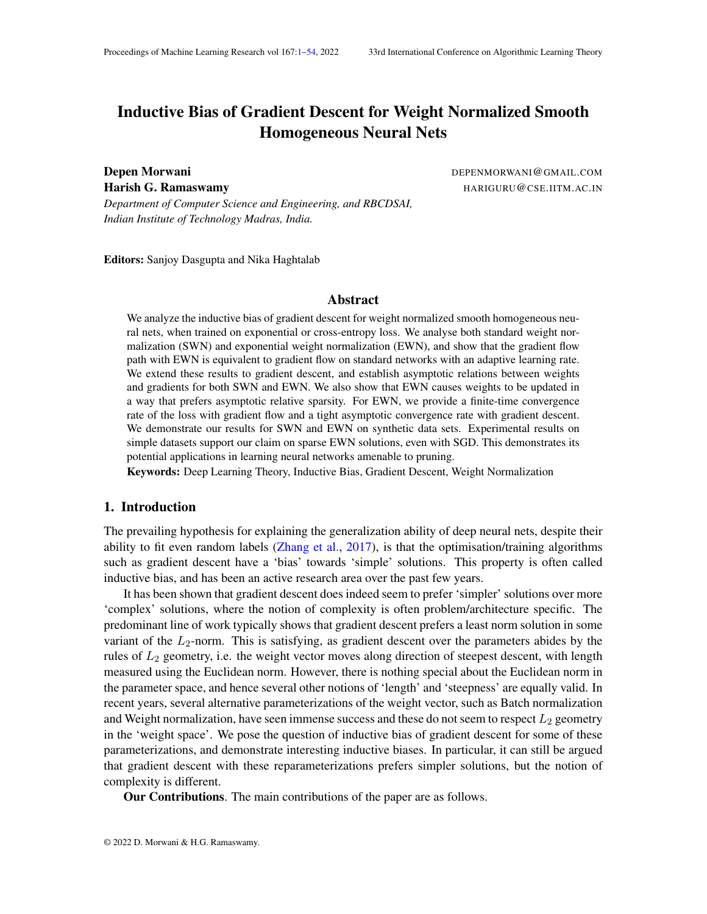# N.3. MNIST

In this experiment, we train a 2-layer network with 128 hidden neurons and ReLU-square activation on MNIST dataset with 2 classe $60$ ; 1g. Since even after considering just 2 classes, this dataset is huge, therefore training takes longer. Therefore, we only consider exponential weight normalized network in this case.

We demonstrate Theorems 3 and 4 for MNIST dataset for EWN in Figure 10. As can be seen, for weights 96 and 105, whose norms keep on growing, weights and gradients eventually become oppositely aligned, and their norms are inversely proportional to each other.

# Appendix O. Convergence rate plots for pruning experiment

In this section, we provide convergence rate plots for the pruning experiments.

The convergence rate for 2 different seeds at various loss levels are shown in Figure 11 and 12. As can be seen, initially the convergence rate of all the normalizations are comparable. But at extremely low loss values, Unnorm becomes slightly faster as compared to SWN or EWN. Note that the results regarding asymptotic convergence rate do not apply in this case, as we are training at extremely high learning rates **o**f  $\frac{1}{\Gamma}$  $\frac{1}{L}$  .

# Appendix P. Veri cation of Assumptions for various datasets

In this section, we verify the assumptions on three datas  $\epsilon$  - XORand MNIST (2-class classi cation). Note that in Figures 13, 14, 15, 16 and 17, plots demonstrating the components of unit gradient vector, each line corresponds to a single parameter of the network, while in the plots demonstrating the evolution of (t) kw<sub>u</sub>(t) kkr <sub>w<sub>u</sub> L(w(t)) k, each line corresponds to a neuron of</sub> the network.

# P.1. Lin-sep

We verify assumptions  $(B1)$ - $(B3)$  for the Algoreg experiment for EWN and SWN in Figure 13 and Figure 14 respectively. As can be seen, for both the cases, the components of unit gradient vector become constant as training proceeds. Another thing to note, is that even for an aggressive learning rate schedule of the for<del>m lar</del>,  $\;$  (t)kw  $_{\sf u}$  (t)kkr  $\;$   $_{\sf w \, \sf u}$  L(w(t))k still goes down to 0.

# P.2. XOR

In this experiment, we train a 2-layer network with 20 hidden neurons and ReLU-square activation on XOR dataset, till a loss value of <sup>40</sup>. We verify assumptions (B1)-(B3) for the ORexperiment for EWN and SWN in Figure 15 and Figure 16 respectively. As can be seen, for both the cases, the components of unit gradient vector become constant as training proceeds. Another thing to note, is that even for an aggressive learning rate schedule of the  $\rm \bar{f}$ g $\rm \bar{f}$ g $\rm \bar{g}$ ,  $\,$  (t)kw $_{\rm u}$ (t)kkr  $_{\rm w_u}$ L(w(t))k still goes down to 0.

# P.3. MNIST

In this experiment, we train a 2-layer network with 128 hidden neurons and ReLU-square activation on MNIST dataset with 2 classe $\pm 0$ ; 1g. Since even after considering just 2 classes, this dataset is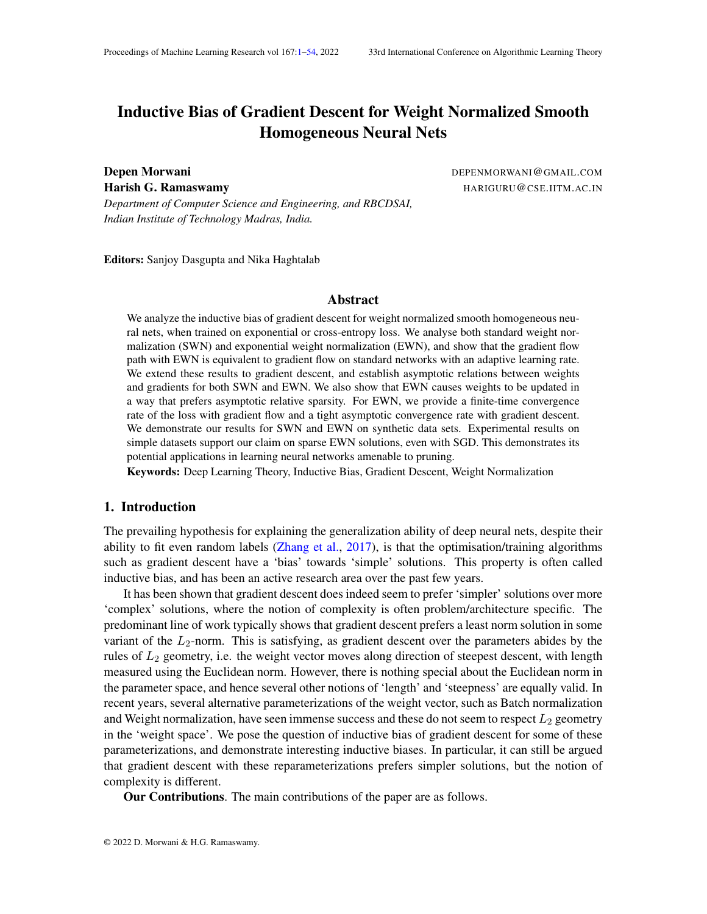$(a)$  (b)

Figure 13: Veri cation of Assumptions for EWN in Lin-Sep experiment: (a) Evolution of r <sup>w</sup> L (t)  $\frac{f(w \mathsf{L}(t))}{\mathsf{k}r_w \mathsf{L}(t)\mathsf{k}}$  (b) Evolution of  $(t)\mathsf{k}w_u(t)\mathsf{k}$ kr  $\frac{f(w \mathsf{L}(t))}{\mathsf{k}r_w \mathsf{k}}$ 

 $(a)$  (b)

Figure 14: Veri cation of Assumptions for SWN in Lin-Sep experiment: (a) Evolution of r <sup>w</sup> L (t)  $\frac{f(w \mathsf{L}(t))}{\mathsf{k}r_w \mathsf{L}(t)\mathsf{k}}$  (b) Evolution of  $(t)\mathsf{k}w_u(t)\mathsf{k}$ kr  $\frac{f(w \mathsf{L}(t))}{\mathsf{k}r_w \mathsf{k}}$ 

huge, therefore training takes longer. Therefore, we only consider exponential weight normalized network in this case.

We verify assumptions (B1)-(B3) for MNIST dataset for EWN in Figure 17. As can be seen, the components of unit gradient vector become constant as training proceeds. Another thing to note, is that even for an aggressive learning rate schedule of the  $\rm \overline{f_{Qf}}$ gn,  $\,$  (t)kw $_{u}$ (t)kkr  $_{w_{u}}$ L(w(t))k still goes down to 0.

Appendix Q. Pruning algorithm

We will explain the pruning algorithm used in Figure 5b. The same algorithm is used for SWN, EWN as well as the unnormalized net.